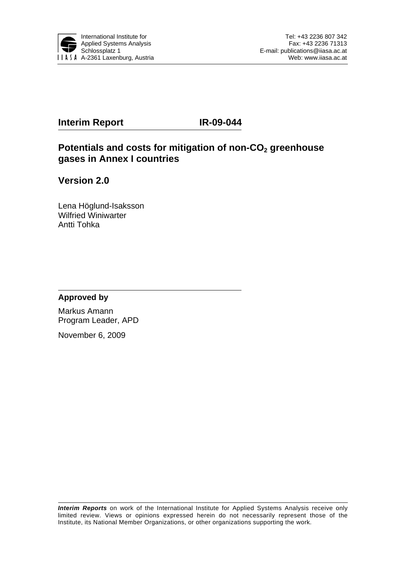

#### **Interim Report IR-09-044**

#### Potentials and costs for mitigation of non-CO<sub>2</sub> greenhouse **gases in Annex I countries**

**Version 2.0** 

Lena Höglund-Isaksson Wilfried Winiwarter Antti Tohka

#### **Approved by**

Markus Amann Program Leader, APD

November 6, 2009

*Interim Reports* on work of the International Institute for Applied Systems Analysis receive only limited review. Views or opinions expressed herein do not necessarily represent those of the Institute, its National Member Organizations, or other organizations supporting the work.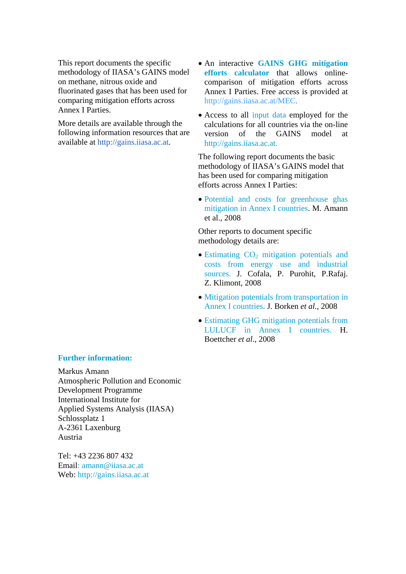This report documents the specific methodology of IIASA's GAINS model on methane, nitrous oxide and fluorinated gases that has been used for comparing mitigation efforts across Annex I Parties.

More details are available through the following information resources that are available at [http://gains.iiasa.ac.at](http://gains.iiasa.ac.at/).

- An interactive **GAINS GHG mitigation efforts calculator** that allows onlinecomparison of mitigation efforts across Annex I Parties. Free access is provided at <http://gains.iiasa.ac.at/MEC>.
- Access to all input data employed for the calculations for all countries via the on-line version of the GAINS model at [http://gains.iiasa.ac.at](http://gains.iiasa.ac.at/).

The following report documents the basic methodology of IIASA's GAINS model that has been used for comparing mitigation efforts across Annex I Parties:

• Potential and costs for greenhouse ghas mitigation in Annex I countries. M. Amann et al., 2008

Other reports to document specific methodology details are:

- Estimating  $CO<sub>2</sub>$  mitigation potentials and costs from energy use and industrial sources. J. Cofala, P. Purohit, P.Rafaj. Z. Klimont, 2008
- Mitigation potentials from transportation in Annex I countries. J. Borken *et al.,* 2008
- Estimating GHG mitigation potentials from LULUCF in Annex I countries. H. Boettcher *et al*., 2008

#### **Further information:**

Markus Amann Atmospheric Pollution and Economic Development Programme International Institute for Applied Systems Analysis (IIASA) Schlossplatz 1 A-2361 Laxenburg Austria

 $Tel·+43$  2236 807 432 Email: [amann@iiasa.ac.at](mailto:amann@iiasa.ac.at) Web: [http://gains.iiasa.ac.at](http://gains.iiasa.ac.at/)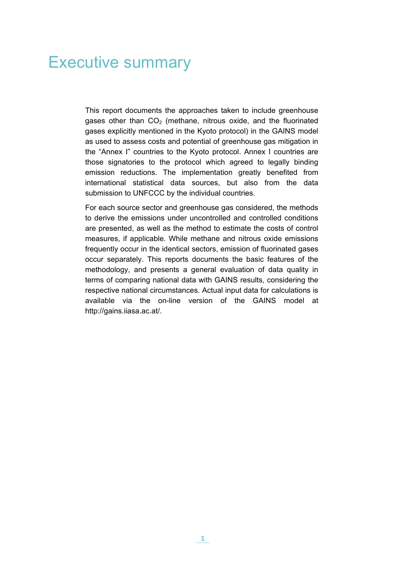## Executive summary

This report documents the approaches taken to include greenhouse gases other than  $CO<sub>2</sub>$  (methane, nitrous oxide, and the fluorinated gases explicitly mentioned in the Kyoto protocol) in the GAINS model as used to assess costs and potential of greenhouse gas mitigation in the "Annex I" countries to the Kyoto protocol. Annex I countries are those signatories to the protocol which agreed to legally binding emission reductions. The implementation greatly benefited from international statistical data sources, but also from the data submission to UNFCCC by the individual countries.

For each source sector and greenhouse gas considered, the methods to derive the emissions under uncontrolled and controlled conditions are presented, as well as the method to estimate the costs of control measures, if applicable. While methane and nitrous oxide emissions frequently occur in the identical sectors, emission of fluorinated gases occur separately. This reports documents the basic features of the methodology, and presents a general evaluation of data quality in terms of comparing national data with GAINS results, considering the respective national circumstances. Actual input data for calculations is available via the on-line version of the GAINS model at http://gains.iiasa.ac.at/.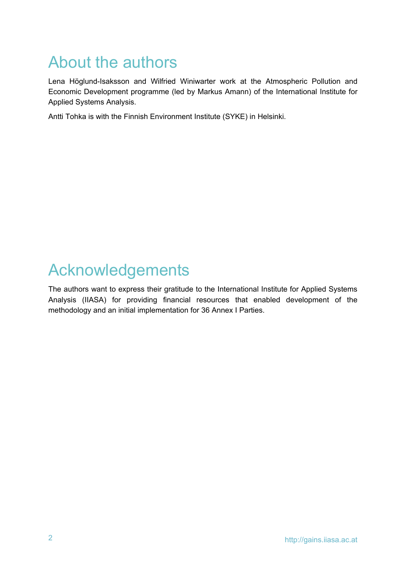## About the authors

Lena Höglund-Isaksson and Wilfried Winiwarter work at the Atmospheric Pollution and Economic Development programme (led by Markus Amann) of the International Institute for Applied Systems Analysis.

Antti Tohka is with the Finnish Environment Institute (SYKE) in Helsinki.

## Acknowledgements

The authors want to express their gratitude to the International Institute for Applied Systems Analysis (IIASA) for providing financial resources that enabled development of the methodology and an initial implementation for 36 Annex I Parties.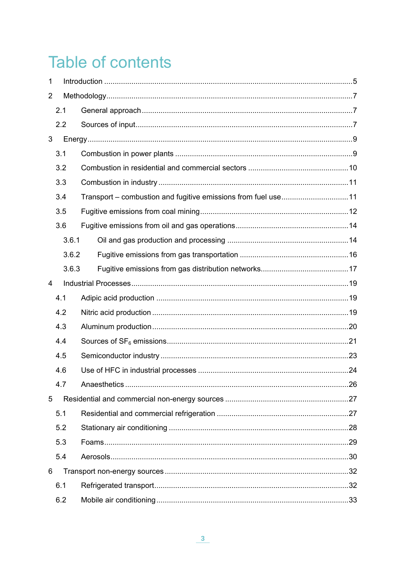# **Table of contents**

| $\mathbf 1$    |       |  |  |  |  |  |
|----------------|-------|--|--|--|--|--|
| $\overline{2}$ |       |  |  |  |  |  |
|                | 2.1   |  |  |  |  |  |
|                | 2.2   |  |  |  |  |  |
| 3              |       |  |  |  |  |  |
|                | 3.1   |  |  |  |  |  |
|                | 3.2   |  |  |  |  |  |
|                | 3.3   |  |  |  |  |  |
|                | 3.4   |  |  |  |  |  |
|                | 3.5   |  |  |  |  |  |
|                | 3.6   |  |  |  |  |  |
|                | 3.6.1 |  |  |  |  |  |
|                | 3.6.2 |  |  |  |  |  |
|                | 3.6.3 |  |  |  |  |  |
| 4              |       |  |  |  |  |  |
|                | 4.1   |  |  |  |  |  |
|                | 4.2   |  |  |  |  |  |
|                | 4.3   |  |  |  |  |  |
|                | 4.4   |  |  |  |  |  |
|                | 4.5   |  |  |  |  |  |
|                | 4.6   |  |  |  |  |  |
|                | 4.7   |  |  |  |  |  |
| 5              |       |  |  |  |  |  |
|                | 5.1   |  |  |  |  |  |
|                | 5.2   |  |  |  |  |  |
|                | 5.3   |  |  |  |  |  |
|                | 5.4   |  |  |  |  |  |
| 6              |       |  |  |  |  |  |
|                | 6.1   |  |  |  |  |  |
|                | 6.2   |  |  |  |  |  |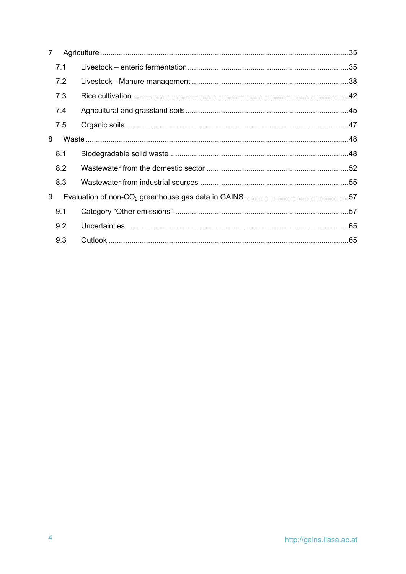| 7 |     |  |  |  |  |
|---|-----|--|--|--|--|
|   | 7.1 |  |  |  |  |
|   | 7.2 |  |  |  |  |
|   | 7.3 |  |  |  |  |
|   | 7.4 |  |  |  |  |
|   | 7.5 |  |  |  |  |
| 8 |     |  |  |  |  |
|   | 8.1 |  |  |  |  |
|   | 8.2 |  |  |  |  |
|   | 8.3 |  |  |  |  |
| 9 |     |  |  |  |  |
|   | 9.1 |  |  |  |  |
|   | 9.2 |  |  |  |  |
|   | 9.3 |  |  |  |  |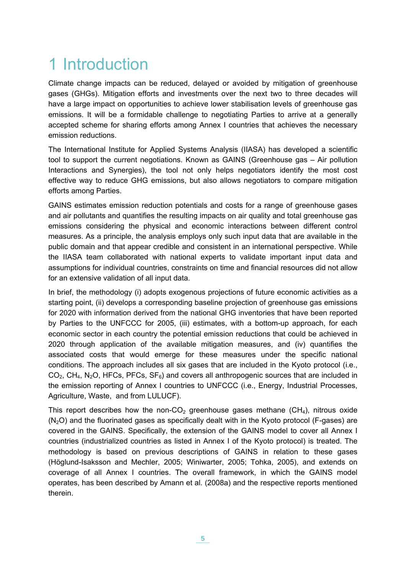## <span id="page-6-0"></span>1 Introduction

Climate change impacts can be reduced, delayed or avoided by mitigation of greenhouse gases (GHGs). Mitigation efforts and investments over the next two to three decades will have a large impact on opportunities to achieve lower stabilisation levels of greenhouse gas emissions. It will be a formidable challenge to negotiating Parties to arrive at a generally accepted scheme for sharing efforts among Annex I countries that achieves the necessary emission reductions.

The International Institute for Applied Systems Analysis (IIASA) has developed a scientific tool to support the current negotiations. Known as GAINS (Greenhouse gas – Air pollution Interactions and Synergies), the tool not only helps negotiators identify the most cost effective way to reduce GHG emissions, but also allows negotiators to compare mitigation efforts among Parties.

GAINS estimates emission reduction potentials and costs for a range of greenhouse gases and air pollutants and quantifies the resulting impacts on air quality and total greenhouse gas emissions considering the physical and economic interactions between different control measures. As a principle, the analysis employs only such input data that are available in the public domain and that appear credible and consistent in an international perspective. While the IIASA team collaborated with national experts to validate important input data and assumptions for individual countries, constraints on time and financial resources did not allow for an extensive validation of all input data.

In brief, the methodology (i) adopts exogenous projections of future economic activities as a starting point, (ii) develops a corresponding baseline projection of greenhouse gas emissions for 2020 with information derived from the national GHG inventories that have been reported by Parties to the UNFCCC for 2005, (iii) estimates, with a bottom-up approach, for each economic sector in each country the potential emission reductions that could be achieved in 2020 through application of the available mitigation measures, and (iv) quantifies the associated costs that would emerge for these measures under the specific national conditions. The approach includes all six gases that are included in the Kyoto protocol (i.e.,  $CO<sub>2</sub>$ , CH<sub>4</sub>, N<sub>2</sub>O, HFCs, PFCs, SF<sub>6</sub>) and covers all anthropogenic sources that are included in the emission reporting of Annex I countries to UNFCCC (i.e., Energy, Industrial Processes, Agriculture, Waste, and from LULUCF).

This report describes how the non- $CO<sub>2</sub>$  greenhouse gases methane (CH<sub>4</sub>), nitrous oxide  $(N<sub>2</sub>O)$  and the fluorinated gases as specifically dealt with in the Kyoto protocol (F-gases) are covered in the GAINS. Specifically, the extension of the GAINS model to cover all Annex I countries (industrialized countries as listed in Annex I of the Kyoto protocol) is treated. The methodology is based on previous descriptions of GAINS in relation to these gases (Höglund-Isaksson and Mechler, 2005; Winiwarter, 2005; Tohka, 2005), and extends on coverage of all Annex I countries. The overall framework, in which the GAINS model operates, has been described by Amann et al. (2008a) and the respective reports mentioned therein.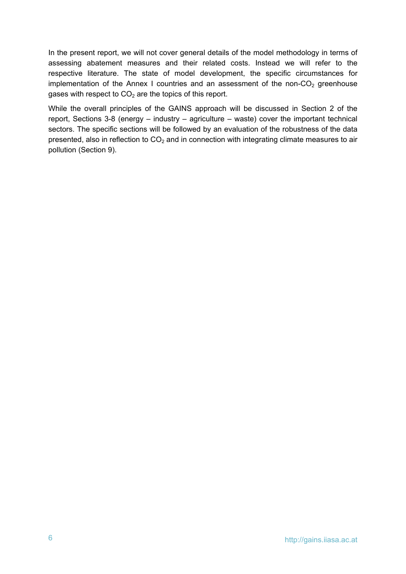In the present report, we will not cover general details of the model methodology in terms of assessing abatement measures and their related costs. Instead we will refer to the respective literature. The state of model development, the specific circumstances for implementation of the Annex I countries and an assessment of the non- $CO<sub>2</sub>$  greenhouse gases with respect to  $CO<sub>2</sub>$  are the topics of this report.

While the overall principles of the GAINS approach will be discussed in Section 2 of the report, Sections 3-8 (energy – industry – agriculture – waste) cover the important technical sectors. The specific sections will be followed by an evaluation of the robustness of the data presented, also in reflection to  $CO<sub>2</sub>$  and in connection with integrating climate measures to air pollution (Section 9).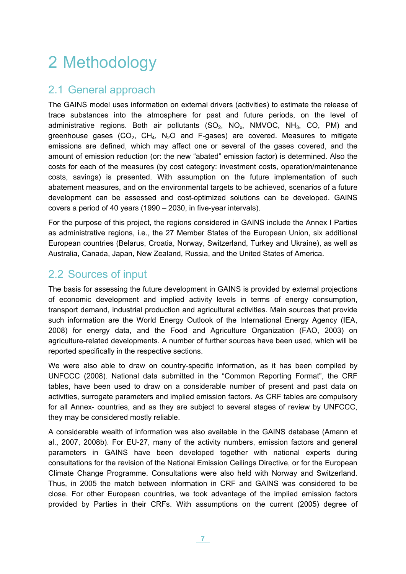# <span id="page-8-0"></span>2 Methodology

## <span id="page-8-1"></span>2.1 General approach

The GAINS model uses information on external drivers (activities) to estimate the release of trace substances into the atmosphere for past and future periods, on the level of administrative regions. Both air pollutants  $(SO_2, NO_x, NMVOC, NH<sub>3</sub>, CO, PM)$  and greenhouse gases (CO<sub>2</sub>, CH<sub>4</sub>, N<sub>2</sub>O and F-gases) are covered. Measures to mitigate emissions are defined, which may affect one or several of the gases covered, and the amount of emission reduction (or: the new "abated" emission factor) is determined. Also the costs for each of the measures (by cost category: investment costs, operation/maintenance costs, savings) is presented. With assumption on the future implementation of such abatement measures, and on the environmental targets to be achieved, scenarios of a future development can be assessed and cost-optimized solutions can be developed. GAINS covers a period of 40 years (1990 – 2030, in five-year intervals).

For the purpose of this project, the regions considered in GAINS include the Annex I Parties as administrative regions, i.e., the 27 Member States of the European Union, six additional European countries (Belarus, Croatia, Norway, Switzerland, Turkey and Ukraine), as well as Australia, Canada, Japan, New Zealand, Russia, and the United States of America.

## <span id="page-8-2"></span>2.2 Sources of input

The basis for assessing the future development in GAINS is provided by external projections of economic development and implied activity levels in terms of energy consumption, transport demand, industrial production and agricultural activities. Main sources that provide such information are the World Energy Outlook of the International Energy Agency (IEA, 2008) for energy data, and the Food and Agriculture Organization (FAO, 2003) on agriculture-related developments. A number of further sources have been used, which will be reported specifically in the respective sections.

We were also able to draw on country-specific information, as it has been compiled by UNFCCC (2008). National data submitted in the "Common Reporting Format", the CRF tables, have been used to draw on a considerable number of present and past data on activities, surrogate parameters and implied emission factors. As CRF tables are compulsory for all Annex- countries, and as they are subject to several stages of review by UNFCCC, they may be considered mostly reliable.

A considerable wealth of information was also available in the GAINS database (Amann et al., 2007, 2008b). For EU-27, many of the activity numbers, emission factors and general parameters in GAINS have been developed together with national experts during consultations for the revision of the National Emission Ceilings Directive, or for the European Climate Change Programme. Consultations were also held with Norway and Switzerland. Thus, in 2005 the match between information in CRF and GAINS was considered to be close. For other European countries, we took advantage of the implied emission factors provided by Parties in their CRFs. With assumptions on the current (2005) degree of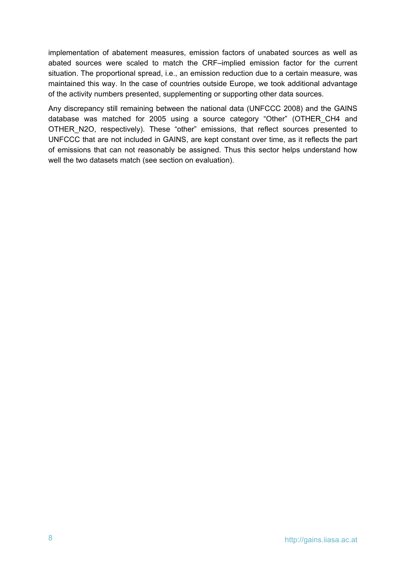implementation of abatement measures, emission factors of unabated sources as well as abated sources were scaled to match the CRF–implied emission factor for the current situation. The proportional spread, i.e., an emission reduction due to a certain measure, was maintained this way. In the case of countries outside Europe, we took additional advantage of the activity numbers presented, supplementing or supporting other data sources.

Any discrepancy still remaining between the national data (UNFCCC 2008) and the GAINS database was matched for 2005 using a source category "Other" (OTHER\_CH4 and OTHER\_N2O, respectively). These "other" emissions, that reflect sources presented to UNFCCC that are not included in GAINS, are kept constant over time, as it reflects the part of emissions that can not reasonably be assigned. Thus this sector helps understand how well the two datasets match (see section on evaluation).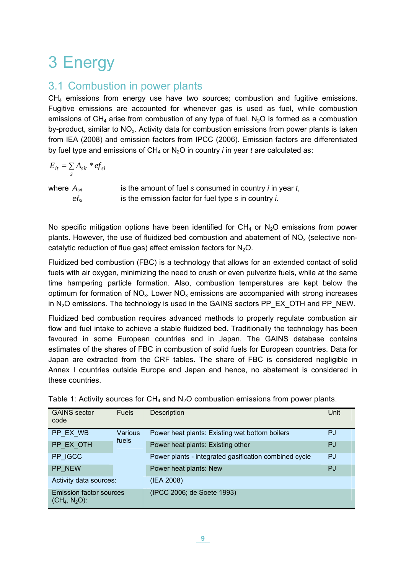# <span id="page-10-0"></span>3 Energy

## <span id="page-10-1"></span>3.1 Combustion in power plants

 $CH<sub>4</sub>$  emissions from energy use have two sources; combustion and fugitive emissions. Fugitive emissions are accounted for whenever gas is used as fuel, while combustion emissions of CH<sub>4</sub> arise from combustion of any type of fuel. N<sub>2</sub>O is formed as a combustion by-product, similar to  $NO<sub>x</sub>$ . Activity data for combustion emissions from power plants is taken from IEA (2008) and emission factors from IPCC (2006). Emission factors are differentiated by fuel type and emissions of  $CH_4$  or  $N_2O$  in country *i* in year *t* are calculated as:

$$
E_{it} = \sum_{s} A_{sit} * ef_{si}
$$

where  $A_{sit}$  is the amount of fuel *s* consumed in country *i* in year *t*, *efsi* is the emission factor for fuel type *s* in country *i*.

No specific mitigation options have been identified for  $CH_4$  or  $N_2O$  emissions from power plants. However, the use of fluidized bed combustion and abatement of  $NO<sub>x</sub>$  (selective noncatalytic reduction of flue gas) affect emission factors for  $N_2O$ .

Fluidized bed combustion (FBC) is a technology that allows for an extended contact of solid fuels with air oxygen, minimizing the need to crush or even pulverize fuels, while at the same time hampering particle formation. Also, combustion temperatures are kept below the optimum for formation of  $NO<sub>x</sub>$ . Lower  $NO<sub>x</sub>$  emissions are accompanied with strong increases in  $N_2O$  emissions. The technology is used in the GAINS sectors PP\_EX\_OTH and PP\_NEW.

Fluidized bed combustion requires advanced methods to properly regulate combustion air flow and fuel intake to achieve a stable fluidized bed. Traditionally the technology has been favoured in some European countries and in Japan. The GAINS database contains estimates of the shares of FBC in combustion of solid fuels for European countries. Data for Japan are extracted from the CRF tables. The share of FBC is considered negligible in Annex I countries outside Europe and Japan and hence, no abatement is considered in these countries.

| <b>GAINS</b> sector<br>code                        | <b>Fuels</b>     | Description                                           | Unit |
|----------------------------------------------------|------------------|-------------------------------------------------------|------|
| PP EX WB                                           | Various<br>fuels | Power heat plants: Existing wet bottom boilers        | P.I  |
| PP EX OTH                                          |                  | Power heat plants: Existing other                     | PJ   |
| PP IGCC                                            |                  | Power plants - integrated gasification combined cycle | PJ   |
| PP NEW                                             |                  | Power heat plants: New                                | PJ   |
| Activity data sources:                             |                  | (IEA 2008)                                            |      |
| <b>Emission factor sources</b><br>$(CH_4, N_2O)$ : |                  | (IPCC 2006; de Soete 1993)                            |      |

Table 1: Activity sources for  $CH_4$  and  $N_2O$  combustion emissions from power plants.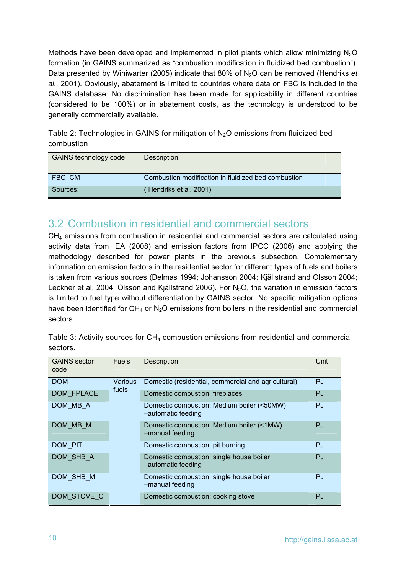Methods have been developed and implemented in pilot plants which allow minimizing  $N_2O$ formation (in GAINS summarized as "combustion modification in fluidized bed combustion"). Data presented by Winiwarter (2005) indicate that 80% of N<sub>2</sub>O can be removed (Hendriks *et al.,* 2001). Obviously, abatement is limited to countries where data on FBC is included in the GAINS database. No discrimination has been made for applicability in different countries (considered to be 100%) or in abatement costs, as the technology is understood to be generally commercially available.

<span id="page-11-1"></span>Table 2: Technologies in GAINS for mitigation of  $N_2O$  emissions from fluidized bed combustion

| GAINS technology code | <b>Description</b>                                  |
|-----------------------|-----------------------------------------------------|
| FBC CM                | Combustion modification in fluidized bed combustion |
| Sources:              | Hendriks et al. 2001)                               |

### <span id="page-11-0"></span>3.2 Combustion in residential and commercial sectors

 $CH<sub>4</sub>$  emissions from combustion in residential and commercial sectors are calculated using activity data from IEA (2008) and emission factors from IPCC (2006) and applying the methodology described for power plants in the previous subsection. Complementary information on emission factors in the residential sector for different types of fuels and boilers is taken from various sources (Delmas 1994; Johansson 2004; Kjällstrand and Olsson 2004; Leckner et al. 2004; Olsson and Kjällstrand 2006). For  $N<sub>2</sub>O$ , the variation in emission factors is limited to fuel type without differentiation by GAINS sector. No specific mitigation options have been identified for  $CH_4$  or  $N_2O$  emissions from boilers in the residential and commercial sectors.

| <b>GAINS</b> sector<br>code | <b>Fuels</b> | <b>Description</b>                                               | Unit      |
|-----------------------------|--------------|------------------------------------------------------------------|-----------|
| <b>DOM</b>                  | Various      | Domestic (residential, commercial and agricultural)              | <b>PJ</b> |
| DOM FPLACE                  | fuels        | Domestic combustion: fireplaces                                  | PJ        |
| DOM MB A                    |              | Domestic combustion: Medium boiler (<50MW)<br>-automatic feeding | <b>PJ</b> |
| DOM MB M                    |              | Domestic combustion: Medium boiler (<1MW)<br>-manual feeding     | PJ        |
| DOM PIT                     |              | Domestic combustion: pit burning                                 | PJ.       |
| DOM SHB A                   |              | Domestic combustion: single house boiler<br>-automatic feeding   | PJ        |
| DOM SHB M                   |              | Domestic combustion: single house boiler<br>-manual feeding      | PJ.       |
| DOM STOVE C                 |              | Domestic combustion: cooking stove                               | PJ        |

Table 3: Activity sources for  $CH_4$  combustion emissions from residential and commercial sectors.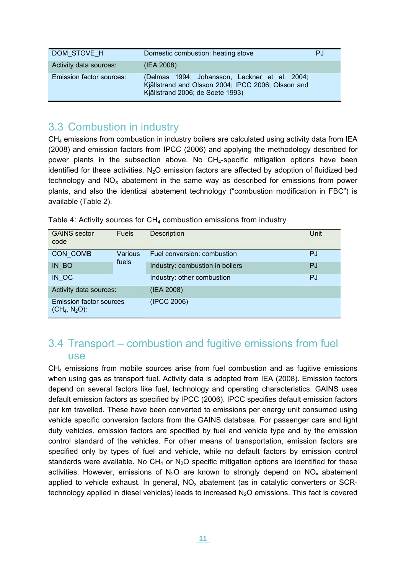| DOM STOVE H                     | Domestic combustion: heating stove                                                                                                      | P.I |
|---------------------------------|-----------------------------------------------------------------------------------------------------------------------------------------|-----|
| Activity data sources:          | (IEA 2008)                                                                                                                              |     |
| <b>Emission factor sources:</b> | (Delmas 1994; Johansson, Leckner et al. 2004;<br>Kjällstrand and Olsson 2004; IPCC 2006; Olsson and<br>Kjällstrand 2006; de Soete 1993) |     |

## <span id="page-12-0"></span>3.3 Combustion in industry

 $CH<sub>4</sub>$  emissions from combustion in industry boilers are calculated using activity data from IEA (2008) and emission factors from IPCC (2006) and applying the methodology described for power plants in the subsection above. No  $CH<sub>4</sub>$ -specific mitigation options have been identified for these activities. N<sub>2</sub>O emission factors are affected by adoption of fluidized bed technology and  $NO<sub>x</sub>$  abatement in the same way as described for emissions from power plants, and also the identical abatement technology ("combustion modification in FBC") is available [\(Table 2\)](#page-11-1).

| Table 4: Activity sources for $CH_4$ combustion emissions from industry |  |  |
|-------------------------------------------------------------------------|--|--|
|-------------------------------------------------------------------------|--|--|

| <b>GAINS</b> sector<br>code                        | <b>Fuels</b> | Description                     | Unit |
|----------------------------------------------------|--------------|---------------------------------|------|
| CON COMB                                           | Various      | Fuel conversion: combustion     | PJ   |
| IN BO                                              | fuels        | Industry: combustion in boilers | PJ   |
| IN OC                                              |              | Industry: other combustion      | PJ   |
| Activity data sources:                             |              | (IEA 2008)                      |      |
| <b>Emission factor sources</b><br>$(CH_4, N_2O)$ : |              | (IPCC 2006)                     |      |

### <span id="page-12-1"></span>3.4 Transport – combustion and fugitive emissions from fuel use

 $CH<sub>4</sub>$  emissions from mobile sources arise from fuel combustion and as fugitive emissions when using gas as transport fuel. Activity data is adopted from IEA (2008). Emission factors depend on several factors like fuel, technology and operating characteristics. GAINS uses default emission factors as specified by IPCC (2006). IPCC specifies default emission factors per km travelled. These have been converted to emissions per energy unit consumed using vehicle specific conversion factors from the GAINS database. For passenger cars and light duty vehicles, emission factors are specified by fuel and vehicle type and by the emission control standard of the vehicles. For other means of transportation, emission factors are specified only by types of fuel and vehicle, while no default factors by emission control standards were available. No CH<sub>4</sub> or N<sub>2</sub>O specific mitigation options are identified for these activities. However, emissions of  $N_2O$  are known to strongly depend on  $NO_x$  abatement applied to vehicle exhaust. In general,  $NO<sub>x</sub>$  abatement (as in catalytic converters or SCRtechnology applied in diesel vehicles) leads to increased  $N_2O$  emissions. This fact is covered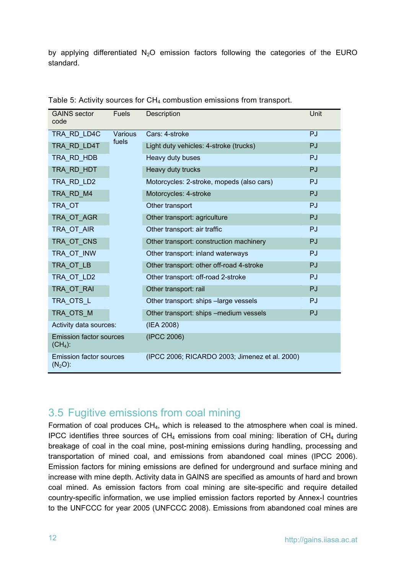by applying differentiated  $N_2O$  emission factors following the categories of the EURO standard.

| <b>GAINS</b> sector<br>code                  | <b>Fuels</b> | Description                                    | Unit      |
|----------------------------------------------|--------------|------------------------------------------------|-----------|
| TRA RD LD4C                                  | Various      | Cars: 4-stroke                                 | PJ        |
| TRA_RD_LD4T                                  | fuels        | Light duty vehicles: 4-stroke (trucks)         | PJ        |
| TRA RD HDB                                   |              | Heavy duty buses                               | PJ        |
| TRA RD HDT                                   |              | Heavy duty trucks                              | PJ        |
| TRA RD LD2                                   |              | Motorcycles: 2-stroke, mopeds (also cars)      | PJ        |
| TRA RD M4                                    |              | Motorcycles: 4-stroke                          | PJ        |
| TRA OT                                       |              | Other transport                                | PJ        |
| TRA OT AGR                                   |              | Other transport: agriculture                   | PJ        |
| TRA OT AIR                                   |              | Other transport: air traffic                   | PJ        |
| TRA OT CNS                                   |              | Other transport: construction machinery        | PJ        |
| TRA OT INW                                   |              | Other transport: inland waterways              | <b>PJ</b> |
| TRA_OT_LB                                    |              | Other transport: other off-road 4-stroke       | PJ        |
| TRA OT LD2                                   |              | Other transport: off-road 2-stroke             | PJ        |
| TRA_OT_RAI                                   |              | Other transport: rail                          | PJ        |
| TRA_OTS_L                                    |              | Other transport: ships -large vessels          | PJ        |
| TRA_OTS_M                                    |              | Other transport: ships -medium vessels         | PJ        |
| Activity data sources:                       |              | (IEA 2008)                                     |           |
| <b>Emission factor sources</b><br>$(CH4)$ :  |              | (IPCC 2006)                                    |           |
| <b>Emission factor sources</b><br>$(N_2O)$ : |              | (IPCC 2006; RICARDO 2003; Jimenez et al. 2000) |           |

Table 5: Activity sources for CH<sub>4</sub> combustion emissions from transport.

### <span id="page-13-0"></span>3.5 Fugitive emissions from coal mining

Formation of coal produces CH4, which is released to the atmosphere when coal is mined. IPCC identifies three sources of  $CH_4$  emissions from coal mining: liberation of  $CH_4$  during breakage of coal in the coal mine, post-mining emissions during handling, processing and transportation of mined coal, and emissions from abandoned coal mines (IPCC 2006). Emission factors for mining emissions are defined for underground and surface mining and increase with mine depth. Activity data in GAINS are specified as amounts of hard and brown coal mined. As emission factors from coal mining are site-specific and require detailed country-specific information, we use implied emission factors reported by Annex-I countries to the UNFCCC for year 2005 (UNFCCC 2008). Emissions from abandoned coal mines are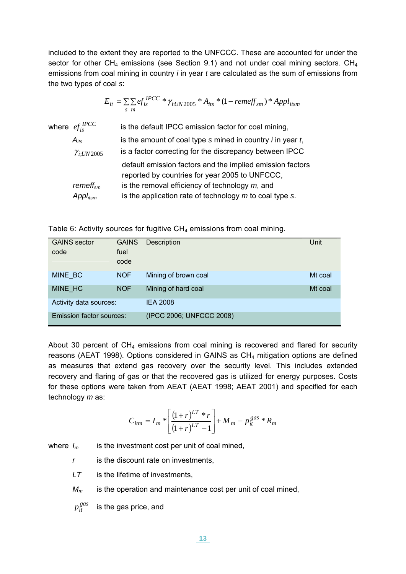included to the extent they are reported to the UNFCCC. These are accounted for under the sector for other  $CH_4$  emissions (see Section [9.1\)](#page-58-1) and not under coal mining sectors.  $CH_4$ emissions from coal mining in country *i* in year *t* are calculated as the sum of emissions from the two types of coal *s*:

$$
E_{it} = \sum_{s} \sum_{m} ef_{is}^{IPCC} * \gamma_{i:UN2005} * A_{its} * (1 - remeff_{sm}) * Appl_{itsm}
$$
\nwhere  $ef_{is}^{IPCC}$  is the default IPCC emission factor for coal mining, is the amount of coal type s mined in country *i* in year *t*, is a factor correcting for the discrepancy between IPCC default emission factors and the implied emission factors reported by countries for year 2005 to UNFCCC, *remeff<sub>sm</sub>* is the removal efficiency of technology *m*, and *Appl<sub>itsm</sub>* is the application rate of technology *m* to coal type s.

Table 6: Activity sources for fugitive  $CH<sub>4</sub>$  emissions from coal mining.

| <b>GAINS</b> sector<br>code | <b>GAINS</b><br>fuel<br>code | <b>Description</b>       | Unit    |
|-----------------------------|------------------------------|--------------------------|---------|
| MINE BC                     | <b>NOF</b>                   | Mining of brown coal     | Mt coal |
| MINE HC                     | <b>NOF</b>                   | Mining of hard coal      | Mt coal |
| Activity data sources:      |                              | <b>IEA 2008</b>          |         |
| Emission factor sources:    |                              | (IPCC 2006; UNFCCC 2008) |         |

About 30 percent of  $CH_4$  emissions from coal mining is recovered and flared for security reasons (AEAT 1998). Options considered in GAINS as CH<sub>4</sub> mitigation options are defined as measures that extend gas recovery over the security level. This includes extended recovery and flaring of gas or that the recovered gas is utilized for energy purposes. Costs for these options were taken from AEAT (AEAT 1998; AEAT 2001) and specified for each technology *m* as:

$$
C_{itm} = I_m * \left[ \frac{(1+r)^{LT} * r}{(1+r)^{LT} - 1} \right] + M_m - p_{it}^{gas} * R_m
$$

where  $I_m$  is the investment cost per unit of coal mined.

*r* is the discount rate on investments,

*LT* is the lifetime of investments,

*Mm* is the operation and maintenance cost per unit of coal mined,

 $p_{it}^{gas}$ is the gas price, and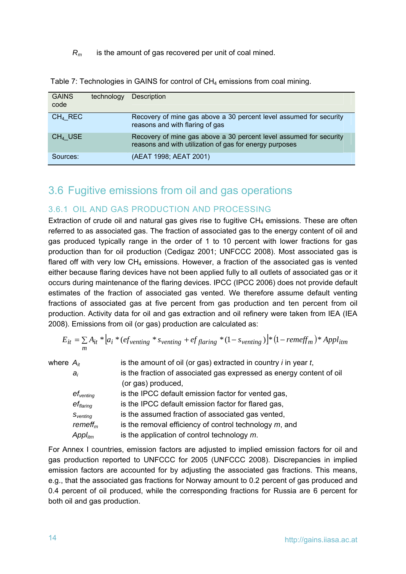*Rm* is the amount of gas recovered per unit of coal mined.

| <b>GAINS</b><br>code | technology | <b>Description</b>                                                                                                            |
|----------------------|------------|-------------------------------------------------------------------------------------------------------------------------------|
| $CH4$ REC            |            | Recovery of mine gas above a 30 percent level assumed for security<br>reasons and with flaring of gas                         |
| $CH4$ USE            |            | Recovery of mine gas above a 30 percent level assumed for security<br>reasons and with utilization of gas for energy purposes |
| Sources:             |            | (AEAT 1998; AEAT 2001)                                                                                                        |

Table 7: Technologies in GAINS for control of CH<sub>4</sub> emissions from coal mining.

## <span id="page-15-0"></span>3.6 Fugitive emissions from oil and gas operations

#### <span id="page-15-1"></span>3.6.1 OIL AND GAS PRODUCTION AND PROCESSING

Extraction of crude oil and natural gas gives rise to fugitive  $CH<sub>4</sub>$  emissions. These are often referred to as associated gas. The fraction of associated gas to the energy content of oil and gas produced typically range in the order of 1 to 10 percent with lower fractions for gas production than for oil production (Cedigaz 2001; UNFCCC 2008). Most associated gas is flared off with very low  $CH_4$  emissions. However, a fraction of the associated gas is vented either because flaring devices have not been applied fully to all outlets of associated gas or it occurs during maintenance of the flaring devices. IPCC (IPCC 2006) does not provide default estimates of the fraction of associated gas vented. We therefore assume default venting fractions of associated gas at five percent from gas production and ten percent from oil production. Activity data for oil and gas extraction and oil refinery were taken from IEA (IEA 2008). Emissions from oil (or gas) production are calculated as:

$$
E_{it} = \sum_{m} A_{it} * [a_i * (ef_{venting} * s_{venting} + ef_{flaring} * (1 - s_{venting})] * (1 - remeff_m) * Appl_{itm}
$$

| where $A_{it}$ |                       | is the amount of oil (or gas) extracted in country $i$ in year $t$ , |
|----------------|-----------------------|----------------------------------------------------------------------|
|                | $a_i$                 | is the fraction of associated gas expressed as energy content of oil |
|                |                       | (or gas) produced,                                                   |
|                | $ef_{\text{venting}}$ | is the IPCC default emission factor for vented gas,                  |
|                | $ef_{\text{flaring}}$ | is the IPCC default emission factor for flared gas,                  |
|                | $S_{\text{venting}}$  | is the assumed fraction of associated gas vented,                    |
|                | remeff <sub>m</sub>   | is the removal efficiency of control technology $m$ , and            |
|                | Appl <sub>itm</sub>   | is the application of control technology $m$ .                       |

For Annex I countries, emission factors are adjusted to implied emission factors for oil and gas production reported to UNFCCC for 2005 (UNFCCC 2008). Discrepancies in implied emission factors are accounted for by adjusting the associated gas fractions. This means, e.g., that the associated gas fractions for Norway amount to 0.2 percent of gas produced and 0.4 percent of oil produced, while the corresponding fractions for Russia are 6 percent for both oil and gas production.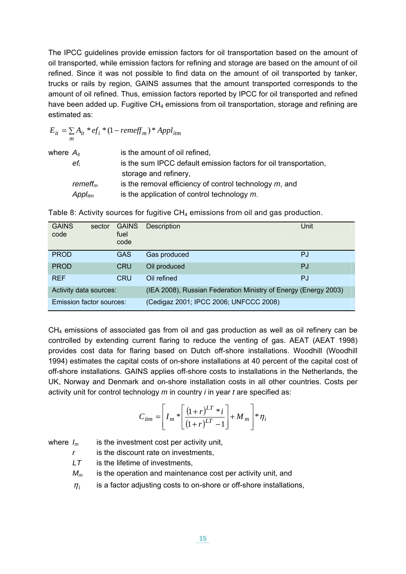The IPCC guidelines provide emission factors for oil transportation based on the amount of oil transported, while emission factors for refining and storage are based on the amount of oil refined. Since it was not possible to find data on the amount of oil transported by tanker, trucks or rails by region, GAINS assumes that the amount transported corresponds to the amount of oil refined. Thus, emission factors reported by IPCC for oil transported and refined have been added up. Fugitive  $CH_4$  emissions from oil transportation, storage and refining are estimated as:

$$
E_{it} = \sum_{m} A_{it} * ef_i * (1 - remeff_m) * Appl_{itm}
$$

| where $A_{it}$ |                           | is the amount of oil refined,                                    |
|----------------|---------------------------|------------------------------------------------------------------|
|                | $\mathsf{e} \mathsf{f}_i$ | is the sum IPCC default emission factors for oil transportation, |
|                |                           | storage and refinery,                                            |
|                | remeff $_m$               | is the removal efficiency of control technology $m$ , and        |
|                | $Appl_{itm}$              | is the application of control technology $m$ .                   |

| <b>GAINS</b><br>code     | sector | <b>GAINS</b><br>fuel<br>code | <b>Description</b>                                              | Unit      |
|--------------------------|--------|------------------------------|-----------------------------------------------------------------|-----------|
| <b>PROD</b>              |        | <b>GAS</b>                   | Gas produced                                                    | PJ        |
| <b>PROD</b>              |        | <b>CRU</b>                   | Oil produced                                                    | PJ        |
| <b>REF</b>               |        | <b>CRU</b>                   | Oil refined                                                     | <b>PJ</b> |
| Activity data sources:   |        |                              | (IEA 2008), Russian Federation Ministry of Energy (Energy 2003) |           |
| Emission factor sources: |        |                              | (Cedigaz 2001; IPCC 2006; UNFCCC 2008)                          |           |

Table 8: Activity sources for fugitive CH<sub>4</sub> emissions from oil and gas production.

 $CH<sub>4</sub>$  emissions of associated gas from oil and gas production as well as oil refinery can be controlled by extending current flaring to reduce the venting of gas. AEAT (AEAT 1998) provides cost data for flaring based on Dutch off-shore installations. Woodhill (Woodhill 1994) estimates the capital costs of on-shore installations at 40 percent of the capital cost of off-shore installations. GAINS applies off-shore costs to installations in the Netherlands, the UK, Norway and Denmark and on-shore installation costs in all other countries. Costs per activity unit for control technology *m* in country *i* in year *t* are specified as:

$$
C_{itm} = \left[I_m * \left[\frac{(1+r)^{LT} * i}{(1+r)^{LT} - 1}\right] + M_m\right] * \eta_i
$$

where  $I_m$  is the investment cost per activity unit,

*r* is the discount rate on investments,

*LT* is the lifetime of investments,

*M<sub>m</sub>* is the operation and maintenance cost per activity unit, and

 $\eta_i$  is a factor adjusting costs to on-shore or off-shore installations,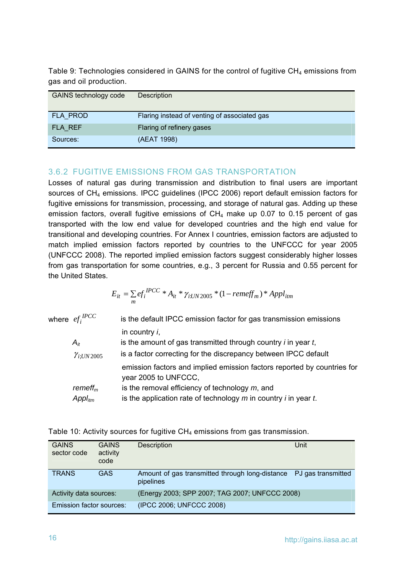Table 9: Technologies considered in GAINS for the control of fugitive  $CH_4$  emissions from gas and oil production.

| <b>GAINS technology code</b> | Description                                  |
|------------------------------|----------------------------------------------|
| FLA PROD                     | Flaring instead of venting of associated gas |
| FLA REF                      | Flaring of refinery gases                    |
| Sources:                     | (AEAT 1998)                                  |

#### 3.6.2 FUGITIVE EMISSIONS FROM GAS TRANSPORTATION

<span id="page-17-0"></span>Losses of natural gas during transmission and distribution to final users are important sources of CH<sub>4</sub> emissions. IPCC guidelines (IPCC 2006) report default emission factors for fugitive emissions for transmission, processing, and storage of natural gas. Adding up these emission factors, overall fugitive emissions of  $CH<sub>4</sub>$  make up 0.07 to 0.15 percent of gas transported with the low end value for developed countries and the high end value for transitional and developing countries. For Annex I countries, emission factors are adjusted to match implied emission factors reported by countries to the UNFCCC for year 2005 (UNFCCC 2008). The reported implied emission factors suggest considerably higher losses from gas transportation for some countries, e.g., 3 percent for Russia and 0.55 percent for the United States.

$$
E_{it} = \sum_{m} e f_i^{IPCC} * A_{it} * \gamma_{i:UN2005} * (1 - remeff_m) * Appl_{itm}
$$

| where $ef_i^{IPCC}$                 | is the default IPCC emission factor for gas transmission emissions                                                          |
|-------------------------------------|-----------------------------------------------------------------------------------------------------------------------------|
|                                     | in country $i$ ,                                                                                                            |
| $A_{it}$                            | is the amount of gas transmitted through country $i$ in year $t$ ,                                                          |
| $\gamma_{i;UN2005}$                 | is a factor correcting for the discrepancy between IPCC default                                                             |
|                                     | emission factors and implied emission factors reported by countries for<br>year 2005 to UNFCCC,                             |
| remeff <sub>m</sub><br>$Appl_{itm}$ | is the removal efficiency of technology $m$ , and<br>is the application rate of technology $m$ in country $i$ in year $t$ . |
|                                     |                                                                                                                             |

| <b>GAINS</b><br>sector code     | <b>GAINS</b><br>activity<br>code | Description                                                                     | Unit |
|---------------------------------|----------------------------------|---------------------------------------------------------------------------------|------|
| <b>TRANS</b>                    | <b>GAS</b>                       | Amount of gas transmitted through long-distance PJ gas transmitted<br>pipelines |      |
| Activity data sources:          |                                  | (Energy 2003; SPP 2007; TAG 2007; UNFCCC 2008)                                  |      |
| <b>Emission factor sources:</b> |                                  | (IPCC 2006; UNFCCC 2008)                                                        |      |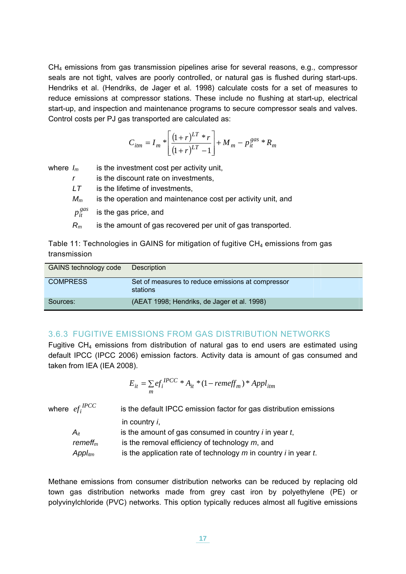$CH<sub>4</sub>$  emissions from gas transmission pipelines arise for several reasons, e.g., compressor seals are not tight, valves are poorly controlled, or natural gas is flushed during start-ups. Hendriks et al. (Hendriks, de Jager et al. 1998) calculate costs for a set of measures to reduce emissions at compressor stations. These include no flushing at start-up, electrical start-up, and inspection and maintenance programs to secure compressor seals and valves. Control costs per PJ gas transported are calculated as:

$$
C_{itm} = I_m * \left[ \frac{(1+r)^{LT} * r}{(1+r)^{LT} - 1} \right] + M_m - p_{it}^{gas} * R_m
$$

where  $I_m$  is the investment cost per activity unit,

*r* is the discount rate on investments,

*LT* is the lifetime of investments,

*Mm* is the operation and maintenance cost per activity unit, and

 $p_{it}^{gas}$ is the gas price, and

*Rm* is the amount of gas recovered per unit of gas transported.

Table 11: Technologies in GAINS for mitigation of fugitive  $CH<sub>4</sub>$  emissions from gas transmission

| GAINS technology code | Description                                                   |
|-----------------------|---------------------------------------------------------------|
| <b>COMPRESS</b>       | Set of measures to reduce emissions at compressor<br>stations |
| Sources:              | (AEAT 1998; Hendriks, de Jager et al. 1998)                   |

#### <span id="page-18-0"></span>3.6.3 FUGITIVE EMISSIONS FROM GAS DISTRIBUTION NETWORKS

Fugitive  $CH_4$  emissions from distribution of natural gas to end users are estimated using default IPCC (IPCC 2006) emission factors. Activity data is amount of gas consumed and taken from IEA (IEA 2008).

$$
E_{it} = \sum_{m} e f_i^{IPCC} * A_{it} * (1 - remeff_m) * Appl_{itm}
$$

| where $ef_i^{IPCC}$ | is the default IPCC emission factor for gas distribution emissions          |
|---------------------|-----------------------------------------------------------------------------|
|                     | in country $i$ ,                                                            |
| $A_{it}$            | is the amount of gas consumed in country $i$ in year $t$ ,                  |
| remeff $_m$         | is the removal efficiency of technology $m$ , and                           |
| $Appl_{itm}$        | is the application rate of technology $m$ in country <i>i</i> in year $t$ . |

Methane emissions from consumer distribution networks can be reduced by replacing old town gas distribution networks made from grey cast iron by polyethylene (PE) or polyvinylchloride (PVC) networks. This option typically reduces almost all fugitive emissions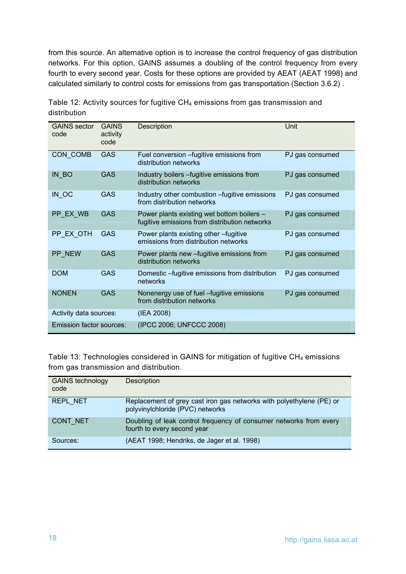from this source. An alternative option is to increase the control frequency of gas distribution networks. For this option, GAINS assumes a doubling of the control frequency from every fourth to every second year. Costs for these options are provided by AEAT (AEAT 1998) and calculated similarly to control costs for emissions from gas transportation (Section [3.6.2](#page-17-0)) .

| <b>GAINS</b> sector<br>code | <b>GAINS</b><br>activity<br>code | Description                                                                                 | Unit            |
|-----------------------------|----------------------------------|---------------------------------------------------------------------------------------------|-----------------|
| CON COMB                    | <b>GAS</b>                       | Fuel conversion - fugitive emissions from<br>distribution networks                          | PJ gas consumed |
| IN BO                       | <b>GAS</b>                       | Industry boilers - fugitive emissions from<br>distribution networks                         | PJ gas consumed |
| $IN$ <sub>OC</sub>          | GAS                              | Industry other combustion - fugitive emissions<br>from distribution networks                | PJ gas consumed |
| PP EX WB                    | GAS                              | Power plants existing wet bottom boilers -<br>fugitive emissions from distribution networks | PJ gas consumed |
| PP_EX_OTH                   | <b>GAS</b>                       | Power plants existing other -fugitive<br>emissions from distribution networks               | PJ gas consumed |
| PP NEW                      | GAS                              | Power plants new – fugitive emissions from<br>distribution networks                         | PJ gas consumed |
| <b>DOM</b>                  | <b>GAS</b>                       | Domestic -fugitive emissions from distribution<br>networks                                  | PJ gas consumed |
| <b>NONEN</b>                | <b>GAS</b>                       | Nonenergy use of fuel -fugitive emissions<br>from distribution networks                     | PJ gas consumed |
| Activity data sources:      |                                  | (IEA 2008)                                                                                  |                 |
| Emission factor sources:    |                                  | (IPCC 2006; UNFCCC 2008)                                                                    |                 |

Table 12: Activity sources for fugitive  $CH_4$  emissions from gas transmission and distribution

Table 13: Technologies considered in GAINS for mitigation of fugitive  $CH<sub>4</sub>$  emissions from gas transmission and distribution.

| <b>GAINS technology</b><br>code | Description                                                                                              |
|---------------------------------|----------------------------------------------------------------------------------------------------------|
| REPL_NET                        | Replacement of grey cast iron gas networks with polyethylene (PE) or<br>polyvinylchloride (PVC) networks |
| CONT NET                        | Doubling of leak control frequency of consumer networks from every<br>fourth to every second year        |
| Sources:                        | (AEAT 1998; Hendriks, de Jager et al. 1998)                                                              |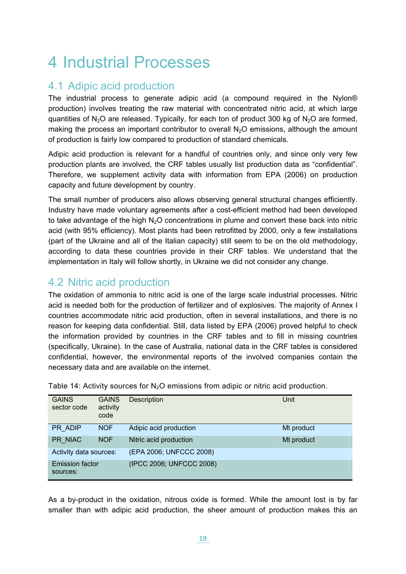# <span id="page-20-0"></span>4 Industrial Processes

## <span id="page-20-1"></span>4.1 Adipic acid production

The industrial process to generate adipic acid (a compound required in the Nylon® production) involves treating the raw material with concentrated nitric acid, at which large quantities of N<sub>2</sub>O are released. Typically, for each ton of product 300 kg of N<sub>2</sub>O are formed, making the process an important contributor to overall  $N_2O$  emissions, although the amount of production is fairly low compared to production of standard chemicals.

Adipic acid production is relevant for a handful of countries only, and since only very few production plants are involved, the CRF tables usually list production data as "confidential". Therefore, we supplement activity data with information from EPA (2006) on production capacity and future development by country.

The small number of producers also allows observing general structural changes efficiently. Industry have made voluntary agreements after a cost-efficient method had been developed to take advantage of the high  $N<sub>2</sub>O$  concentrations in plume and convert these back into nitric acid (with 95% efficiency). Most plants had been retrofitted by 2000, only a few installations (part of the Ukraine and all of the Italian capacity) still seem to be on the old methodology, according to data these countries provide in their CRF tables. We understand that the implementation in Italy will follow shortly, in Ukraine we did not consider any change.

## <span id="page-20-2"></span>4.2 Nitric acid production

The oxidation of ammonia to nitric acid is one of the large scale industrial processes. Nitric acid is needed both for the production of fertilizer and of explosives. The majority of Annex I countries accommodate nitric acid production, often in several installations, and there is no reason for keeping data confidential. Still, data listed by EPA (2006) proved helpful to check the information provided by countries in the CRF tables and to fill in missing countries (specifically, Ukraine). In the case of Australia, national data in the CRF tables is considered confidential, however, the environmental reports of the involved companies contain the necessary data and are available on the internet.

| <b>GAINS</b><br>sector code        | <b>GAINS</b><br>activity<br>code | Description              | Unit       |
|------------------------------------|----------------------------------|--------------------------|------------|
| PR ADIP                            | <b>NOF</b>                       | Adipic acid production   | Mt product |
| PR NIAC                            | <b>NOF</b>                       | Nitric acid production   | Mt product |
| Activity data sources:             |                                  | (EPA 2006; UNFCCC 2008)  |            |
| <b>Emission factor</b><br>sources: |                                  | (IPCC 2006; UNFCCC 2008) |            |

Table 14: Activity sources for  $N_2O$  emissions from adipic or nitric acid production.

As a by-product in the oxidation, nitrous oxide is formed. While the amount lost is by far smaller than with adipic acid production, the sheer amount of production makes this an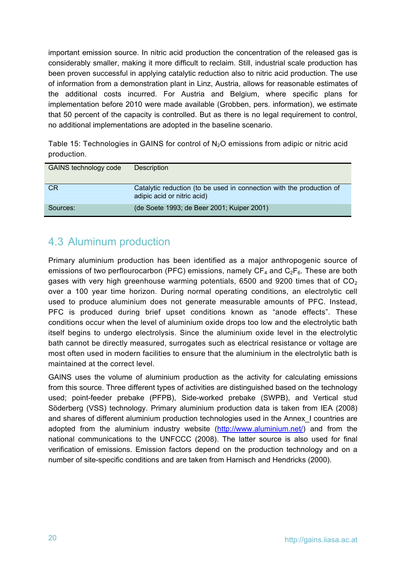important emission source. In nitric acid production the concentration of the released gas is considerably smaller, making it more difficult to reclaim. Still, industrial scale production has been proven successful in applying catalytic reduction also to nitric acid production. The use of information from a demonstration plant in Linz, Austria, allows for reasonable estimates of the additional costs incurred. For Austria and Belgium, where specific plans for implementation before 2010 were made available (Grobben, pers. information), we estimate that 50 percent of the capacity is controlled. But as there is no legal requirement to control, no additional implementations are adopted in the baseline scenario.

Table 15: Technologies in GAINS for control of  $N_2O$  emissions from adipic or nitric acid production.

| GAINS technology code | <b>Description</b>                                                                                  |
|-----------------------|-----------------------------------------------------------------------------------------------------|
| <b>CR</b>             | Catalytic reduction (to be used in connection with the production of<br>adipic acid or nitric acid) |
| Sources:              | (de Soete 1993; de Beer 2001; Kuiper 2001)                                                          |

## <span id="page-21-0"></span>4.3 Aluminum production

Primary aluminium production has been identified as a major anthropogenic source of emissions of two perflourocarbon (PFC) emissions, namely  $CF_4$  and  $C_2F_6$ . These are both gases with very high greenhouse warming potentials, 6500 and 9200 times that of  $CO<sub>2</sub>$ over a 100 year time horizon. During normal operating conditions, an electrolytic cell used to produce aluminium does not generate measurable amounts of PFC. Instead, PFC is produced during brief upset conditions known as "anode effects". These conditions occur when the level of aluminium oxide drops too low and the electrolytic bath itself begins to undergo electrolysis. Since the aluminium oxide level in the electrolytic bath cannot be directly measured, surrogates such as electrical resistance or voltage are most often used in modern facilities to ensure that the aluminium in the electrolytic bath is maintained at the correct level.

GAINS uses the volume of aluminium production as the activity for calculating emissions from this source. Three different types of activities are distinguished based on the technology used; point-feeder prebake (PFPB), Side-worked prebake (SWPB), and Vertical stud Söderberg (VSS) technology. Primary aluminium production data is taken from IEA (2008) and shares of different aluminium production technologies used in the Annex\_I countries are adopted from the aluminium industry website ([http://www.aluminium.net/\)](http://www.aluminium.net/) and from the national communications to the UNFCCC (2008). The latter source is also used for final verification of emissions. Emission factors depend on the production technology and on a number of site-specific conditions and are taken from Harnisch and Hendricks (2000).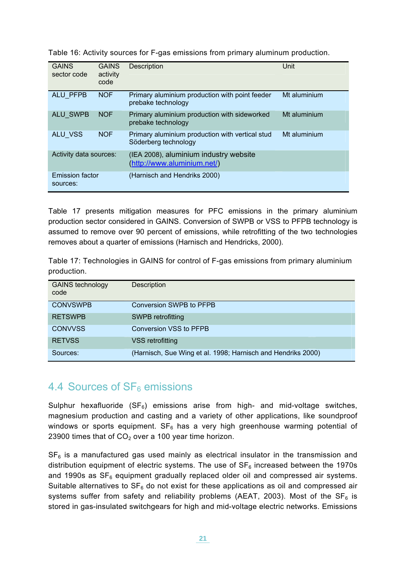| <b>GAINS</b><br>sector code        | <b>GAINS</b><br>activity<br>code | <b>Description</b>                                                      | Unit         |
|------------------------------------|----------------------------------|-------------------------------------------------------------------------|--------------|
| ALU PFPB                           | <b>NOF</b>                       | Primary aluminium production with point feeder<br>prebake technology    | Mt aluminium |
| ALU_SWPB                           | <b>NOF</b>                       | Primary aluminium production with sideworked<br>prebake technology      | Mt aluminium |
| <b>ALU VSS</b>                     | <b>NOF</b>                       | Primary aluminium production with vertical stud<br>Söderberg technology | Mt aluminium |
| Activity data sources:             |                                  | (IEA 2008), aluminium industry website<br>(http://www.aluminium.net/)   |              |
| <b>Emission factor</b><br>sources: |                                  | (Harnisch and Hendriks 2000)                                            |              |

Table 16: Activity sources for F-gas emissions from primary aluminum production.

[Table 17](#page-22-1) presents mitigation measures for PFC emissions in the primary aluminium production sector considered in GAINS. Conversion of SWPB or VSS to PFPB technology is assumed to remove over 90 percent of emissions, while retrofitting of the two technologies removes about a quarter of emissions (Harnisch and Hendricks, 2000).

<span id="page-22-1"></span>Table 17: Technologies in GAINS for control of F-gas emissions from primary aluminium production.

| <b>GAINS technology</b><br>code | <b>Description</b>                                           |
|---------------------------------|--------------------------------------------------------------|
| <b>CONVSWPB</b>                 | Conversion SWPB to PFPB                                      |
| <b>RETSWPB</b>                  | SWPB retrofitting                                            |
| <b>CONVVSS</b>                  | Conversion VSS to PFPB                                       |
| <b>RETVSS</b>                   | VSS retrofitting                                             |
| Sources:                        | (Harnisch, Sue Wing et al. 1998; Harnisch and Hendriks 2000) |

### <span id="page-22-0"></span>4.4 Sources of  $SF<sub>6</sub>$  emissions

Sulphur hexafluoride  $(SF_6)$  emissions arise from high- and mid-voltage switches, magnesium production and casting and a variety of other applications, like soundproof windows or sports equipment.  $SF_6$  has a very high greenhouse warming potential of 23900 times that of  $CO<sub>2</sub>$  over a 100 year time horizon.

 $SF<sub>6</sub>$  is a manufactured gas used mainly as electrical insulator in the transmission and distribution equipment of electric systems. The use of  $SF<sub>6</sub>$  increased between the 1970s and 1990s as  $SF_6$  equipment gradually replaced older oil and compressed air systems. Suitable alternatives to  $SF_6$  do not exist for these applications as oil and compressed air systems suffer from safety and reliability problems (AEAT, 2003). Most of the  $SF_6$  is stored in gas-insulated switchgears for high and mid-voltage electric networks. Emissions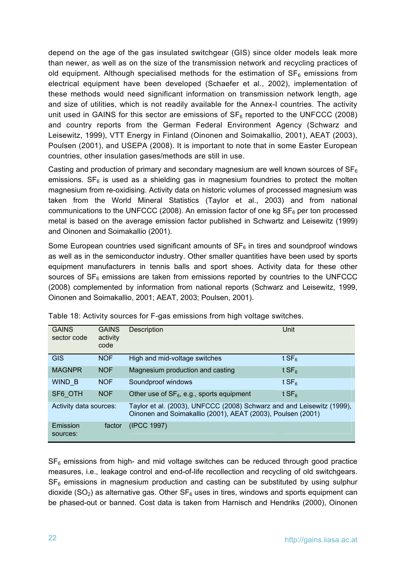depend on the age of the gas insulated switchgear (GIS) since older models leak more than newer, as well as on the size of the transmission network and recycling practices of old equipment. Although specialised methods for the estimation of  $SF<sub>6</sub>$  emissions from electrical equipment have been developed (Schaefer et al., 2002), implementation of these methods would need significant information on transmission network length, age and size of utilities, which is not readily available for the Annex-I countries. The activity unit used in GAINS for this sector are emissions of  $SF_6$  reported to the UNFCCC (2008) and country reports from the German Federal Environment Agency (Schwarz and Leisewitz, 1999), VTT Energy in Finland (Oinonen and Soimakallio, 2001), AEAT (2003), Poulsen (2001), and USEPA (2008). It is important to note that in some Easter European countries, other insulation gases/methods are still in use.

Casting and production of primary and secondary magnesium are well known sources of  $SF<sub>6</sub>$ emissions.  $SF<sub>6</sub>$  is used as a shielding gas in magnesium foundries to protect the molten magnesium from re-oxidising. Activity data on historic volumes of processed magnesium was taken from the World Mineral Statistics (Taylor et al., 2003) and from national communications to the UNFCCC (2008). An emission factor of one kg  $SF<sub>6</sub>$  per ton processed metal is based on the average emission factor published in Schwartz and Leisewitz (1999) and Oinonen and Soimakallio (2001).

Some European countries used significant amounts of  $SF<sub>6</sub>$  in tires and soundproof windows as well as in the semiconductor industry. Other smaller quantities have been used by sports equipment manufacturers in tennis balls and sport shoes. Activity data for these other sources of  $SF<sub>6</sub>$  emissions are taken from emissions reported by countries to the UNFCCC (2008) complemented by information from national reports (Schwarz and Leisewitz, 1999, Oinonen and Soimakallio, 2001; AEAT, 2003; Poulsen, 2001).

| <b>GAINS</b><br>sector code | <b>GAINS</b><br>activity<br>code | Description                                                                                                                          | Unit             |
|-----------------------------|----------------------------------|--------------------------------------------------------------------------------------------------------------------------------------|------------------|
| <b>GIS</b>                  | <b>NOF</b>                       | High and mid-voltage switches                                                                                                        | tSF <sub>6</sub> |
| <b>MAGNPR</b>               | <b>NOF</b>                       | Magnesium production and casting                                                                                                     | tSF <sub>6</sub> |
| WIND B                      | <b>NOF</b>                       | Soundproof windows                                                                                                                   | tSF <sub>6</sub> |
| SF6 OTH                     | <b>NOF</b>                       | Other use of $SF_6$ , e.g., sports equipment                                                                                         | tSF <sub>6</sub> |
| Activity data sources:      |                                  | Taylor et al. (2003), UNFCCC (2008) Schwarz and and Leisewitz (1999),<br>Oinonen and Soimakallio (2001), AEAT (2003), Poulsen (2001) |                  |
| Emission<br>sources:        | factor                           | (IPCC 1997)                                                                                                                          |                  |

Table 18: Activity sources for F-gas emissions from high voltage switches.

 $SF<sub>6</sub>$  emissions from high- and mid voltage switches can be reduced through good practice measures, i.e., leakage control and end-of-life recollection and recycling of old switchgears.  $SF<sub>6</sub>$  emissions in magnesium production and casting can be substituted by using sulphur dioxide (SO<sub>2</sub>) as alternative gas. Other  $SF<sub>6</sub>$  uses in tires, windows and sports equipment can be phased-out or banned. Cost data is taken from Harnisch and Hendriks (2000), Oinonen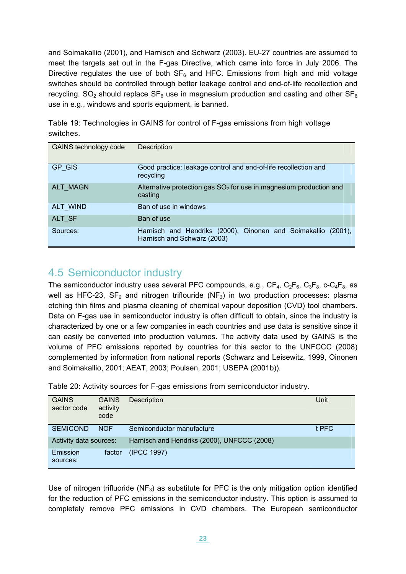and Soimakallio (2001), and Harnisch and Schwarz (2003). EU-27 countries are assumed to meet the targets set out in the F-gas Directive, which came into force in July 2006. The Directive regulates the use of both  $SF_6$  and HFC. Emissions from high and mid voltage switches should be controlled through better leakage control and end-of-life recollection and recycling.  $SO_2$  should replace  $SF_6$  use in magnesium production and casting and other  $SF_6$ use in e.g., windows and sports equipment, is banned.

| <b>,,,,,,,,,,,,,,,,,,,,,</b> |                                                                                              |
|------------------------------|----------------------------------------------------------------------------------------------|
| <b>GAINS technology code</b> | Description                                                                                  |
| GP GIS                       | Good practice: leakage control and end-of-life recollection and<br>recycling                 |
| <b>ALT MAGN</b>              | Alternative protection gas $SO2$ for use in magnesium production and<br>casting              |
| ALT_WIND                     | Ban of use in windows                                                                        |
| ALT SF                       | Ban of use                                                                                   |
| Sources:                     | Harnisch and Hendriks (2000), Oinonen and Soimakallio (2001),<br>Harnisch and Schwarz (2003) |

Table 19: Technologies in GAINS for control of F-gas emissions from high voltage switches.

## <span id="page-24-0"></span>4.5 Semiconductor industry

The semiconductor industry uses several PFC compounds, e.g.,  $CF_4$ ,  $C_2F_6$ ,  $C_3F_8$ , c- $C_4F_8$ , as well as HFC-23,  $SF_6$  and nitrogen triflouride (NF<sub>3</sub>) in two production processes: plasma etching thin films and plasma cleaning of chemical vapour deposition (CVD) tool chambers. Data on F-gas use in semiconductor industry is often difficult to obtain, since the industry is characterized by one or a few companies in each countries and use data is sensitive since it can easily be converted into production volumes. The activity data used by GAINS is the volume of PFC emissions reported by countries for this sector to the UNFCCC (2008) complemented by information from national reports (Schwarz and Leisewitz, 1999, Oinonen and Soimakallio, 2001; AEAT, 2003; Poulsen, 2001; USEPA (2001b)).

|  |  |  | Table 20: Activity sources for F-gas emissions from semiconductor industry. |  |
|--|--|--|-----------------------------------------------------------------------------|--|
|  |  |  |                                                                             |  |

| <b>GAINS</b><br>sector code | <b>GAINS</b><br>activity<br>code | <b>Description</b>                          | Unit  |
|-----------------------------|----------------------------------|---------------------------------------------|-------|
| <b>SEMICOND</b>             | <b>NOF</b>                       | Semiconductor manufacture                   | t PFC |
| Activity data sources:      |                                  | Harnisch and Hendriks (2000), UNFCCC (2008) |       |
| Emission<br>sources:        | factor                           | (IPCC 1997)                                 |       |

Use of nitrogen trifluoride ( $NF<sub>3</sub>$ ) as substitute for PFC is the only mitigation option identified for the reduction of PFC emissions in the semiconductor industry. This option is assumed to completely remove PFC emissions in CVD chambers. The European semiconductor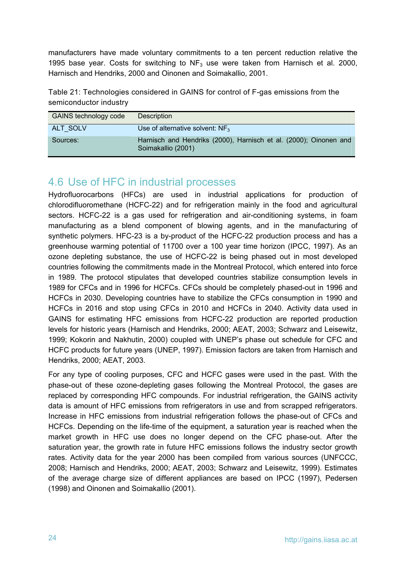manufacturers have made voluntary commitments to a ten percent reduction relative the 1995 base year. Costs for switching to  $NF_3$  use were taken from Harnisch et al. 2000, Harnisch and Hendriks, 2000 and Oinonen and Soimakallio, 2001.

Table 21: Technologies considered in GAINS for control of F-gas emissions from the semiconductor industry

| GAINS technology code | Description                                                                             |
|-----------------------|-----------------------------------------------------------------------------------------|
| ALT SOLV              | Use of alternative solvent: $NF_3$                                                      |
| Sources:              | Harnisch and Hendriks (2000), Harnisch et al. (2000); Oinonen and<br>Soimakallio (2001) |

## <span id="page-25-0"></span>4.6 Use of HFC in industrial processes

Hydrofluorocarbons (HFCs) are used in industrial applications for production of chlorodifluoromethane (HCFC-22) and for refrigeration mainly in the food and agricultural sectors. HCFC-22 is a gas used for refrigeration and air-conditioning systems, in foam manufacturing as a blend component of blowing agents, and in the manufacturing of synthetic polymers. HFC-23 is a by-product of the HCFC-22 production process and has a greenhouse warming potential of 11700 over a 100 year time horizon (IPCC, 1997). As an ozone depleting substance, the use of HCFC-22 is being phased out in most developed countries following the commitments made in the Montreal Protocol, which entered into force in 1989. The protocol stipulates that developed countries stabilize consumption levels in 1989 for CFCs and in 1996 for HCFCs. CFCs should be completely phased-out in 1996 and HCFCs in 2030. Developing countries have to stabilize the CFCs consumption in 1990 and HCFCs in 2016 and stop using CFCs in 2010 and HCFCs in 2040. Activity data used in GAINS for estimating HFC emissions from HCFC-22 production are reported production levels for historic years (Harnisch and Hendriks, 2000; AEAT, 2003; Schwarz and Leisewitz, 1999; Kokorin and Nakhutin, 2000) coupled with UNEP's phase out schedule for CFC and HCFC products for future years (UNEP, 1997). Emission factors are taken from Harnisch and Hendriks, 2000; AEAT, 2003.

For any type of cooling purposes, CFC and HCFC gases were used in the past. With the phase-out of these ozone-depleting gases following the Montreal Protocol, the gases are replaced by corresponding HFC compounds. For industrial refrigeration, the GAINS activity data is amount of HFC emissions from refrigerators in use and from scrapped refrigerators. Increase in HFC emissions from industrial refrigeration follows the phase-out of CFCs and HCFCs. Depending on the life-time of the equipment, a saturation year is reached when the market growth in HFC use does no longer depend on the CFC phase-out. After the saturation year, the growth rate in future HFC emissions follows the industry sector growth rates. Activity data for the year 2000 has been compiled from various sources (UNFCCC, 2008; Harnisch and Hendriks, 2000; AEAT, 2003; Schwarz and Leisewitz, 1999). Estimates of the average charge size of different appliances are based on IPCC (1997), Pedersen (1998) and Oinonen and Soimakallio (2001).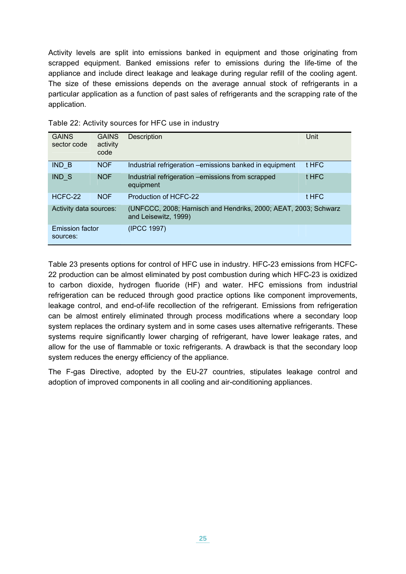Activity levels are split into emissions banked in equipment and those originating from scrapped equipment. Banked emissions refer to emissions during the life-time of the appliance and include direct leakage and leakage during regular refill of the cooling agent. The size of these emissions depends on the average annual stock of refrigerants in a particular application as a function of past sales of refrigerants and the scrapping rate of the application.

| <b>GAINS</b><br>sector code        | <b>GAINS</b><br>activity<br>code | Description                                                                             | Unit  |
|------------------------------------|----------------------------------|-----------------------------------------------------------------------------------------|-------|
| IND B                              | <b>NOF</b>                       | Industrial refrigeration - emissions banked in equipment                                | t HFC |
| IND S                              | <b>NOF</b>                       | Industrial refrigeration -emissions from scrapped<br>equipment                          | t HFC |
| HCFC-22                            | <b>NOF</b>                       | Production of HCFC-22                                                                   | t HFC |
| Activity data sources:             |                                  | (UNFCCC, 2008; Harnisch and Hendriks, 2000; AEAT, 2003; Schwarz<br>and Leisewitz, 1999) |       |
| <b>Emission factor</b><br>sources: |                                  | (IPCC 1997)                                                                             |       |

Table 22: Activity sources for HFC use in industry

Table 23 presents options for control of HFC use in industry. HFC-23 emissions from HCFC-22 production can be almost eliminated by post combustion during which HFC-23 is oxidized to carbon dioxide, hydrogen fluoride (HF) and water. HFC emissions from industrial refrigeration can be reduced through good practice options like component improvements, leakage control, and end-of-life recollection of the refrigerant. Emissions from refrigeration can be almost entirely eliminated through process modifications where a secondary loop system replaces the ordinary system and in some cases uses alternative refrigerants. These systems require significantly lower charging of refrigerant, have lower leakage rates, and allow for the use of flammable or toxic refrigerants. A drawback is that the secondary loop system reduces the energy efficiency of the appliance.

The F-gas Directive, adopted by the EU-27 countries, stipulates leakage control and adoption of improved components in all cooling and air-conditioning appliances.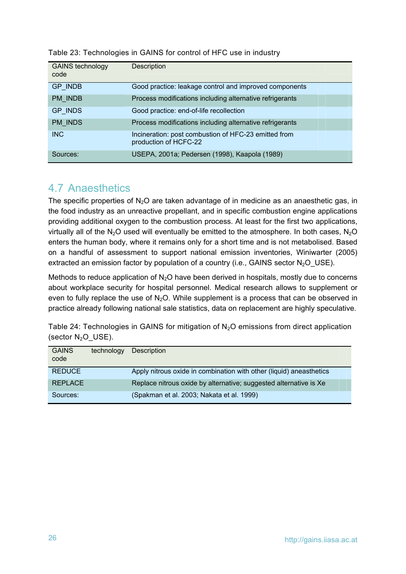| <b>GAINS technology</b><br>code | Description                                                                   |
|---------------------------------|-------------------------------------------------------------------------------|
| <b>GP INDB</b>                  | Good practice: leakage control and improved components                        |
| PM INDB                         | Process modifications including alternative refrigerants                      |
| <b>GP INDS</b>                  | Good practice: end-of-life recollection                                       |
| PM INDS                         | Process modifications including alternative refrigerants                      |
| <b>INC</b>                      | Incineration: post combustion of HFC-23 emitted from<br>production of HCFC-22 |
| Sources:                        | USEPA, 2001a; Pedersen (1998), Kaapola (1989)                                 |

#### Table 23: Technologies in GAINS for control of HFC use in industry

## <span id="page-27-0"></span>4.7 Anaesthetics

The specific properties of  $N<sub>2</sub>O$  are taken advantage of in medicine as an anaesthetic gas, in the food industry as an unreactive propellant, and in specific combustion engine applications providing additional oxygen to the combustion process. At least for the first two applications, virtually all of the N<sub>2</sub>O used will eventually be emitted to the atmosphere. In both cases, N<sub>2</sub>O enters the human body, where it remains only for a short time and is not metabolised. Based on a handful of assessment to support national emission inventories, Winiwarter (2005) extracted an emission factor by population of a country (i.e., GAINS sector  $N_2O$  USE).

Methods to reduce application of  $N_2O$  have been derived in hospitals, mostly due to concerns about workplace security for hospital personnel. Medical research allows to supplement or even to fully replace the use of  $N_2O$ . While supplement is a process that can be observed in practice already following national sale statistics, data on replacement are highly speculative.

Table 24: Technologies in GAINS for mitigation of  $N<sub>2</sub>O$  emissions from direct application (sector  $N_2O$ \_USE).

| <b>GAINS</b><br>code | technology | Description                                                         |
|----------------------|------------|---------------------------------------------------------------------|
| <b>REDUCE</b>        |            | Apply nitrous oxide in combination with other (liquid) aneasthetics |
| <b>REPLACE</b>       |            | Replace nitrous oxide by alternative; suggested alternative is Xe   |
| Sources:             |            | (Spakman et al. 2003; Nakata et al. 1999)                           |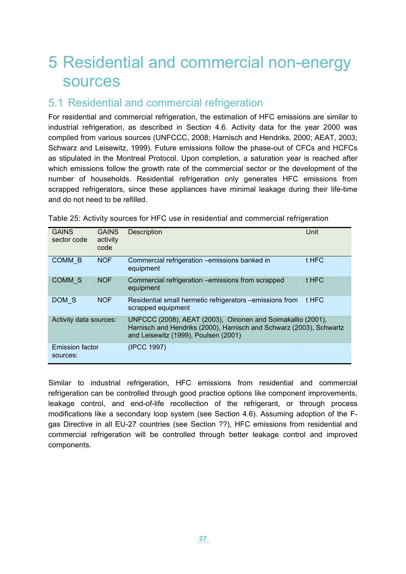## <span id="page-28-0"></span>5 Residential and commercial non-energy sources

### <span id="page-28-1"></span>5.1 Residential and commercial refrigeration

For residential and commercial refrigeration, the estimation of HFC emissions are similar to industrial refrigeration, as described in Section 4.6. Activity data for the year 2000 was compiled from various sources (UNFCCC, 2008; Harnisch and Hendriks, 2000; AEAT, 2003; Schwarz and Leisewitz, 1999). Future emissions follow the phase-out of CFCs and HCFCs as stipulated in the Montreal Protocol. Upon completion, a saturation year is reached after which emissions follow the growth rate of the commercial sector or the development of the number of households. Residential refrigeration only generates HFC emissions from scrapped refrigerators, since these appliances have minimal leakage during their life-time and do not need to be refilled.

| <b>GAINS</b><br>sector code        | <b>GAINS</b><br>activity<br>code | <b>Description</b>                                                                                                                                                         | Unit  |
|------------------------------------|----------------------------------|----------------------------------------------------------------------------------------------------------------------------------------------------------------------------|-------|
| COMM B                             | <b>NOF</b>                       | Commercial refrigeration - emissions banked in<br>equipment                                                                                                                | t HFC |
| COMM <sub>S</sub>                  | <b>NOF</b>                       | Commercial refrigeration – emissions from scrapped<br>equipment                                                                                                            | t HFC |
| DOM S                              | <b>NOF</b>                       | Residential small hermetic refrigerators -emissions from<br>scrapped equipment                                                                                             | t HFC |
| Activity data sources:             |                                  | UNFCCC (2008), AEAT (2003), Oinonen and Soimakallio (2001),<br>Harnisch and Hendriks (2000), Harnisch and Schwarz (2003), Schwartz<br>and Leisewitz (1999), Poulsen (2001) |       |
| <b>Emission factor</b><br>sources: |                                  | (IPCC 1997)                                                                                                                                                                |       |

Table 25: Activity sources for HFC use in residential and commercial refrigeration

Similar to industrial refrigeration, HFC emissions from residential and commercial refrigeration can be controlled through good practice options like component improvements, leakage control, and end-of-life recollection of the refrigerant, or through process modifications like a secondary loop system (see Section 4.6). Assuming adoption of the Fgas Directive in all EU-27 countries (see Section ??), HFC emissions from residential and commercial refrigeration will be controlled through better leakage control and improved components.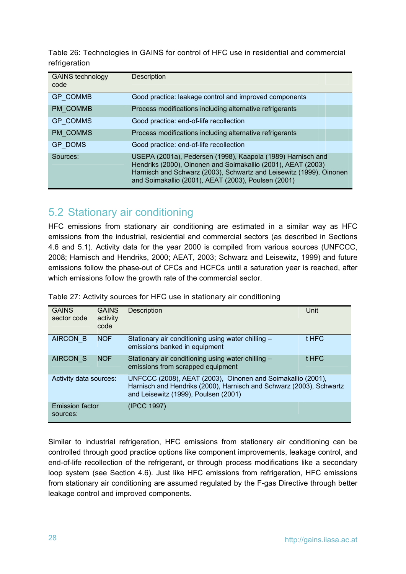Table 26: Technologies in GAINS for control of HFC use in residential and commercial refrigeration

| <b>GAINS technology</b><br>code | Description                                                                                                                                                                                                                                               |
|---------------------------------|-----------------------------------------------------------------------------------------------------------------------------------------------------------------------------------------------------------------------------------------------------------|
| <b>GP COMMB</b>                 | Good practice: leakage control and improved components                                                                                                                                                                                                    |
| PM COMMB                        | Process modifications including alternative refrigerants                                                                                                                                                                                                  |
| GP_COMMS                        | Good practice: end-of-life recollection                                                                                                                                                                                                                   |
| PM_COMMS                        | Process modifications including alternative refrigerants                                                                                                                                                                                                  |
| <b>GP DOMS</b>                  | Good practice: end-of-life recollection                                                                                                                                                                                                                   |
| Sources:                        | USEPA (2001a), Pedersen (1998), Kaapola (1989) Harnisch and<br>Hendriks (2000), Oinonen and Soimakallio (2001), AEAT (2003)<br>Harnisch and Schwarz (2003), Schwartz and Leisewitz (1999), Oinonen<br>and Soimakallio (2001), AEAT (2003), Poulsen (2001) |

### 5.2 Stationary air conditioning

<span id="page-29-0"></span>HFC emissions from stationary air conditioning are estimated in a similar way as HFC emissions from the industrial, residential and commercial sectors (as described in Sections 4.6 and 5.1). Activity data for the year 2000 is compiled from various sources (UNFCCC, 2008; Harnisch and Hendriks, 2000; AEAT, 2003; Schwarz and Leisewitz, 1999) and future emissions follow the phase-out of CFCs and HCFCs until a saturation year is reached, after which emissions follow the growth rate of the commercial sector.

| <b>GAINS</b><br>sector code        | <b>GAINS</b><br>activity<br>code | <b>Description</b>                                                                                                                                                         | Unit  |
|------------------------------------|----------------------------------|----------------------------------------------------------------------------------------------------------------------------------------------------------------------------|-------|
| <b>AIRCON B</b>                    | <b>NOF</b>                       | Stationary air conditioning using water chilling -<br>emissions banked in equipment                                                                                        | t HFC |
| <b>AIRCON S</b>                    | <b>NOF</b>                       | Stationary air conditioning using water chilling -<br>emissions from scrapped equipment                                                                                    | t HFC |
| Activity data sources:             |                                  | UNFCCC (2008), AEAT (2003), Oinonen and Soimakallio (2001),<br>Harnisch and Hendriks (2000), Harnisch and Schwarz (2003), Schwartz<br>and Leisewitz (1999), Poulsen (2001) |       |
| <b>Emission factor</b><br>sources: |                                  | (IPCC 1997)                                                                                                                                                                |       |

Table 27: Activity sources for HFC use in stationary air conditioning

Similar to industrial refrigeration, HFC emissions from stationary air conditioning can be controlled through good practice options like component improvements, leakage control, and end-of-life recollection of the refrigerant, or through process modifications like a secondary loop system (see Section 4.6). Just like HFC emissions from refrigeration, HFC emissions from stationary air conditioning are assumed regulated by the F-gas Directive through better leakage control and improved components.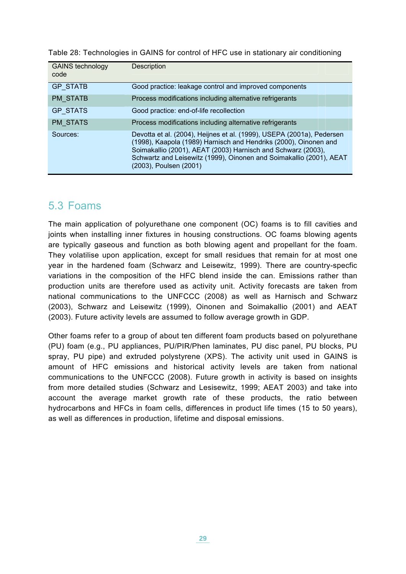Table 28: Technologies in GAINS for control of HFC use in stationary air conditioning

| <b>GAINS technology</b><br>code | Description                                                                                                                                                                                                                                                                                                |
|---------------------------------|------------------------------------------------------------------------------------------------------------------------------------------------------------------------------------------------------------------------------------------------------------------------------------------------------------|
| <b>GP STATB</b>                 | Good practice: leakage control and improved components                                                                                                                                                                                                                                                     |
| <b>PM STATB</b>                 | Process modifications including alternative refrigerants                                                                                                                                                                                                                                                   |
| <b>GP STATS</b>                 | Good practice: end-of-life recollection                                                                                                                                                                                                                                                                    |
| <b>PM STATS</b>                 | Process modifications including alternative refrigerants                                                                                                                                                                                                                                                   |
| Sources:                        | Devotta et al. (2004), Heijnes et al. (1999), USEPA (2001a), Pedersen<br>(1998), Kaapola (1989) Harnisch and Hendriks (2000), Oinonen and<br>Soimakallio (2001), AEAT (2003) Harnisch and Schwarz (2003),<br>Schwartz and Leisewitz (1999), Oinonen and Soimakallio (2001), AEAT<br>(2003), Poulsen (2001) |

### <span id="page-30-0"></span>5.3 Foams

The main application of polyurethane one component (OC) foams is to fill cavities and joints when installing inner fixtures in housing constructions. OC foams blowing agents are typically gaseous and function as both blowing agent and propellant for the foam. They volatilise upon application, except for small residues that remain for at most one year in the hardened foam (Schwarz and Leisewitz, 1999). There are country-specfic variations in the composition of the HFC blend inside the can. Emissions rather than production units are therefore used as activity unit. Activity forecasts are taken from national communications to the UNFCCC (2008) as well as Harnisch and Schwarz (2003), Schwarz and Leisewitz (1999), Oinonen and Soimakallio (2001) and AEAT (2003). Future activity levels are assumed to follow average growth in GDP.

Other foams refer to a group of about ten different foam products based on polyurethane (PU) foam (e.g., PU appliances, PU/PIR/Phen laminates, PU disc panel, PU blocks, PU spray, PU pipe) and extruded polystyrene (XPS). The activity unit used in GAINS is amount of HFC emissions and historical activity levels are taken from national communications to the UNFCCC (2008). Future growth in activity is based on insights from more detailed studies (Schwarz and Lesisewitz, 1999; AEAT 2003) and take into account the average market growth rate of these products, the ratio between hydrocarbons and HFCs in foam cells, differences in product life times (15 to 50 years), as well as differences in production, lifetime and disposal emissions.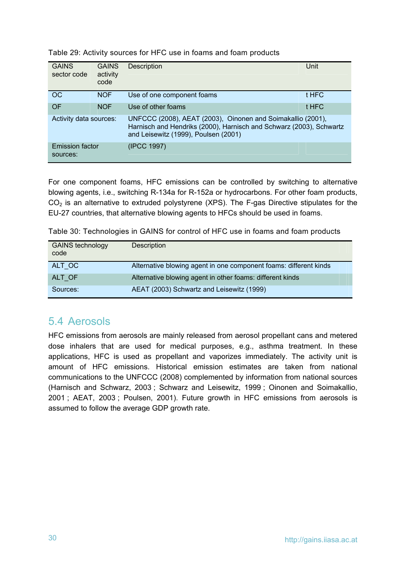| <b>GAINS</b><br>sector code        | <b>GAINS</b><br>activity<br>code | Description                                                                                                                                                                | Unit  |
|------------------------------------|----------------------------------|----------------------------------------------------------------------------------------------------------------------------------------------------------------------------|-------|
| OC                                 | <b>NOF</b>                       | Use of one component foams                                                                                                                                                 | t HFC |
| OF                                 | <b>NOF</b>                       | Use of other foams                                                                                                                                                         | t HFC |
| Activity data sources:             |                                  | UNFCCC (2008), AEAT (2003), Oinonen and Soimakallio (2001),<br>Harnisch and Hendriks (2000), Harnisch and Schwarz (2003), Schwartz<br>and Leisewitz (1999), Poulsen (2001) |       |
| <b>Emission factor</b><br>sources: |                                  | (IPCC 1997)                                                                                                                                                                |       |

Table 29: Activity sources for HFC use in foams and foam products

For one component foams, HFC emissions can be controlled by switching to alternative blowing agents, i.e., switching R-134a for R-152a or hydrocarbons. For other foam products,  $CO<sub>2</sub>$  is an alternative to extruded polystyrene (XPS). The F-gas Directive stipulates for the EU-27 countries, that alternative blowing agents to HFCs should be used in foams.

Table 30: Technologies in GAINS for control of HFC use in foams and foam products

| <b>GAINS technology</b><br>code | <b>Description</b>                                                |
|---------------------------------|-------------------------------------------------------------------|
| ALT OC                          | Alternative blowing agent in one component foams: different kinds |
| ALT OF                          | Alternative blowing agent in other foams: different kinds         |
| Sources:                        | AEAT (2003) Schwartz and Leisewitz (1999)                         |

## <span id="page-31-0"></span>5.4 Aerosols

HFC emissions from aerosols are mainly released from aerosol propellant cans and metered dose inhalers that are used for medical purposes, e.g., asthma treatment. In these applications, HFC is used as propellant and vaporizes immediately. The activity unit is amount of HFC emissions. Historical emission estimates are taken from national communications to the UNFCCC (2008) complemented by information from national sources (Harnisch and Schwarz, 2003 ; Schwarz and Leisewitz, 1999 ; Oinonen and Soimakallio, 2001 ; AEAT, 2003 ; Poulsen, 2001). Future growth in HFC emissions from aerosols is assumed to follow the average GDP growth rate.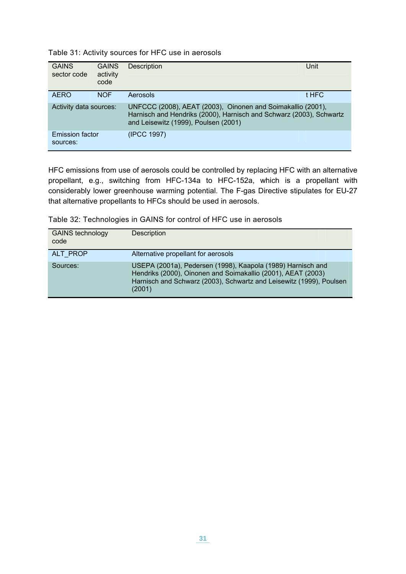| Table 31: Activity sources for HFC use in aerosols |  |  |  |  |  |
|----------------------------------------------------|--|--|--|--|--|
|----------------------------------------------------|--|--|--|--|--|

| <b>GAINS</b><br>sector code        | <b>GAINS</b><br>activity<br>code | Description                                                                                                                                                                | Unit  |
|------------------------------------|----------------------------------|----------------------------------------------------------------------------------------------------------------------------------------------------------------------------|-------|
| <b>AERO</b>                        | <b>NOF</b>                       | Aerosols                                                                                                                                                                   | t HFC |
| Activity data sources:             |                                  | UNFCCC (2008), AEAT (2003), Oinonen and Soimakallio (2001),<br>Harnisch and Hendriks (2000), Harnisch and Schwarz (2003), Schwartz<br>and Leisewitz (1999), Poulsen (2001) |       |
| <b>Emission factor</b><br>sources: |                                  | (IPCC 1997)                                                                                                                                                                |       |

HFC emissions from use of aerosols could be controlled by replacing HFC with an alternative propellant, e.g., switching from HFC-134a to HFC-152a, which is a propellant with considerably lower greenhouse warming potential. The F-gas Directive stipulates for EU-27 that alternative propellants to HFCs should be used in aerosols.

Table 32: Technologies in GAINS for control of HFC use in aerosols

| <b>GAINS technology</b><br>code | Description                                                                                                                                                                                                  |
|---------------------------------|--------------------------------------------------------------------------------------------------------------------------------------------------------------------------------------------------------------|
| ALT PROP                        | Alternative propellant for aerosols                                                                                                                                                                          |
| Sources:                        | USEPA (2001a), Pedersen (1998), Kaapola (1989) Harnisch and<br>Hendriks (2000), Oinonen and Soimakallio (2001), AEAT (2003)<br>Harnisch and Schwarz (2003), Schwartz and Leisewitz (1999), Poulsen<br>(2001) |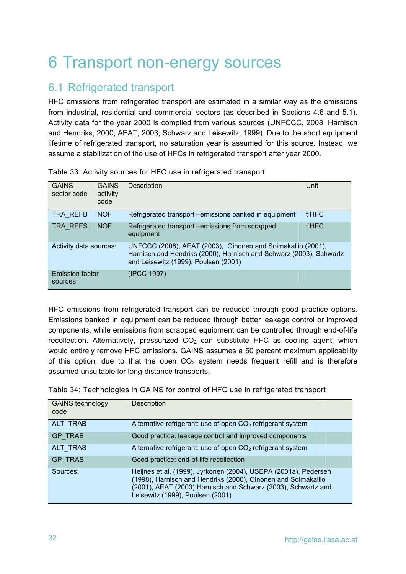# <span id="page-33-0"></span>6 Transport non-energy sources

## <span id="page-33-1"></span>6.1 Refrigerated transport

HFC emissions from refrigerated transport are estimated in a similar way as the emissions from industrial, residential and commercial sectors (as described in Sections 4.6 and 5.1). Activity data for the year 2000 is compiled from various sources (UNFCCC, 2008; Harnisch and Hendriks, 2000; AEAT, 2003; Schwarz and Leisewitz, 1999). Due to the short equipment lifetime of refrigerated transport, no saturation year is assumed for this source. Instead, we assume a stabilization of the use of HFCs in refrigerated transport after year 2000.

| <b>GAINS</b><br>sector code        | <b>GAINS</b><br>activity<br>code | <b>Description</b>                                                                                                                                                         | Unit  |
|------------------------------------|----------------------------------|----------------------------------------------------------------------------------------------------------------------------------------------------------------------------|-------|
| TRA REFB                           | <b>NOF</b>                       | Refrigerated transport - emissions banked in equipment                                                                                                                     | t HFC |
| TRA_REFS                           | <b>NOF</b>                       | Refrigerated transport - emissions from scrapped<br>equipment                                                                                                              | t HFC |
| Activity data sources:             |                                  | UNFCCC (2008), AEAT (2003), Oinonen and Soimakallio (2001),<br>Harnisch and Hendriks (2000), Harnisch and Schwarz (2003), Schwartz<br>and Leisewitz (1999), Poulsen (2001) |       |
| <b>Emission factor</b><br>sources: |                                  | (IPCC 1997)                                                                                                                                                                |       |

| Table 33: Activity sources for HFC use in refrigerated transport |  |  |
|------------------------------------------------------------------|--|--|
|------------------------------------------------------------------|--|--|

HFC emissions from refrigerated transport can be reduced through good practice options. Emissions banked in equipment can be reduced through better leakage control or improved components, while emissions from scrapped equipment can be controlled through end-of-life recollection. Alternatively, pressurized  $CO<sub>2</sub>$  can substitute HFC as cooling agent, which would entirely remove HFC emissions. GAINS assumes a 50 percent maximum applicability of this option, due to that the open  $CO<sub>2</sub>$  system needs frequent refill and is therefore assumed unsuitable for long-distance transports.

Table 34: Technologies in GAINS for control of HFC use in refrigerated transport

| <b>GAINS technology</b><br>code | Description                                                                                                                                                                                                                           |
|---------------------------------|---------------------------------------------------------------------------------------------------------------------------------------------------------------------------------------------------------------------------------------|
| ALT TRAB                        | Alternative refrigerant: use of open $CO2$ refrigerant system                                                                                                                                                                         |
| <b>GP TRAB</b>                  | Good practice: leakage control and improved components                                                                                                                                                                                |
| ALT TRAS                        | Alternative refrigerant: use of open $CO2$ refrigerant system                                                                                                                                                                         |
| <b>GP TRAS</b>                  | Good practice: end-of-life recollection                                                                                                                                                                                               |
| Sources:                        | Heijnes et al. (1999), Jyrkonen (2004), USEPA (2001a), Pedersen<br>(1998), Harnisch and Hendriks (2000), Oinonen and Soimakallio<br>(2001), AEAT (2003) Harnisch and Schwarz (2003), Schwartz and<br>Leisewitz (1999), Poulsen (2001) |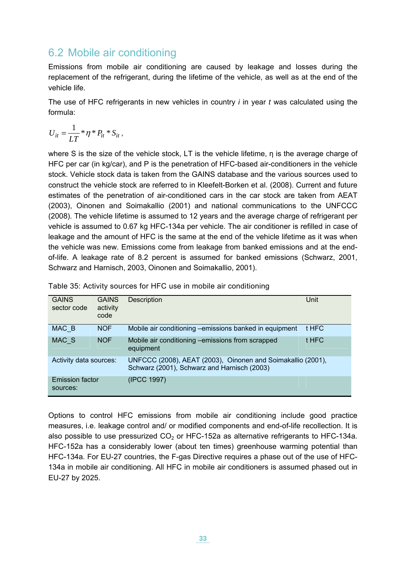## 6.2 Mobile air conditioning

<span id="page-34-0"></span>Emissions from mobile air conditioning are caused by leakage and losses during the replacement of the refrigerant, during the lifetime of the vehicle, as well as at the end of the vehicle life.

The use of HFC refrigerants in new vehicles in country *i* in year *t* was calculated using the formula:

$$
U_{it} = \frac{1}{LT} \cdot \eta \cdot P_{it} \cdot S_{it},
$$

where S is the size of the vehicle stock, LT is the vehicle lifetime, η is the average charge of HFC per car (in kg/car), and P is the penetration of HFC-based air-conditioners in the vehicle stock. Vehicle stock data is taken from the GAINS database and the various sources used to construct the vehicle stock are referred to in Kleefelt-Borken et al. (2008). Current and future estimates of the penetration of air-conditioned cars in the car stock are taken from AEAT (2003), Oinonen and Soimakallio (2001) and national communications to the UNFCCC (2008). The vehicle lifetime is assumed to 12 years and the average charge of refrigerant per vehicle is assumed to 0.67 kg HFC-134a per vehicle. The air conditioner is refilled in case of leakage and the amount of HFC is the same at the end of the vehicle lifetime as it was when the vehicle was new. Emissions come from leakage from banked emissions and at the endof-life. A leakage rate of 8.2 percent is assumed for banked emissions (Schwarz, 2001, Schwarz and Harnisch, 2003, Oinonen and Soimakallio, 2001).

| <b>GAINS</b><br>sector code        | <b>GAINS</b><br>activity<br>code | Description                                                                                                | Unit  |
|------------------------------------|----------------------------------|------------------------------------------------------------------------------------------------------------|-------|
| MAC B                              | <b>NOF</b>                       | Mobile air conditioning -emissions banked in equipment                                                     | t HFC |
| MAC S                              | <b>NOF</b>                       | Mobile air conditioning -emissions from scrapped<br>equipment                                              | t HFC |
| Activity data sources:             |                                  | UNFCCC (2008), AEAT (2003), Oinonen and Soimakallio (2001),<br>Schwarz (2001), Schwarz and Harnisch (2003) |       |
| <b>Emission factor</b><br>sources: |                                  | (IPCC 1997)                                                                                                |       |

Table 35: Activity sources for HFC use in mobile air conditioning

Options to control HFC emissions from mobile air conditioning include good practice measures, i.e. leakage control and/ or modified components and end-of-life recollection. It is also possible to use pressurized  $CO<sub>2</sub>$  or HFC-152a as alternative refrigerants to HFC-134a. HFC-152a has a considerably lower (about ten times) greenhouse warming potential than HFC-134a. For EU-27 countries, the F-gas Directive requires a phase out of the use of HFC-134a in mobile air conditioning. All HFC in mobile air conditioners is assumed phased out in EU-27 by 2025.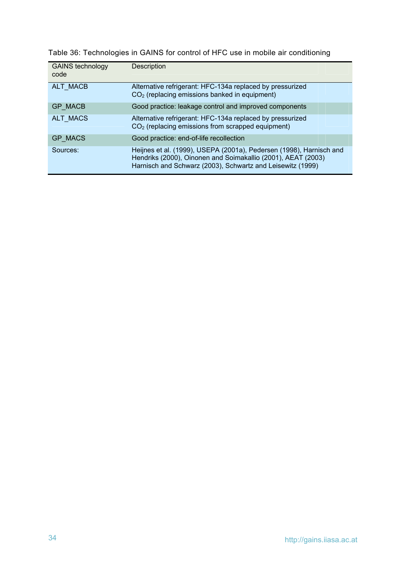Table 36: Technologies in GAINS for control of HFC use in mobile air conditioning

| <b>GAINS technology</b><br>code | Description                                                                                                                                                                                       |
|---------------------------------|---------------------------------------------------------------------------------------------------------------------------------------------------------------------------------------------------|
| ALT MACB                        | Alternative refrigerant: HFC-134a replaced by pressurized<br>$CO2$ (replacing emissions banked in equipment)                                                                                      |
| <b>GP MACB</b>                  | Good practice: leakage control and improved components                                                                                                                                            |
| <b>ALT MACS</b>                 | Alternative refrigerant: HFC-134a replaced by pressurized<br>$CO2$ (replacing emissions from scrapped equipment)                                                                                  |
| <b>GP MACS</b>                  | Good practice: end-of-life recollection                                                                                                                                                           |
| Sources:                        | Heijnes et al. (1999), USEPA (2001a), Pedersen (1998), Harnisch and<br>Hendriks (2000), Oinonen and Soimakallio (2001), AEAT (2003)<br>Harnisch and Schwarz (2003), Schwartz and Leisewitz (1999) |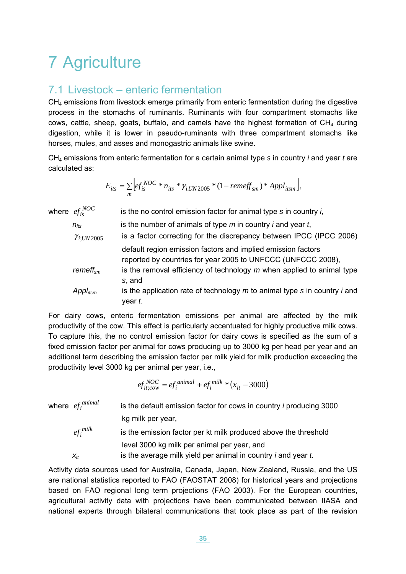# 7 Agriculture

## <span id="page-36-0"></span>7.1 Livestock – enteric fermentation

 $CH<sub>4</sub>$  emissions from livestock emerge primarily from enteric fermentation during the digestive process in the stomachs of ruminants. Ruminants with four compartment stomachs like cows, cattle, sheep, goats, buffalo, and camels have the highest formation of  $CH<sub>4</sub>$  during digestion, while it is lower in pseudo-ruminants with three compartment stomachs like horses, mules, and asses and monogastric animals like swine.

CH4 emissions from enteric fermentation for a certain animal type *s* in country *i* and year *t* are calculated as:

$$
E_{its} = \sum_{m} \left[ ef_{is}^{NOC} * n_{its} * \gamma_{i:UN2005} * (1 - remeff_{sm}) * Appl_{itsm} \right],
$$

| where $\mathit{ef}^{\mathit{NOC}}_{i s}$ | is the no control emission factor for animal type s in country i,                                                            |
|------------------------------------------|------------------------------------------------------------------------------------------------------------------------------|
| $n_{its}$                                | is the number of animals of type $m$ in country <i>i</i> and year $t$ ,                                                      |
| $\gamma_{i;UN2005}$                      | is a factor correcting for the discrepancy between IPCC (IPCC 2006)                                                          |
|                                          | default region emission factors and implied emission factors<br>reported by countries for year 2005 to UNFCCC (UNFCCC 2008), |
| remeff <sub>sm</sub>                     | is the removal efficiency of technology $m$ when applied to animal type<br>s, and                                            |
| $Appl_{itsm}$                            | is the application rate of technology $m$ to animal type $s$ in country $i$ and<br>year t.                                   |

For dairy cows, enteric fermentation emissions per animal are affected by the milk productivity of the cow. This effect is particularly accentuated for highly productive milk cows. To capture this, the no control emission factor for dairy cows is specified as the sum of a fixed emission factor per animal for cows producing up to 3000 kg per head per year and an additional term describing the emission factor per milk yield for milk production exceeding the productivity level 3000 kg per animal per year, i.e.,

$$
ef_{it;cow}^{NOC} = ef_i^{animal} + ef_i^{milk} * (x_{it} - 3000)
$$

where  $ef_i^{animal}$ is the default emission factor for cows in country *i* producing 3000 kg milk per year,

*milk* is the emission factor per kt milk produced above the threshold level 3000 kg milk per animal per year, and *xit* is the average milk yield per animal in country *i* and year *t*.

Activity data sources used for Australia, Canada, Japan, New Zealand, Russia, and the US are national statistics reported to FAO (FAOSTAT 2008) for historical years and projections based on FAO regional long term projections (FAO 2003). For the European countries, agricultural activity data with projections have been communicated between IIASA and national experts through bilateral communications that took place as part of the revision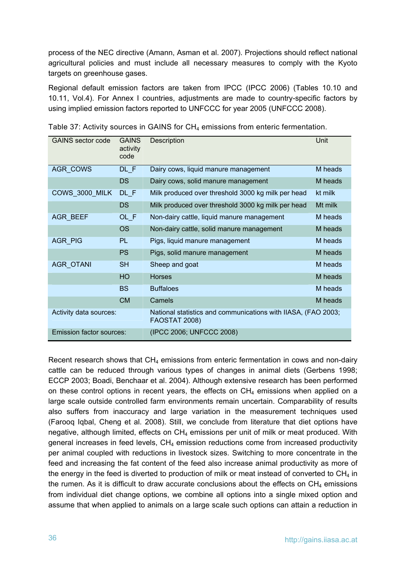process of the NEC directive (Amann, Asman et al. 2007). Projections should reflect national agricultural policies and must include all necessary measures to comply with the Kyoto targets on greenhouse gases.

Regional default emission factors are taken from IPCC (IPCC 2006) (Tables 10.10 and 10.11, Vol.4). For Annex I countries, adjustments are made to country-specific factors by using implied emission factors reported to UNFCCC for year 2005 (UNFCCC 2008).

| GAINS sector code               | <b>GAINS</b><br>activity<br>code | Description                                                                           | Unit    |
|---------------------------------|----------------------------------|---------------------------------------------------------------------------------------|---------|
| <b>AGR COWS</b>                 | DL F                             | Dairy cows, liquid manure management                                                  | M heads |
|                                 | <b>DS</b>                        | Dairy cows, solid manure management                                                   | M heads |
| COWS_3000_MILK                  | $DL$ $F$                         | Milk produced over threshold 3000 kg milk per head                                    | kt milk |
|                                 | <b>DS</b>                        | Milk produced over threshold 3000 kg milk per head                                    | Mt milk |
| <b>AGR BEEF</b>                 | OL F                             | Non-dairy cattle, liquid manure management                                            | M heads |
|                                 | <b>OS</b>                        | Non-dairy cattle, solid manure management                                             | M heads |
| AGR_PIG                         | <b>PL</b>                        | Pigs, liquid manure management                                                        | M heads |
|                                 | <b>PS</b>                        | Pigs, solid manure management                                                         | M heads |
| <b>AGR OTANI</b>                | <b>SH</b>                        | Sheep and goat                                                                        | M heads |
|                                 | HO                               | <b>Horses</b>                                                                         | M heads |
|                                 | <b>BS</b>                        | <b>Buffaloes</b>                                                                      | M heads |
|                                 | <b>CM</b>                        | Camels                                                                                | M heads |
| Activity data sources:          |                                  | National statistics and communications with IIASA, (FAO 2003;<br><b>FAOSTAT 2008)</b> |         |
| <b>Emission factor sources:</b> |                                  | (IPCC 2006; UNFCCC 2008)                                                              |         |

Table 37: Activity sources in GAINS for CH<sub>4</sub> emissions from enteric fermentation.

Recent research shows that  $CH_4$  emissions from enteric fermentation in cows and non-dairy cattle can be reduced through various types of changes in animal diets (Gerbens 1998; ECCP 2003; Boadi, Benchaar et al. 2004). Although extensive research has been performed on these control options in recent years, the effects on  $CH<sub>4</sub>$  emissions when applied on a large scale outside controlled farm environments remain uncertain. Comparability of results also suffers from inaccuracy and large variation in the measurement techniques used (Farooq Iqbal, Cheng et al. 2008). Still, we conclude from literature that diet options have negative, although limited, effects on  $CH<sub>4</sub>$  emissions per unit of milk or meat produced. With general increases in feed levels,  $CH<sub>4</sub>$  emission reductions come from increased productivity per animal coupled with reductions in livestock sizes. Switching to more concentrate in the feed and increasing the fat content of the feed also increase animal productivity as more of the energy in the feed is diverted to production of milk or meat instead of converted to  $CH_4$  in the rumen. As it is difficult to draw accurate conclusions about the effects on  $CH_4$  emissions from individual diet change options, we combine all options into a single mixed option and assume that when applied to animals on a large scale such options can attain a reduction in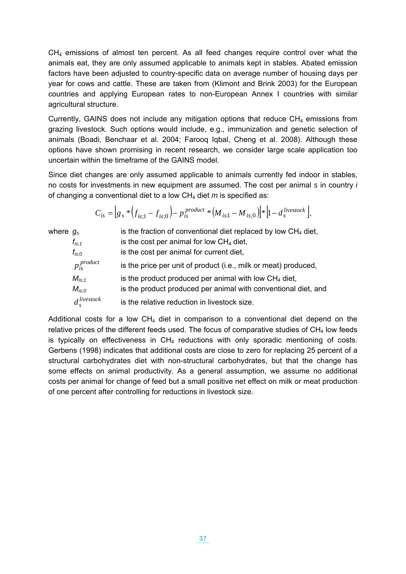CH4 emissions of almost ten percent. As all feed changes require control over what the animals eat, they are only assumed applicable to animals kept in stables. Abated emission factors have been adjusted to country-specific data on average number of housing days per year for cows and cattle. These are taken from (Klimont and Brink 2003) for the European countries and applying European rates to non-European Annex I countries with similar agricultural structure.

Currently, GAINS does not include any mitigation options that reduce  $CH<sub>4</sub>$  emissions from grazing livestock. Such options would include, e.g., immunization and genetic selection of animals (Boadi, Benchaar et al. 2004; Farooq Iqbal, Cheng et al. 2008). Although these options have shown promising in recent research, we consider large scale application too uncertain within the timeframe of the GAINS model.

Since diet changes are only assumed applicable to animals currently fed indoor in stables, no costs for investments in new equipment are assumed. The cost per animal *s* in country *i* of changing a conventional diet to a low CH4 diet *m* is specified as:

$$
C_{is} = \left[ g_s * \left( f_{is;1} - f_{is;0} \right) - p_{is}^{product} * \left( M_{is;1} - M_{is;0} \right) \right] * \left[ 1 - d_s^{livestock} \right],
$$

| where $g_s$ |                    | is the fraction of conventional diet replaced by low $CH4$ diet, |
|-------------|--------------------|------------------------------------------------------------------|
|             | $f_{is:1}$         | is the cost per animal for low $CH4$ diet,                       |
|             | $f_{is;O}$         | is the cost per animal for current diet,                         |
|             | $p_{is}^{product}$ | is the price per unit of product (i.e., milk or meat) produced,  |
|             | $M_{i s: 1}$       | is the product produced per animal with low $CH4$ diet,          |
|             | $M_{is:0}$         | is the product produced per animal with conventional diet, and   |
|             | $d_s^{livestock}$  | is the relative reduction in livestock size.                     |

Additional costs for a low  $CH_4$  diet in comparison to a conventional diet depend on the relative prices of the different feeds used. The focus of comparative studies of  $CH<sub>4</sub>$  low feeds is typically on effectiveness in  $CH<sub>4</sub>$  reductions with only sporadic mentioning of costs. Gerbens (1998) indicates that additional costs are close to zero for replacing 25 percent of a structural carbohydrates diet with non-structural carbohydrates, but that the change has some effects on animal productivity. As a general assumption, we assume no additional costs per animal for change of feed but a small positive net effect on milk or meat production of one percent after controlling for reductions in livestock size.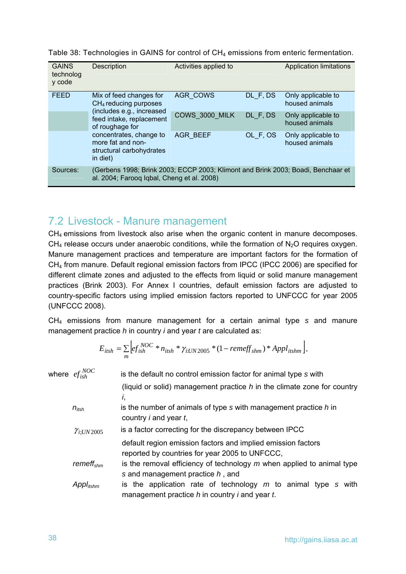| Table 38: Technologies in GAINS for control of $CH_4$ emissions from enteric fermentation. |  |
|--------------------------------------------------------------------------------------------|--|
|--------------------------------------------------------------------------------------------|--|

| <b>GAINS</b><br>technolog<br>y code | Description                                                                                                                    | Activities applied to |          | <b>Application limitations</b>       |
|-------------------------------------|--------------------------------------------------------------------------------------------------------------------------------|-----------------------|----------|--------------------------------------|
| <b>FEED</b>                         | Mix of feed changes for<br>$CH4$ reducing purposes                                                                             | <b>AGR COWS</b>       | DL_F, DS | Only applicable to<br>housed animals |
|                                     | (includes e.g., increased<br>feed intake, replacement<br>of roughage for                                                       | COWS 3000 MILK        | DL F, DS | Only applicable to<br>housed animals |
|                                     | concentrates, change to<br>more fat and non-<br>structural carbohydrates<br>in diet)                                           | <b>AGR BEEF</b>       | OL F, OS | Only applicable to<br>housed animals |
| Sources:                            | (Gerbens 1998; Brink 2003; ECCP 2003; Klimont and Brink 2003; Boadi, Benchaar et<br>al. 2004; Faroog Igbal, Cheng et al. 2008) |                       |          |                                      |

## 7.2 Livestock - Manure management

CH<sub>4</sub> emissions from livestock also arise when the organic content in manure decomposes.  $CH<sub>4</sub>$  release occurs under anaerobic conditions, while the formation of N<sub>2</sub>O requires oxygen. Manure management practices and temperature are important factors for the formation of CH4 from manure. Default regional emission factors from IPCC (IPCC 2006) are specified for different climate zones and adjusted to the effects from liquid or solid manure management practices (Brink 2003). For Annex I countries, default emission factors are adjusted to country-specific factors using implied emission factors reported to UNFCCC for year 2005 (UNFCCC 2008).

CH4 emissions from manure management for a certain animal type *s* and manure management practice *h* in country *i* and year *t* are calculated as:

$$
E_{itsh} = \sum_{m} \left[ ef_{ish}^{NOC} * n_{itsh} * \gamma_{iUN2005} * (1 - remeff_{shm}) * Appl_{itshm} \right],
$$

| where $\mathit{ef}^{\mathit{NOC}}_{ish}$<br>is the default no control emission factor for animal type s with |                                                                                                                          |  |  |
|--------------------------------------------------------------------------------------------------------------|--------------------------------------------------------------------------------------------------------------------------|--|--|
|                                                                                                              | (liquid or solid) management practice $h$ in the climate zone for country<br>I,                                          |  |  |
| $n_{itsh}$                                                                                                   | is the number of animals of type $s$ with management practice $h$ in<br>country $i$ and year $t$ ,                       |  |  |
| $\gamma_{i;UN2005}$                                                                                          | is a factor correcting for the discrepancy between IPCC                                                                  |  |  |
|                                                                                                              | default region emission factors and implied emission factors<br>reported by countries for year 2005 to UNFCCC,           |  |  |
| remeff <sub>shm</sub>                                                                                        | is the removal efficiency of technology $m$ when applied to animal type<br>s and management practice $h$ , and           |  |  |
| Appl <sub>itshm</sub>                                                                                        | is the application rate of technology $m$ to animal type s with<br>management practice h in country <i>i</i> and year t. |  |  |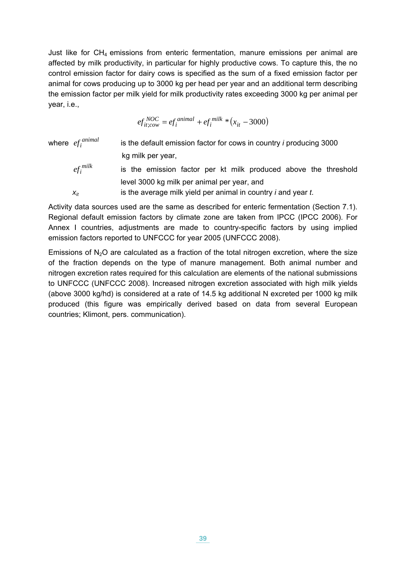Just like for  $CH_4$  emissions from enteric fermentation, manure emissions per animal are affected by milk productivity, in particular for highly productive cows. To capture this, the no control emission factor for dairy cows is specified as the sum of a fixed emission factor per animal for cows producing up to 3000 kg per head per year and an additional term describing the emission factor per milk yield for milk productivity rates exceeding 3000 kg per animal per year, i.e.,

> ${}_{0.000}^{NOC} = e f_i^{animal} + e f_i^{milk} * (x_{it} - 3000)$ *animal i*  $ef_{it;cov}^{NOC} = ef_i^{animal} + ef_i^{milk} * (x)$

where  $ef_i^{animal}$ is the default emission factor for cows in country *i* producing 3000 kg milk per year, *milk* is the emission factor per kt milk produced above the threshold level 3000 kg milk per animal per year, and  $x_{it}$  is the average milk yield per animal in country *i* and year *t*.

Activity data sources used are the same as described for enteric fermentation (Section [7.1\)](#page-36-0). Regional default emission factors by climate zone are taken from IPCC (IPCC 2006). For Annex I countries, adjustments are made to country-specific factors by using implied emission factors reported to UNFCCC for year 2005 (UNFCCC 2008).

Emissions of  $N_2O$  are calculated as a fraction of the total nitrogen excretion, where the size of the fraction depends on the type of manure management. Both animal number and nitrogen excretion rates required for this calculation are elements of the national submissions to UNFCCC (UNFCCC 2008). Increased nitrogen excretion associated with high milk yields (above 3000 kg/hd) is considered at a rate of 14.5 kg additional N excreted per 1000 kg milk produced (this figure was empirically derived based on data from several European countries; Klimont, pers. communication).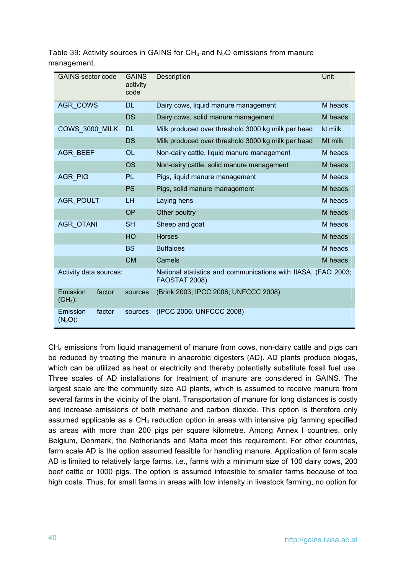| <b>GAINS</b> sector code        | <b>GAINS</b><br>activity<br>code | Description                                                                           | Unit    |
|---------------------------------|----------------------------------|---------------------------------------------------------------------------------------|---------|
| <b>AGR COWS</b>                 | <b>DL</b>                        | Dairy cows, liquid manure management                                                  | M heads |
|                                 | DS                               | Dairy cows, solid manure management                                                   | M heads |
| COWS 3000 MILK                  | <b>DL</b>                        | Milk produced over threshold 3000 kg milk per head                                    | kt milk |
|                                 | <b>DS</b>                        | Milk produced over threshold 3000 kg milk per head                                    | Mt milk |
| <b>AGR BEEF</b>                 | <b>OL</b>                        | Non-dairy cattle, liquid manure management                                            | M heads |
|                                 | <b>OS</b>                        | Non-dairy cattle, solid manure management                                             | M heads |
| <b>AGR PIG</b>                  | <b>PL</b>                        | Pigs, liquid manure management                                                        | M heads |
|                                 | <b>PS</b>                        | Pigs, solid manure management                                                         | M heads |
| <b>AGR POULT</b>                | <b>LH</b>                        | Laying hens                                                                           | M heads |
|                                 | <b>OP</b>                        | Other poultry                                                                         | M heads |
| <b>AGR OTANI</b>                | <b>SH</b>                        | Sheep and goat                                                                        | M heads |
|                                 | HO                               | <b>Horses</b>                                                                         | M heads |
|                                 | <b>BS</b>                        | <b>Buffaloes</b>                                                                      | M heads |
|                                 | <b>CM</b>                        | Camels                                                                                | M heads |
| Activity data sources:          |                                  | National statistics and communications with IIASA, (FAO 2003;<br><b>FAOSTAT 2008)</b> |         |
| Emission<br>factor<br>$(CH4)$ : | sources                          | (Brink 2003; IPCC 2006; UNFCCC 2008)                                                  |         |
| Emission<br>factor<br>$(N2O)$ : | sources                          | (IPCC 2006; UNFCCC 2008)                                                              |         |

Table 39: Activity sources in GAINS for  $CH_4$  and  $N_2O$  emissions from manure management.

 $CH<sub>4</sub>$  emissions from liquid management of manure from cows, non-dairy cattle and pigs can be reduced by treating the manure in anaerobic digesters (AD). AD plants produce biogas, which can be utilized as heat or electricity and thereby potentially substitute fossil fuel use. Three scales of AD installations for treatment of manure are considered in GAINS. The largest scale are the community size AD plants, which is assumed to receive manure from several farms in the vicinity of the plant. Transportation of manure for long distances is costly and increase emissions of both methane and carbon dioxide. This option is therefore only assumed applicable as a  $CH_4$  reduction option in areas with intensive pig farming specified as areas with more than 200 pigs per square kilometre. Among Annex I countries, only Belgium, Denmark, the Netherlands and Malta meet this requirement. For other countries, farm scale AD is the option assumed feasible for handling manure. Application of farm scale AD is limited to relatively large farms, i.e., farms with a minimum size of 100 dairy cows, 200 beef cattle or 1000 pigs. The option is assumed infeasible to smaller farms because of too high costs. Thus, for small farms in areas with low intensity in livestock farming, no option for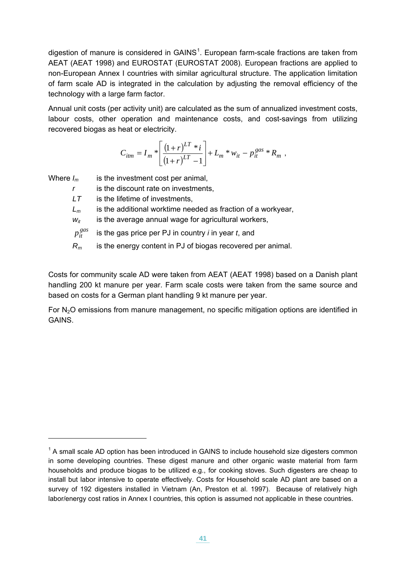<span id="page-42-0"></span>digestion of manure is considered in  $GAINS<sup>1</sup>$  $GAINS<sup>1</sup>$  $GAINS<sup>1</sup>$ . European farm-scale fractions are taken from AEAT (AEAT 1998) and EUROSTAT (EUROSTAT 2008). European fractions are applied to non-European Annex I countries with similar agricultural structure. The application limitation of farm scale AD is integrated in the calculation by adjusting the removal efficiency of the technology with a large farm factor.

Annual unit costs (per activity unit) are calculated as the sum of annualized investment costs, labour costs, other operation and maintenance costs, and cost-savings from utilizing recovered biogas as heat or electricity.

$$
C_{itm} = I_m * \left[ \frac{(1+r)^{LT} * i}{(1+r)^{LT} - 1} \right] + L_m * w_{it} - p_{it}^{gas} * R_m ,
$$

Where  $I_m$  is the investment cost per animal,

-

*r* is the discount rate on investments,

*LT* is the lifetime of investments,

*Lm* is the additional worktime needed as fraction of a workyear,

 $w_{it}$  is the average annual wage for agricultural workers,

 $p_{it}^{gas}$ is the gas price per PJ in country *i* in year *t*, and

*Rm* is the energy content in PJ of biogas recovered per animal.

Costs for community scale AD were taken from AEAT (AEAT 1998) based on a Danish plant handling 200 kt manure per year. Farm scale costs were taken from the same source and based on costs for a German plant handling 9 kt manure per year.

For N<sub>2</sub>O emissions from manure management, no specific mitigation options are identified in GAINS.

 $1$  A small scale AD option has been introduced in GAINS to include household size digesters common in some developing countries. These digest manure and other organic waste material from farm households and produce biogas to be utilized e.g., for cooking stoves. Such digesters are cheap to install but labor intensive to operate effectively. Costs for Household scale AD plant are based on a survey of 192 digesters installed in Vietnam (An, Preston et al. 1997). Because of relatively high labor/energy cost ratios in Annex I countries, this option is assumed not applicable in these countries.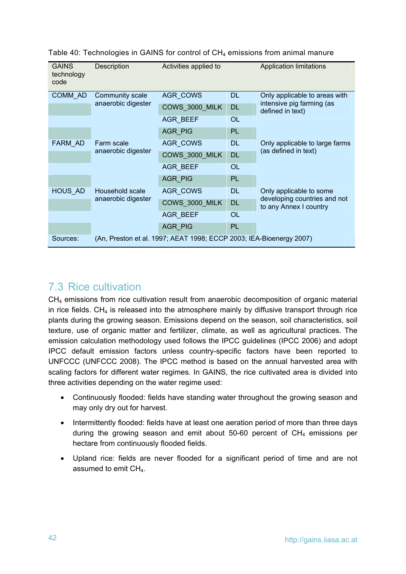| <b>GAINS</b><br>technology<br>code | Description        | Activities applied to                                               |           | <b>Application limitations</b>                         |
|------------------------------------|--------------------|---------------------------------------------------------------------|-----------|--------------------------------------------------------|
| COMM AD                            | Community scale    | <b>AGR COWS</b>                                                     | <b>DL</b> | Only applicable to areas with                          |
|                                    | anaerobic digester | COWS_3000_MILK                                                      | <b>DL</b> | intensive pig farming (as<br>defined in text)          |
|                                    |                    | <b>AGR BEEF</b>                                                     | <b>OL</b> |                                                        |
|                                    |                    | AGR_PIG                                                             | PL.       |                                                        |
| FARM AD                            | Farm scale         | AGR_COWS                                                            | <b>DL</b> | Only applicable to large farms                         |
|                                    | anaerobic digester | COWS_3000_MILK                                                      | <b>DL</b> | (as defined in text)                                   |
|                                    |                    | AGR_BEEF                                                            | <b>OL</b> |                                                        |
|                                    |                    | AGR PIG                                                             | PL        |                                                        |
| HOUS_AD                            | Household scale    | AGR_COWS                                                            | <b>DL</b> | Only applicable to some                                |
|                                    | anaerobic digester | COWS_3000_MILK                                                      | <b>DL</b> | developing countries and not<br>to any Annex I country |
|                                    |                    | <b>AGR BEEF</b>                                                     | OL        |                                                        |
|                                    |                    | AGR PIG                                                             | <b>PL</b> |                                                        |
| Sources:                           |                    | (An, Preston et al. 1997; AEAT 1998; ECCP 2003; IEA-Bioenergy 2007) |           |                                                        |

Table 40: Technologies in GAINS for control of CH<sub>4</sub> emissions from animal manure

### 7.3 Rice cultivation

CH<sub>4</sub> emissions from rice cultivation result from anaerobic decomposition of organic material in rice fields. CH<sub>4</sub> is released into the atmosphere mainly by diffusive transport through rice plants during the growing season. Emissions depend on the season, soil characteristics, soil texture, use of organic matter and fertilizer, climate, as well as agricultural practices. The emission calculation methodology used follows the IPCC guidelines (IPCC 2006) and adopt IPCC default emission factors unless country-specific factors have been reported to UNFCCC (UNFCCC 2008). The IPCC method is based on the annual harvested area with scaling factors for different water regimes. In GAINS, the rice cultivated area is divided into three activities depending on the water regime used:

- Continuously flooded: fields have standing water throughout the growing season and may only dry out for harvest.
- Intermittently flooded: fields have at least one aeration period of more than three days during the growing season and emit about 50-60 percent of  $CH<sub>4</sub>$  emissions per hectare from continuously flooded fields.
- Upland rice: fields are never flooded for a significant period of time and are not assumed to emit  $CH<sub>4</sub>$ .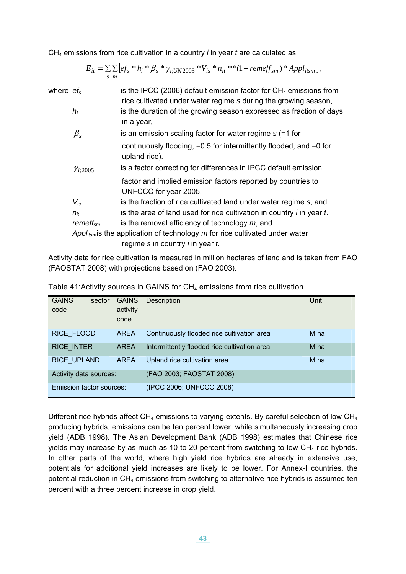CH4 emissions from rice cultivation in a country *i* in year *t* are calculated as:

|      |  |  | $E_{it} = \sum \sum [ef_s * h_i * \beta_s * \gamma_{i;UN2005} * V_{is} * n_{it} * * (1 - remeff_{sm}) * Appl_{itsm}],$ |  |
|------|--|--|------------------------------------------------------------------------------------------------------------------------|--|
| -s m |  |  |                                                                                                                        |  |

| where $\mathit{ef}_s$ |                      | is the IPCC (2006) default emission factor for $CH4$ emissions from<br>rice cultivated under water regime s during the growing season, |
|-----------------------|----------------------|----------------------------------------------------------------------------------------------------------------------------------------|
|                       | $h_i$                | is the duration of the growing season expressed as fraction of days<br>in a year,                                                      |
|                       | $\beta_{s}$          | is an emission scaling factor for water regime $s$ (=1 for                                                                             |
|                       |                      | continuously flooding, $=0.5$ for intermittently flooded, and $=0$ for<br>upland rice).                                                |
|                       | $\gamma_{i;2005}$    | is a factor correcting for differences in IPCC default emission                                                                        |
|                       |                      | factor and implied emission factors reported by countries to<br>UNFCCC for year 2005,                                                  |
|                       | $V_{is}$             | is the fraction of rice cultivated land under water regime s, and                                                                      |
|                       | $n_{it}$             | is the area of land used for rice cultivation in country <i>i</i> in year <i>t</i> .                                                   |
|                       | remeff <sub>sm</sub> | is the removal efficiency of technology $m$ , and                                                                                      |
|                       |                      | Appl <sub>itsm</sub> is the application of technology $m$ for rice cultivated under water<br>regime $s$ in country $i$ in year $t$ .   |
|                       |                      |                                                                                                                                        |

Activity data for rice cultivation is measured in million hectares of land and is taken from FAO (FAOSTAT 2008) with projections based on (FAO 2003).

| <b>GAINS</b><br>sector<br>code | <b>GAINS</b><br>activity<br>code | <b>Description</b>                           | Unit |
|--------------------------------|----------------------------------|----------------------------------------------|------|
| RICE FLOOD                     | <b>AREA</b>                      | Continuously flooded rice cultivation area   | M ha |
| <b>RICE INTER</b>              | <b>AREA</b>                      | Intermittently flooded rice cultivation area | M ha |
| RICE_UPLAND                    | <b>AREA</b>                      | Upland rice cultivation area                 | M ha |
| Activity data sources:         |                                  | (FAO 2003; FAOSTAT 2008)                     |      |
| Emission factor sources:       |                                  | (IPCC 2006; UNFCCC 2008)                     |      |

Table 41: Activity sources in GAINS for CH<sub>4</sub> emissions from rice cultivation.

Different rice hybrids affect  $CH_4$  emissions to varying extents. By careful selection of low  $CH_4$ producing hybrids, emissions can be ten percent lower, while simultaneously increasing crop yield (ADB 1998). The Asian Development Bank (ADB 1998) estimates that Chinese rice yields may increase by as much as 10 to 20 percent from switching to low CH<sub>4</sub> rice hybrids. In other parts of the world, where high yield rice hybrids are already in extensive use, potentials for additional yield increases are likely to be lower. For Annex-I countries, the potential reduction in  $CH_4$  emissions from switching to alternative rice hybrids is assumed ten percent with a three percent increase in crop yield.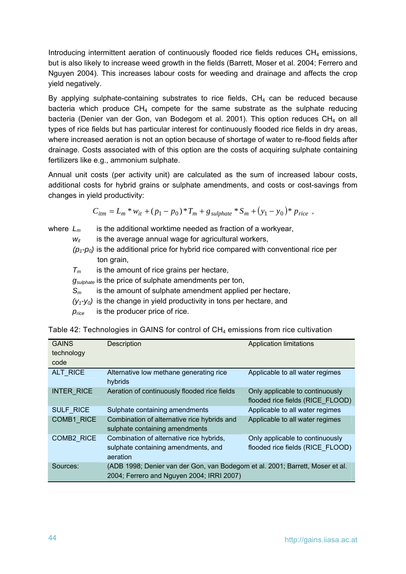Introducing intermittent aeration of continuously flooded rice fields reduces  $CH<sub>4</sub>$  emissions, but is also likely to increase weed growth in the fields (Barrett, Moser et al. 2004; Ferrero and Nguyen 2004). This increases labour costs for weeding and drainage and affects the crop yield negatively.

By applying sulphate-containing substrates to rice fields,  $CH<sub>4</sub>$  can be reduced because bacteria which produce  $CH_4$  compete for the same substrate as the sulphate reducing bacteria (Denier van der Gon, van Bodegom et al. 2001). This option reduces CH<sub>4</sub> on all types of rice fields but has particular interest for continuously flooded rice fields in dry areas, where increased aeration is not an option because of shortage of water to re-flood fields after drainage. Costs associated with of this option are the costs of acquiring sulphate containing fertilizers like e.g., ammonium sulphate.

Annual unit costs (per activity unit) are calculated as the sum of increased labour costs, additional costs for hybrid grains or sulphate amendments, and costs or cost-savings from changes in yield productivity:

$$
C_{itm} = L_m * w_{it} + (p_1 - p_0) * T_m + g_{\text{subplate}} * S_m + (y_1 - y_0) * p_{\text{rice}} ,
$$

where  $L_m$  is the additional worktime needed as fraction of a workyear,  $w_{it}$  is the average annual wage for agricultural workers,

- $(p_1-p_0)$  is the additional price for hybrid rice compared with conventional rice per ton grain,
- *Tm* is the amount of rice grains per hectare,
- *gsulphate* is the price of sulphate amendments per ton,
- *Sm* is the amount of sulphate amendment applied per hectare,
- $(y_1-y_0)$  is the change in yield productivity in tons per hectare, and
- *price* is the producer price of rice.

| <b>GAINS</b>      | <b>Description</b>                                                            | <b>Application limitations</b>   |
|-------------------|-------------------------------------------------------------------------------|----------------------------------|
| technology        |                                                                               |                                  |
| code              |                                                                               |                                  |
|                   |                                                                               |                                  |
| ALT RICE          | Alternative low methane generating rice                                       | Applicable to all water regimes  |
|                   | hybrids                                                                       |                                  |
| <b>INTER RICE</b> | Aeration of continuously flooded rice fields                                  | Only applicable to continuously  |
|                   |                                                                               | flooded rice fields (RICE FLOOD) |
| <b>SULF RICE</b>  | Sulphate containing amendments                                                | Applicable to all water regimes  |
| COMB1 RICE        | Combination of alternative rice hybrids and                                   | Applicable to all water regimes  |
|                   | sulphate containing amendments                                                |                                  |
| <b>COMB2 RICE</b> | Combination of alternative rice hybrids,                                      | Only applicable to continuously  |
|                   | sulphate containing amendments, and                                           | flooded rice fields (RICE FLOOD) |
|                   | aeration                                                                      |                                  |
| Sources:          | (ADB 1998; Denier van der Gon, van Bodegom et al. 2001; Barrett, Moser et al. |                                  |
|                   | 2004; Ferrero and Nguyen 2004; IRRI 2007)                                     |                                  |
|                   |                                                                               |                                  |

Table 42: Technologies in GAINS for control of  $CH<sub>4</sub>$  emissions from rice cultivation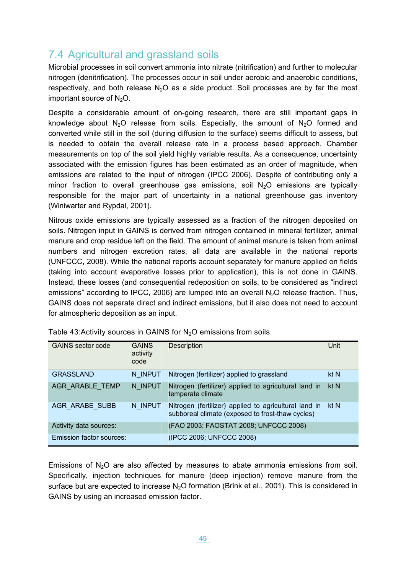# 7.4 Agricultural and grassland soils

Microbial processes in soil convert ammonia into nitrate (nitrification) and further to molecular nitrogen (denitrification). The processes occur in soil under aerobic and anaerobic conditions, respectively, and both release  $N_2O$  as a side product. Soil processes are by far the most important source of N<sub>2</sub>O.

Despite a considerable amount of on-going research, there are still important gaps in knowledge about  $N_2O$  release from soils. Especially, the amount of  $N_2O$  formed and converted while still in the soil (during diffusion to the surface) seems difficult to assess, but is needed to obtain the overall release rate in a process based approach. Chamber measurements on top of the soil yield highly variable results. As a consequence, uncertainty associated with the emission figures has been estimated as an order of magnitude, when emissions are related to the input of nitrogen (IPCC 2006). Despite of contributing only a minor fraction to overall greenhouse gas emissions, soil  $N_2O$  emissions are typically responsible for the major part of uncertainty in a national greenhouse gas inventory (Winiwarter and Rypdal, 2001).

Nitrous oxide emissions are typically assessed as a fraction of the nitrogen deposited on soils. Nitrogen input in GAINS is derived from nitrogen contained in mineral fertilizer, animal manure and crop residue left on the field. The amount of animal manure is taken from animal numbers and nitrogen excretion rates, all data are available in the national reports (UNFCCC, 2008). While the national reports account separately for manure applied on fields (taking into account evaporative losses prior to application), this is not done in GAINS. Instead, these losses (and consequential redeposition on soils, to be considered as "indirect emissions" according to IPCC, 2006) are lumped into an overall  $N_2O$  release fraction. Thus, GAINS does not separate direct and indirect emissions, but it also does not need to account for atmospheric deposition as an input.

| <b>GAINS</b> sector code | <b>GAINS</b><br>activity<br>code | Description                                                                                               | Unit |
|--------------------------|----------------------------------|-----------------------------------------------------------------------------------------------------------|------|
| <b>GRASSLAND</b>         | N INPUT                          | Nitrogen (fertilizer) applied to grassland                                                                | kt N |
| AGR ARABLE TEMP          | N INPUT                          | Nitrogen (fertilizer) applied to agricultural land in<br>temperate climate                                | kt N |
| AGR ARABE SUBB           | N INPUT                          | Nitrogen (fertilizer) applied to agricultural land in<br>subboreal climate (exposed to frost-thaw cycles) | kt N |
| Activity data sources:   |                                  | (FAO 2003; FAOSTAT 2008; UNFCCC 2008)                                                                     |      |
| Emission factor sources: |                                  | (IPCC 2006; UNFCCC 2008)                                                                                  |      |

Table 43: Activity sources in GAINS for  $N_2O$  emissions from soils.

Emissions of  $N_2O$  are also affected by measures to abate ammonia emissions from soil. Specifically, injection techniques for manure (deep injection) remove manure from the surface but are expected to increase  $N_2O$  formation (Brink et al., 2001). This is considered in GAINS by using an increased emission factor.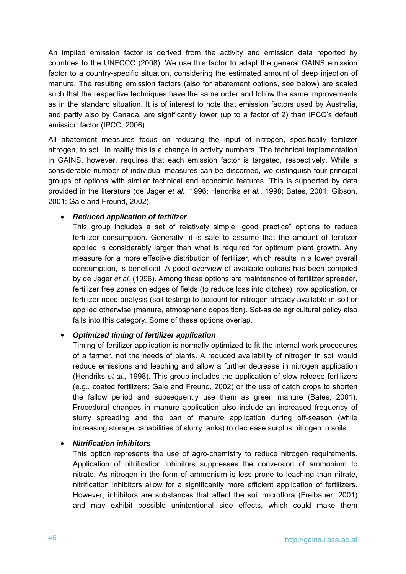An implied emission factor is derived from the activity and emission data reported by countries to the UNFCCC (2008). We use this factor to adapt the general GAINS emission factor to a country-specific situation, considering the estimated amount of deep injection of manure. The resulting emission factors (also for abatement options, see below) are scaled such that the respective techniques have the same order and follow the same improvements as in the standard situation. It is of interest to note that emission factors used by Australia, and partly also by Canada, are significantly lower (up to a factor of 2) than IPCC's default emission factor (IPCC, 2006).

All abatement measures focus on reducing the input of nitrogen, specifically fertilizer nitrogen, to soil. In reality this is a change in activity numbers. The technical implementation in GAINS, however, requires that each emission factor is targeted, respectively. While a considerable number of individual measures can be discerned, we distinguish four principal groups of options with similar technical and economic features. This is supported by data provided in the literature (de Jager *et al.*, 1996; Hendriks *et al.*, 1998; Bates, 2001; Gibson, 2001; Gale and Freund, 2002).

#### • *Reduced application of fertilizer*

This group includes a set of relatively simple "good practice" options to reduce fertilizer consumption. Generally, it is safe to assume that the amount of fertilizer applied is considerably larger than what is required for optimum plant growth. Any measure for a more effective distribution of fertilizer, which results in a lower overall consumption, is beneficial. A good overview of available options has been compiled by de Jager *et al.* (1996). Among these options are maintenance of fertilizer spreader, fertilizer free zones on edges of fields (to reduce loss into ditches), row application, or fertilizer need analysis (soil testing) to account for nitrogen already available in soil or applied otherwise (manure, atmospheric deposition). Set-aside agricultural policy also falls into this category. Some of these options overlap.

#### • *Optimized timing of fertilizer application*

Timing of fertilizer application is normally optimized to fit the internal work procedures of a farmer, not the needs of plants. A reduced availability of nitrogen in soil would reduce emissions and leaching and allow a further decrease in nitrogen application (Hendriks *et al.*, 1998). This group includes the application of slow-release fertilizers (e.g., coated fertilizers; Gale and Freund, 2002) or the use of catch crops to shorten the fallow period and subsequently use them as green manure (Bates, 2001). Procedural changes in manure application also include an increased frequency of slurry spreading and the ban of manure application during off-season (while increasing storage capabilities of slurry tanks) to decrease surplus nitrogen in soils.

#### • *Nitrification inhibitors*

This option represents the use of agro-chemistry to reduce nitrogen requirements. Application of nitrification inhibitors suppresses the conversion of ammonium to nitrate. As nitrogen in the form of ammonium is less prone to leaching than nitrate, nitrification inhibitors allow for a significantly more efficient application of fertilizers. However, inhibitors are substances that affect the soil microflora (Freibauer, 2001) and may exhibit possible unintentional side effects, which could make them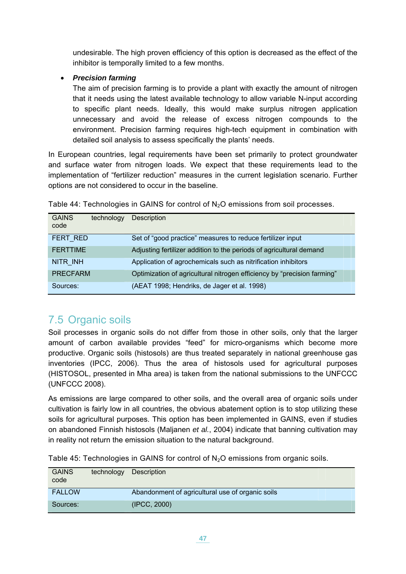undesirable. The high proven efficiency of this option is decreased as the effect of the inhibitor is temporally limited to a few months.

#### • *Precision farming*

The aim of precision farming is to provide a plant with exactly the amount of nitrogen that it needs using the latest available technology to allow variable N-input according to specific plant needs. Ideally, this would make surplus nitrogen application unnecessary and avoid the release of excess nitrogen compounds to the environment. Precision farming requires high-tech equipment in combination with detailed soil analysis to assess specifically the plants' needs.

In European countries, legal requirements have been set primarily to protect groundwater and surface water from nitrogen loads. We expect that these requirements lead to the implementation of "fertilizer reduction" measures in the current legislation scenario. Further options are not considered to occur in the baseline.

| <b>GAINS</b><br>code | technology | <b>Description</b>                                                      |
|----------------------|------------|-------------------------------------------------------------------------|
| FERT RED             |            | Set of "good practice" measures to reduce fertilizer input              |
| <b>FERTTIME</b>      |            | Adjusting fertilizer addition to the periods of agricultural demand     |
| NITR INH             |            | Application of agrochemicals such as nitrification inhibitors           |
| <b>PRECFARM</b>      |            | Optimization of agricultural nitrogen efficiency by "precision farming" |
| Sources:             |            | (AEAT 1998; Hendriks, de Jager et al. 1998)                             |

Table 44: Technologies in GAINS for control of  $N<sub>2</sub>O$  emissions from soil processes.

# 7.5 Organic soils

Soil processes in organic soils do not differ from those in other soils, only that the larger amount of carbon available provides "feed" for micro-organisms which become more productive. Organic soils (histosols) are thus treated separately in national greenhouse gas inventories (IPCC, 2006). Thus the area of histosols used for agricultural purposes (HISTOSOL, presented in Mha area) is taken from the national submissions to the UNFCCC (UNFCCC 2008).

As emissions are large compared to other soils, and the overall area of organic soils under cultivation is fairly low in all countries, the obvious abatement option is to stop utilizing these soils for agricultural purposes. This option has been implemented in GAINS, even if studies on abandoned Finnish histosols (Maljanen *et al.*, 2004) indicate that banning cultivation may in reality not return the emission situation to the natural background.

| <b>GAINS</b><br>code | technology | Description                                      |
|----------------------|------------|--------------------------------------------------|
| <b>FALLOW</b>        |            | Abandonment of agricultural use of organic soils |
| Sources:             |            | (IPCC, 2000)                                     |

Table 45: Technologies in GAINS for control of  $N_2O$  emissions from organic soils.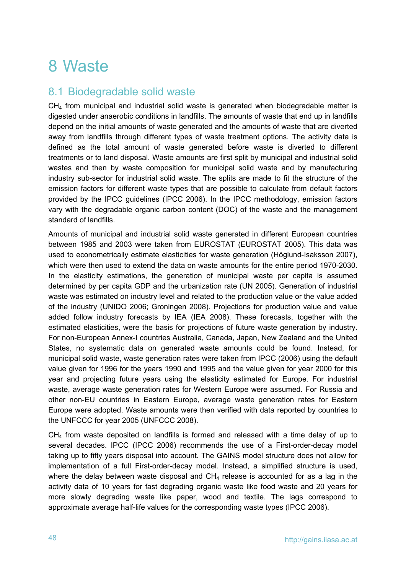# 8 Waste

## 8.1 Biodegradable solid waste

 $CH<sub>4</sub>$  from municipal and industrial solid waste is generated when biodegradable matter is digested under anaerobic conditions in landfills. The amounts of waste that end up in landfills depend on the initial amounts of waste generated and the amounts of waste that are diverted away from landfills through different types of waste treatment options. The activity data is defined as the total amount of waste generated before waste is diverted to different treatments or to land disposal. Waste amounts are first split by municipal and industrial solid wastes and then by waste composition for municipal solid waste and by manufacturing industry sub-sector for industrial solid waste. The splits are made to fit the structure of the emission factors for different waste types that are possible to calculate from default factors provided by the IPCC guidelines (IPCC 2006). In the IPCC methodology, emission factors vary with the degradable organic carbon content (DOC) of the waste and the management standard of landfills.

Amounts of municipal and industrial solid waste generated in different European countries between 1985 and 2003 were taken from EUROSTAT (EUROSTAT 2005). This data was used to econometrically estimate elasticities for waste generation (Höglund-Isaksson 2007), which were then used to extend the data on waste amounts for the entire period 1970-2030. In the elasticity estimations, the generation of municipal waste per capita is assumed determined by per capita GDP and the urbanization rate (UN 2005). Generation of industrial waste was estimated on industry level and related to the production value or the value added of the industry (UNIDO 2006; Groningen 2008). Projections for production value and value added follow industry forecasts by IEA (IEA 2008). These forecasts, together with the estimated elasticities, were the basis for projections of future waste generation by industry. For non-European Annex-I countries Australia, Canada, Japan, New Zealand and the United States, no systematic data on generated waste amounts could be found. Instead, for municipal solid waste, waste generation rates were taken from IPCC (2006) using the default value given for 1996 for the years 1990 and 1995 and the value given for year 2000 for this year and projecting future years using the elasticity estimated for Europe. For industrial waste, average waste generation rates for Western Europe were assumed. For Russia and other non-EU countries in Eastern Europe, average waste generation rates for Eastern Europe were adopted. Waste amounts were then verified with data reported by countries to the UNFCCC for year 2005 (UNFCCC 2008).

CH<sub>4</sub> from waste deposited on landfills is formed and released with a time delay of up to several decades. IPCC (IPCC 2006) recommends the use of a First-order-decay model taking up to fifty years disposal into account. The GAINS model structure does not allow for implementation of a full First-order-decay model. Instead, a simplified structure is used, where the delay between waste disposal and  $CH<sub>4</sub>$  release is accounted for as a lag in the activity data of 10 years for fast degrading organic waste like food waste and 20 years for more slowly degrading waste like paper, wood and textile. The lags correspond to approximate average half-life values for the corresponding waste types (IPCC 2006).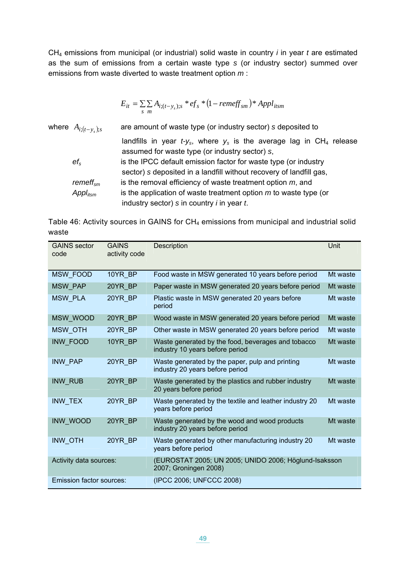CH4 emissions from municipal (or industrial) solid waste in country *i* in year *t* are estimated as the sum of emissions from a certain waste type *s* (or industry sector) summed over emissions from waste diverted to waste treatment option *m* :

$$
E_{it} = \sum_{s} \sum_{m} A_{i;(t-y_s);s} * ef_s * (1-remeff_{sm}) * Appl_{itsm}
$$

where  $A_{i:(t-v_k);s}$  are amount of waste type (or industry sector) *s* deposited to landfills in year  $t-y<sub>s</sub>$ , where  $y<sub>s</sub>$  is the average lag in CH<sub>4</sub> release assumed for waste type (or industry sector) *s*, *efs* is the IPCC default emission factor for waste type (or industry sector) *s* deposited in a landfill without recovery of landfill gas, *remeffsm* is the removal efficiency of waste treatment option *m*, and *Appl<sub>itsm</sub>* is the application of waste treatment option *m* to waste type (or industry sector) *s* in country *i* in year *t*.

Table 46: Activity sources in GAINS for  $CH_4$  emissions from municipal and industrial solid waste

| <b>GAINS</b> sector<br>code     | <b>GAINS</b><br>activity code | Description                                                                           | Unit     |
|---------------------------------|-------------------------------|---------------------------------------------------------------------------------------|----------|
| <b>MSW FOOD</b>                 | 10YR BP                       | Food waste in MSW generated 10 years before period                                    | Mt waste |
| <b>MSW PAP</b>                  | 20YR BP                       | Paper waste in MSW generated 20 years before period                                   | Mt waste |
| <b>MSW PLA</b>                  | 20YR BP                       | Plastic waste in MSW generated 20 years before<br>period                              | Mt waste |
| MSW_WOOD                        | 20YR BP                       | Wood waste in MSW generated 20 years before period                                    | Mt waste |
| MSW_OTH                         | 20YR BP                       | Other waste in MSW generated 20 years before period                                   | Mt waste |
| INW_FOOD                        | 10YR BP                       | Waste generated by the food, beverages and tobacco<br>industry 10 years before period | Mt waste |
| <b>INW PAP</b>                  | 20YR BP                       | Waste generated by the paper, pulp and printing<br>industry 20 years before period    | Mt waste |
| <b>INW RUB</b>                  | 20YR_BP                       | Waste generated by the plastics and rubber industry<br>20 years before period         | Mt waste |
| <b>INW TEX</b>                  | 20YR BP                       | Waste generated by the textile and leather industry 20<br>years before period         | Mt waste |
| <b>INW WOOD</b>                 | 20YR_BP                       | Waste generated by the wood and wood products<br>industry 20 years before period      | Mt waste |
| INW_OTH                         | 20YR BP                       | Waste generated by other manufacturing industry 20<br>years before period             | Mt waste |
| Activity data sources:          |                               | (EUROSTAT 2005; UN 2005; UNIDO 2006; Höglund-Isaksson<br>2007; Groningen 2008)        |          |
| <b>Emission factor sources:</b> |                               | (IPCC 2006; UNFCCC 2008)                                                              |          |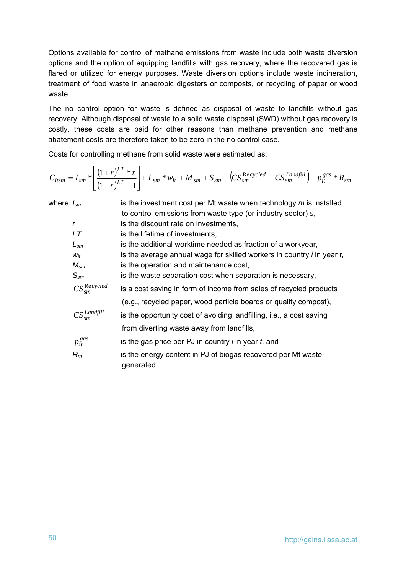Options available for control of methane emissions from waste include both waste diversion options and the option of equipping landfills with gas recovery, where the recovered gas is flared or utilized for energy purposes. Waste diversion options include waste incineration, treatment of food waste in anaerobic digesters or composts, or recycling of paper or wood waste.

The no control option for waste is defined as disposal of waste to landfills without gas recovery. Although disposal of waste to a solid waste disposal (SWD) without gas recovery is costly, these costs are paid for other reasons than methane prevention and methane abatement costs are therefore taken to be zero in the no control case.

Costs for controlling methane from solid waste were estimated as:

$$
C_{itsm} = I_{sm} * \left[ \frac{(1+r)^{LT} * r}{(1+r)^{LT} - 1} \right] + L_{sm} * w_{it} + M_{sm} + S_{sm} - \left( CS_{sm}^{Re\,cycled} + CS_{sm}^{Landfill} \right) - p_{it}^{gas} * R_{sm}
$$

| where $I_{sm}$ |                             | is the investment cost per Mt waste when technology $m$ is installed        |
|----------------|-----------------------------|-----------------------------------------------------------------------------|
|                |                             | to control emissions from waste type (or industry sector) s,                |
|                | $\mathsf{r}$                | is the discount rate on investments,                                        |
|                | LT                          | is the lifetime of investments,                                             |
|                | $L_{\rm sm}$                | is the additional worktime needed as fraction of a workyear,                |
|                | $W_{it}$                    | is the average annual wage for skilled workers in country $i$ in year $t$ , |
|                | $M_{\rm sm}$                | is the operation and maintenance cost,                                      |
|                | $S_{\rm sm}$                | is the waste separation cost when separation is necessary,                  |
|                | $CS_{sm}^{\text{Re}cycled}$ | is a cost saving in form of income from sales of recycled products          |
|                |                             | (e.g., recycled paper, wood particle boards or quality compost),            |
|                | $CS_{sm}^{Landfill}$        | is the opportunity cost of avoiding landfilling, i.e., a cost saving        |
|                |                             | from diverting waste away from landfills,                                   |
|                | $p_{it}^{gas}$              | is the gas price per PJ in country $i$ in year $t$ , and                    |
|                | $R_m$                       | is the energy content in PJ of biogas recovered per Mt waste<br>generated.  |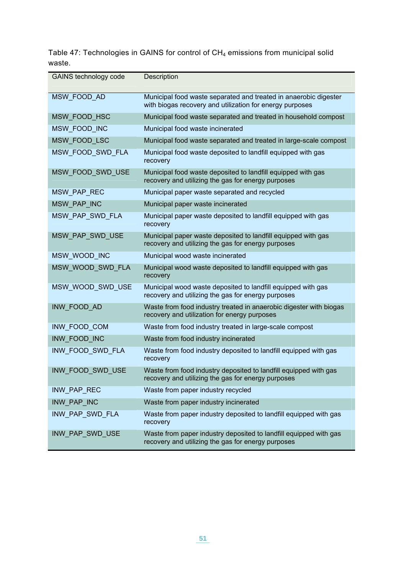Table 47: Technologies in GAINS for control of  $CH_4$  emissions from municipal solid waste.

| GAINS technology code | Description                                                                                                                  |
|-----------------------|------------------------------------------------------------------------------------------------------------------------------|
| MSW FOOD AD           | Municipal food waste separated and treated in anaerobic digester<br>with biogas recovery and utilization for energy purposes |
| MSW_FOOD_HSC          | Municipal food waste separated and treated in household compost                                                              |
| MSW_FOOD_INC          | Municipal food waste incinerated                                                                                             |
| MSW FOOD LSC          | Municipal food waste separated and treated in large-scale compost                                                            |
| MSW_FOOD_SWD_FLA      | Municipal food waste deposited to landfill equipped with gas<br>recovery                                                     |
| MSW_FOOD_SWD_USE      | Municipal food waste deposited to landfill equipped with gas<br>recovery and utilizing the gas for energy purposes           |
| MSW_PAP_REC           | Municipal paper waste separated and recycled                                                                                 |
| MSW PAP INC           | Municipal paper waste incinerated                                                                                            |
| MSW_PAP_SWD_FLA       | Municipal paper waste deposited to landfill equipped with gas<br>recovery                                                    |
| MSW_PAP_SWD_USE       | Municipal paper waste deposited to landfill equipped with gas<br>recovery and utilizing the gas for energy purposes          |
| MSW_WOOD_INC          | Municipal wood waste incinerated                                                                                             |
| MSW_WOOD_SWD_FLA      | Municipal wood waste deposited to landfill equipped with gas<br>recovery                                                     |
| MSW_WOOD_SWD_USE      | Municipal wood waste deposited to landfill equipped with gas<br>recovery and utilizing the gas for energy purposes           |
| INW_FOOD_AD           | Waste from food industry treated in anaerobic digester with biogas<br>recovery and utilization for energy purposes           |
| INW_FOOD_COM          | Waste from food industry treated in large-scale compost                                                                      |
| INW FOOD INC          | Waste from food industry incinerated                                                                                         |
| INW_FOOD_SWD_FLA      | Waste from food industry deposited to landfill equipped with gas<br>recovery                                                 |
| INW FOOD SWD USE      | Waste from food industry deposited to landfill equipped with gas<br>recovery and utilizing the gas for energy purposes       |
| INW_PAP_REC           | Waste from paper industry recycled                                                                                           |
| INW PAP INC           | Waste from paper industry incinerated                                                                                        |
| INW PAP SWD FLA       | Waste from paper industry deposited to landfill equipped with gas<br>recovery                                                |
| INW_PAP_SWD_USE       | Waste from paper industry deposited to landfill equipped with gas<br>recovery and utilizing the gas for energy purposes      |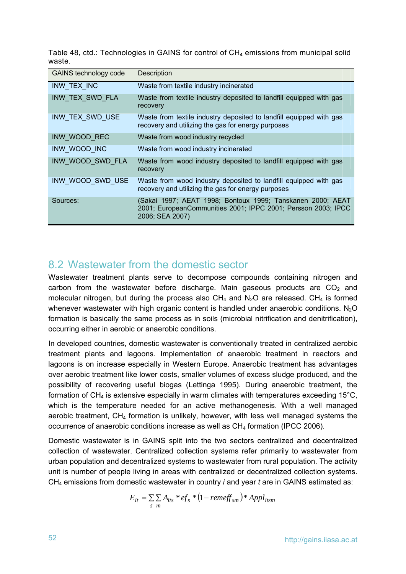Table 48, ctd.: Technologies in GAINS for control of  $CH_4$  emissions from municipal solid waste.

| GAINS technology code | Description                                                                                                                                    |
|-----------------------|------------------------------------------------------------------------------------------------------------------------------------------------|
| INW TEX INC           | Waste from textile industry incinerated                                                                                                        |
| INW_TEX_SWD_FLA       | Waste from textile industry deposited to landfill equipped with gas<br>recovery                                                                |
| INW TEX SWD USE       | Waste from textile industry deposited to landfill equipped with gas<br>recovery and utilizing the gas for energy purposes                      |
| INW WOOD REC          | Waste from wood industry recycled                                                                                                              |
| INW WOOD INC          | Waste from wood industry incinerated                                                                                                           |
| INW WOOD SWD FLA      | Waste from wood industry deposited to landfill equipped with gas<br>recovery                                                                   |
| INW WOOD SWD USE      | Waste from wood industry deposited to landfill equipped with gas<br>recovery and utilizing the gas for energy purposes                         |
| Sources:              | (Sakai 1997; AEAT 1998; Bontoux 1999; Tanskanen 2000; AEAT<br>2001; EuropeanCommunities 2001; IPPC 2001; Persson 2003; IPCC<br>2006; SEA 2007) |

### 8.2 Wastewater from the domestic sector

<span id="page-53-0"></span>Wastewater treatment plants serve to decompose compounds containing nitrogen and carbon from the wastewater before discharge. Main gaseous products are  $CO<sub>2</sub>$  and molecular nitrogen, but during the process also  $CH_4$  and  $N_2O$  are released. CH<sub>4</sub> is formed whenever wastewater with high organic content is handled under anaerobic conditions.  $N_2O$ formation is basically the same process as in soils (microbial nitrification and denitrification), occurring either in aerobic or anaerobic conditions.

In developed countries, domestic wastewater is conventionally treated in centralized aerobic treatment plants and lagoons. Implementation of anaerobic treatment in reactors and lagoons is on increase especially in Western Europe. Anaerobic treatment has advantages over aerobic treatment like lower costs, smaller volumes of excess sludge produced, and the possibility of recovering useful biogas (Lettinga 1995). During anaerobic treatment, the formation of  $CH_4$  is extensive especially in warm climates with temperatures exceeding 15°C, which is the temperature needed for an active methanogenesis. With a well managed aerobic treatment,  $CH<sub>4</sub>$  formation is unlikely, however, with less well managed systems the occurrence of anaerobic conditions increase as well as CH<sub>4</sub> formation (IPCC 2006).

Domestic wastewater is in GAINS split into the two sectors centralized and decentralized collection of wastewater. Centralized collection systems refer primarily to wastewater from urban population and decentralized systems to wastewater from rural population. The activity unit is number of people living in areas with centralized or decentralized collection systems. CH4 emissions from domestic wastewater in country *i* and year *t* are in GAINS estimated as:

$$
E_{it} = \sum_{s} \sum_{m} A_{its} * ef_s * (1 - remeff_{sm}) * Appl_{itsm}
$$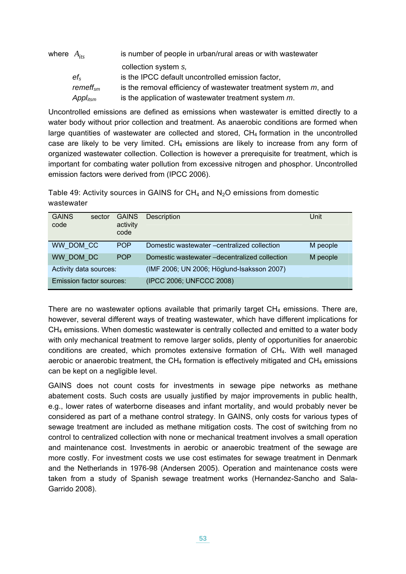| where $A_{irr}$ |                      | is number of people in urban/rural areas or with wastewater        |
|-----------------|----------------------|--------------------------------------------------------------------|
|                 |                      | collection system s,                                               |
|                 | $ef_s$               | is the IPCC default uncontrolled emission factor,                  |
|                 | remeff <sub>sm</sub> | is the removal efficiency of wastewater treatment system $m$ , and |
|                 | $Appl_{itsm}$        | is the application of wastewater treatment system m.               |

Uncontrolled emissions are defined as emissions when wastewater is emitted directly to a water body without prior collection and treatment. As anaerobic conditions are formed when large quantities of wastewater are collected and stored,  $CH<sub>4</sub>$  formation in the uncontrolled case are likely to be very limited.  $CH_4$  emissions are likely to increase from any form of organized wastewater collection. Collection is however a prerequisite for treatment, which is important for combating water pollution from excessive nitrogen and phosphor. Uncontrolled emission factors were derived from (IPCC 2006).

Table 49: Activity sources in GAINS for  $CH_4$  and  $N_2O$  emissions from domestic wastewater

| <b>GAINS</b><br>code     | sector | <b>GAINS</b><br>activity<br>code | Description                                   | Unit     |
|--------------------------|--------|----------------------------------|-----------------------------------------------|----------|
| WW DOM CC                |        | <b>POP</b>                       | Domestic wastewater -centralized collection   | M people |
| WW DOM DC                |        | <b>POP</b>                       | Domestic wastewater -decentralized collection | M people |
| Activity data sources:   |        |                                  | (IMF 2006; UN 2006; Höglund-Isaksson 2007)    |          |
| Emission factor sources: |        |                                  | (IPCC 2006; UNFCCC 2008)                      |          |

There are no wastewater options available that primarily target  $CH<sub>4</sub>$  emissions. There are, however, several different ways of treating wastewater, which have different implications for CH<sub>4</sub> emissions. When domestic wastewater is centrally collected and emitted to a water body with only mechanical treatment to remove larger solids, plenty of opportunities for anaerobic conditions are created, which promotes extensive formation of CH4. With well managed aerobic or anaerobic treatment, the  $CH_4$  formation is effectively mitigated and  $CH_4$  emissions can be kept on a negligible level.

GAINS does not count costs for investments in sewage pipe networks as methane abatement costs. Such costs are usually justified by major improvements in public health, e.g., lower rates of waterborne diseases and infant mortality, and would probably never be considered as part of a methane control strategy. In GAINS, only costs for various types of sewage treatment are included as methane mitigation costs. The cost of switching from no control to centralized collection with none or mechanical treatment involves a small operation and maintenance cost. Investments in aerobic or anaerobic treatment of the sewage are more costly. For investment costs we use cost estimates for sewage treatment in Denmark and the Netherlands in 1976-98 (Andersen 2005). Operation and maintenance costs were taken from a study of Spanish sewage treatment works (Hernandez-Sancho and Sala-Garrido 2008).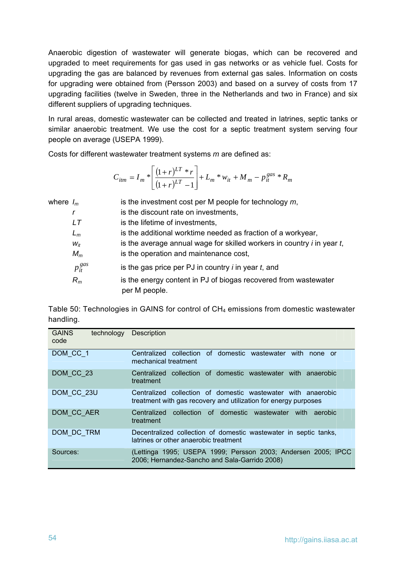Anaerobic digestion of wastewater will generate biogas, which can be recovered and upgraded to meet requirements for gas used in gas networks or as vehicle fuel. Costs for upgrading the gas are balanced by revenues from external gas sales. Information on costs for upgrading were obtained from (Persson 2003) and based on a survey of costs from 17 upgrading facilities (twelve in Sweden, three in the Netherlands and two in France) and six different suppliers of upgrading techniques.

In rural areas, domestic wastewater can be collected and treated in latrines, septic tanks or similar anaerobic treatment. We use the cost for a septic treatment system serving four people on average (USEPA 1999).

Costs for different wastewater treatment systems *m* are defined as:

$$
C_{itm} = I_m * \left[ \frac{(1+r)^{LT} * r}{(1+r)^{LT} - 1} \right] + L_m * w_{it} + M_m - p_{it}^{gas} * R_m
$$

| where $I_m$ |                | is the investment cost per M people for technology $m$ ,                         |
|-------------|----------------|----------------------------------------------------------------------------------|
|             |                | is the discount rate on investments,                                             |
|             | LТ             | is the lifetime of investments,                                                  |
|             | $L_m$          | is the additional worktime needed as fraction of a workyear,                     |
|             | $W_{it}$       | is the average annual wage for skilled workers in country $i$ in year $t$ ,      |
|             | $M_m$          | is the operation and maintenance cost,                                           |
|             | $p_{it}^{gas}$ | is the gas price per PJ in country $i$ in year $t$ , and                         |
|             | $R_m$          | is the energy content in PJ of biogas recovered from wastewater<br>per M people. |

Table 50: Technologies in GAINS for control of CH<sub>4</sub> emissions from domestic wastewater handling.

| <b>GAINS</b><br>technology<br>code | Description                                                                                                                     |
|------------------------------------|---------------------------------------------------------------------------------------------------------------------------------|
| DOM CC 1                           | Centralized collection of domestic wastewater with<br>none or<br>mechanical treatment                                           |
| DOM CC 23                          | Centralized collection of domestic wastewater with anaerobic<br>treatment                                                       |
| DOM CC 23U                         | Centralized collection of domestic wastewater with anaerobic<br>treatment with gas recovery and utilization for energy purposes |
| DOM CC AER                         | Centralized collection of domestic wastewater with aerobic<br>treatment                                                         |
| DOM DC TRM                         | Decentralized collection of domestic wastewater in septic tanks,<br>latrines or other anaerobic treatment                       |
| Sources:                           | (Lettinga 1995; USEPA 1999; Persson 2003; Andersen 2005; IPCC<br>2006; Hernandez-Sancho and Sala-Garrido 2008)                  |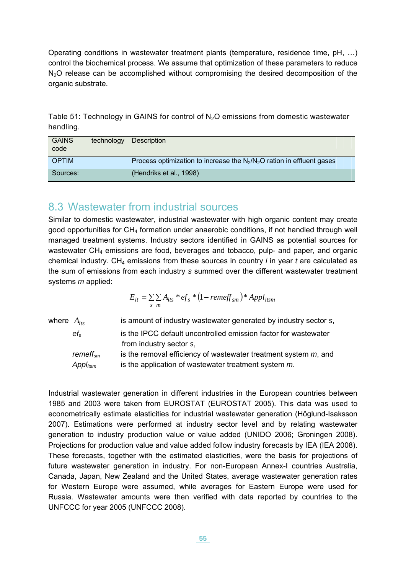Operating conditions in wastewater treatment plants (temperature, residence time, pH, …) control the biochemical process. We assume that optimization of these parameters to reduce  $N<sub>2</sub>O$  release can be accomplished without compromising the desired decomposition of the organic substrate.

Table 51: Technology in GAINS for control of  $N<sub>2</sub>O$  emissions from domestic wastewater handling.

| <b>GAINS</b><br>code | technology | Description                                                              |
|----------------------|------------|--------------------------------------------------------------------------|
| <b>OPTIM</b>         |            | Process optimization to increase the $N_2/N_2O$ ration in effluent gases |
| Sources:             |            | (Hendriks et al., 1998)                                                  |

### 8.3 Wastewater from industrial sources

Similar to domestic wastewater, industrial wastewater with high organic content may create good opportunities for  $CH<sub>4</sub>$  formation under anaerobic conditions, if not handled through well managed treatment systems. Industry sectors identified in GAINS as potential sources for wastewater  $CH<sub>4</sub>$  emissions are food, beverages and tobacco, pulp- and paper, and organic chemical industry. CH4 emissions from these sources in country *i* in year *t* are calculated as the sum of emissions from each industry *s* summed over the different wastewater treatment systems *m* applied:

$$
E_{it} = \sum_{s} \sum_{m} A_{its} * ef_s * (1 - remeff_{sm}) * Appl_{itsm}
$$

| where $A_{itx}$ |                    | is amount of industry wastewater generated by industry sector s,   |
|-----------------|--------------------|--------------------------------------------------------------------|
|                 | $ef_s$             | is the IPCC default uncontrolled emission factor for wastewater    |
|                 |                    | from industry sector s,                                            |
|                 | remeff $_{\rm sm}$ | is the removal efficiency of wastewater treatment system $m$ , and |
|                 | $Appl_{itsm}$      | is the application of wastewater treatment system m.               |
|                 |                    |                                                                    |

Industrial wastewater generation in different industries in the European countries between 1985 and 2003 were taken from EUROSTAT (EUROSTAT 2005). This data was used to econometrically estimate elasticities for industrial wastewater generation (Höglund-Isaksson 2007). Estimations were performed at industry sector level and by relating wastewater generation to industry production value or value added (UNIDO 2006; Groningen 2008). Projections for production value and value added follow industry forecasts by IEA (IEA 2008). These forecasts, together with the estimated elasticities, were the basis for projections of future wastewater generation in industry. For non-European Annex-I countries Australia, Canada, Japan, New Zealand and the United States, average wastewater generation rates for Western Europe were assumed, while averages for Eastern Europe were used for Russia. Wastewater amounts were then verified with data reported by countries to the UNFCCC for year 2005 (UNFCCC 2008).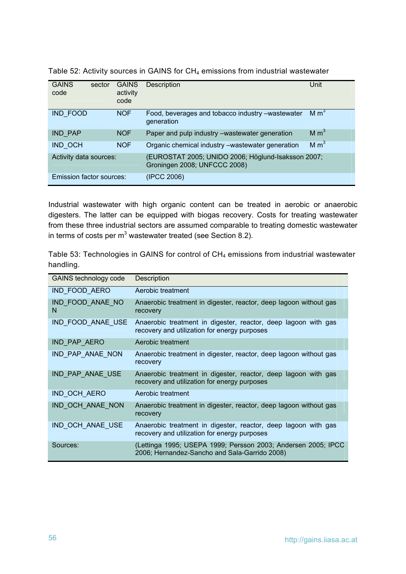| <b>GAINS</b><br>code     | sector | <b>GAINS</b><br>activity<br>code | <b>Description</b>                                                                 | Unit             |
|--------------------------|--------|----------------------------------|------------------------------------------------------------------------------------|------------------|
| IND FOOD                 |        | <b>NOF</b>                       | Food, beverages and tobacco industry -wastewater<br>generation                     | M m <sup>3</sup> |
| <b>IND PAP</b>           |        | <b>NOF</b>                       | Paper and pulp industry -wastewater generation                                     | M m <sup>3</sup> |
| <b>IND OCH</b>           |        | <b>NOF</b>                       | Organic chemical industry -wastewater generation                                   | M m <sup>3</sup> |
| Activity data sources:   |        |                                  | (EUROSTAT 2005; UNIDO 2006; Höglund-Isaksson 2007;<br>Groningen 2008; UNFCCC 2008) |                  |
| Emission factor sources: |        |                                  | (IPCC 2006)                                                                        |                  |

Table 52: Activity sources in GAINS for CH<sub>4</sub> emissions from industrial wastewater

Industrial wastewater with high organic content can be treated in aerobic or anaerobic digesters. The latter can be equipped with biogas recovery. Costs for treating wastewater from these three industrial sectors are assumed comparable to treating domestic wastewater in terms of costs per  $m<sup>3</sup>$  wastewater treated (see Section [8.2\)](#page-53-0).

Table 53: Technologies in GAINS for control of CH<sub>4</sub> emissions from industrial wastewater handling.

| <b>GAINS technology code</b> | Description                                                                                                    |
|------------------------------|----------------------------------------------------------------------------------------------------------------|
| IND FOOD AERO                | Aerobic treatment                                                                                              |
| IND FOOD ANAE NO<br>N        | Anaerobic treatment in digester, reactor, deep lagoon without gas<br>recovery                                  |
| IND FOOD ANAE USE            | Anaerobic treatment in digester, reactor, deep lagoon with gas<br>recovery and utilization for energy purposes |
| IND_PAP_AERO                 | Aerobic treatment                                                                                              |
| IND_PAP_ANAE_NON             | Anaerobic treatment in digester, reactor, deep lagoon without gas<br>recovery                                  |
| IND_PAP_ANAE_USE             | Anaerobic treatment in digester, reactor, deep lagoon with gas<br>recovery and utilization for energy purposes |
| IND_OCH_AERO                 | Aerobic treatment                                                                                              |
| IND_OCH_ANAE_NON             | Anaerobic treatment in digester, reactor, deep lagoon without gas<br>recovery                                  |
| IND_OCH_ANAE_USE             | Anaerobic treatment in digester, reactor, deep lagoon with gas<br>recovery and utilization for energy purposes |
| Sources:                     | (Lettinga 1995; USEPA 1999; Persson 2003; Andersen 2005; IPCC<br>2006; Hernandez-Sancho and Sala-Garrido 2008) |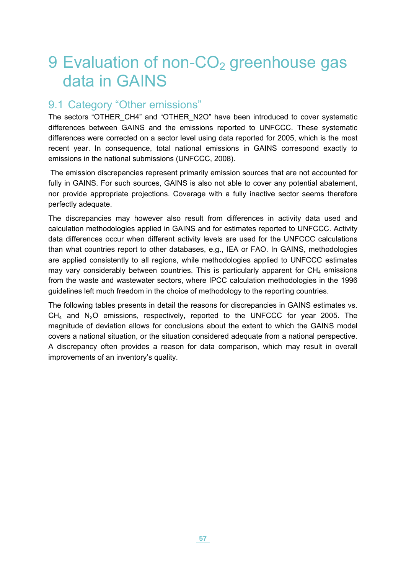# 9 Evaluation of non-CO<sub>2</sub> greenhouse gas data in GAINS

### 9.1 Category "Other emissions"

The sectors "OTHER\_CH4" and "OTHER\_N2O" have been introduced to cover systematic differences between GAINS and the emissions reported to UNFCCC. These systematic differences were corrected on a sector level using data reported for 2005, which is the most recent year. In consequence, total national emissions in GAINS correspond exactly to emissions in the national submissions (UNFCCC, 2008).

 The emission discrepancies represent primarily emission sources that are not accounted for fully in GAINS. For such sources, GAINS is also not able to cover any potential abatement, nor provide appropriate projections. Coverage with a fully inactive sector seems therefore perfectly adequate.

The discrepancies may however also result from differences in activity data used and calculation methodologies applied in GAINS and for estimates reported to UNFCCC. Activity data differences occur when different activity levels are used for the UNFCCC calculations than what countries report to other databases, e.g., IEA or FAO. In GAINS, methodologies are applied consistently to all regions, while methodologies applied to UNFCCC estimates may vary considerably between countries. This is particularly apparent for  $CH<sub>4</sub>$  emissions from the waste and wastewater sectors, where IPCC calculation methodologies in the 1996 guidelines left much freedom in the choice of methodology to the reporting countries.

The following tables presents in detail the reasons for discrepancies in GAINS estimates vs.  $CH<sub>4</sub>$  and N<sub>2</sub>O emissions, respectively, reported to the UNFCCC for year 2005. The magnitude of deviation allows for conclusions about the extent to which the GAINS model covers a national situation, or the situation considered adequate from a national perspective. A discrepancy often provides a reason for data comparison, which may result in overall improvements of an inventory's quality.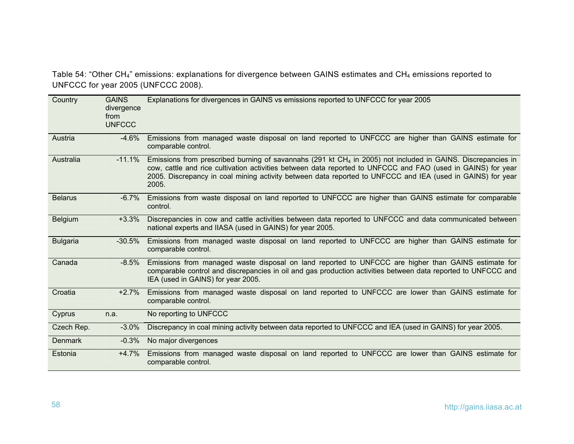Table 54: "Other CH4" emissions: explanations for divergence between GAINS estimates and CH4 emissions reported to UNFCCC for year 2005 (UNFCCC 2008).

<span id="page-59-0"></span>

| Country         | <b>GAINS</b><br>divergence<br>from<br><b>UNFCCC</b> | Explanations for divergences in GAINS vs emissions reported to UNFCCC for year 2005                                                                                                                                                                                                                                                                  |
|-----------------|-----------------------------------------------------|------------------------------------------------------------------------------------------------------------------------------------------------------------------------------------------------------------------------------------------------------------------------------------------------------------------------------------------------------|
| Austria         | -4.6%                                               | Emissions from managed waste disposal on land reported to UNFCCC are higher than GAINS estimate for<br>comparable control.                                                                                                                                                                                                                           |
| Australia       | $-11.1%$                                            | Emissions from prescribed burning of savannahs (291 kt $CH4$ in 2005) not included in GAINS. Discrepancies in<br>cow, cattle and rice cultivation activities between data reported to UNFCCC and FAO (used in GAINS) for year<br>2005. Discrepancy in coal mining activity between data reported to UNFCCC and IEA (used in GAINS) for year<br>2005. |
| <b>Belarus</b>  | $-6.7\%$                                            | Emissions from waste disposal on land reported to UNFCCC are higher than GAINS estimate for comparable<br>control.                                                                                                                                                                                                                                   |
| Belgium         | $+3.3%$                                             | Discrepancies in cow and cattle activities between data reported to UNFCCC and data communicated between<br>national experts and IIASA (used in GAINS) for year 2005.                                                                                                                                                                                |
| <b>Bulgaria</b> | $-30.5\%$                                           | Emissions from managed waste disposal on land reported to UNFCCC are higher than GAINS estimate for<br>comparable control.                                                                                                                                                                                                                           |
| Canada          | $-8.5\%$                                            | Emissions from managed waste disposal on land reported to UNFCCC are higher than GAINS estimate for<br>comparable control and discrepancies in oil and gas production activities between data reported to UNFCCC and<br>IEA (used in GAINS) for year 2005.                                                                                           |
| Croatia         | $+2.7%$                                             | Emissions from managed waste disposal on land reported to UNFCCC are lower than GAINS estimate for<br>comparable control.                                                                                                                                                                                                                            |
| Cyprus          | n.a.                                                | No reporting to UNFCCC                                                                                                                                                                                                                                                                                                                               |
| Czech Rep.      | $-3.0\%$                                            | Discrepancy in coal mining activity between data reported to UNFCCC and IEA (used in GAINS) for year 2005.                                                                                                                                                                                                                                           |
| <b>Denmark</b>  | $-0.3%$                                             | No major divergences                                                                                                                                                                                                                                                                                                                                 |
| Estonia         | $+4.7%$                                             | Emissions from managed waste disposal on land reported to UNFCCC are lower than GAINS estimate for<br>comparable control.                                                                                                                                                                                                                            |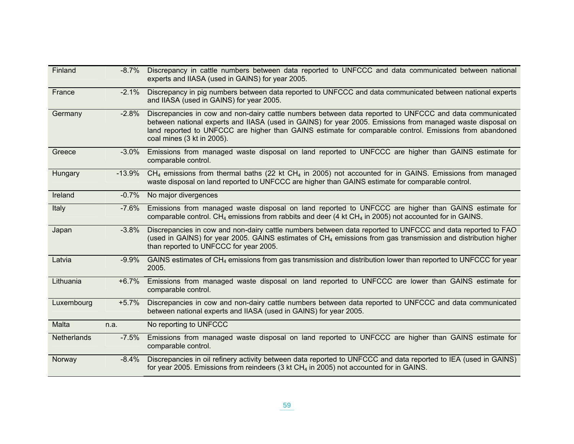| Finland            | $-8.7\%$  | Discrepancy in cattle numbers between data reported to UNFCCC and data communicated between national<br>experts and IIASA (used in GAINS) for year 2005.                                                                                                                                                                                                       |
|--------------------|-----------|----------------------------------------------------------------------------------------------------------------------------------------------------------------------------------------------------------------------------------------------------------------------------------------------------------------------------------------------------------------|
| France             | $-2.1\%$  | Discrepancy in pig numbers between data reported to UNFCCC and data communicated between national experts<br>and IIASA (used in GAINS) for year 2005.                                                                                                                                                                                                          |
| Germany            | $-2.8%$   | Discrepancies in cow and non-dairy cattle numbers between data reported to UNFCCC and data communicated<br>between national experts and IIASA (used in GAINS) for year 2005. Emissions from managed waste disposal on<br>land reported to UNFCCC are higher than GAINS estimate for comparable control. Emissions from abandoned<br>coal mines (3 kt in 2005). |
| Greece             | $-3.0\%$  | Emissions from managed waste disposal on land reported to UNFCCC are higher than GAINS estimate for<br>comparable control.                                                                                                                                                                                                                                     |
| Hungary            | $-13.9\%$ | $CH4$ emissions from thermal baths (22 kt CH <sub>4</sub> in 2005) not accounted for in GAINS. Emissions from managed<br>waste disposal on land reported to UNFCCC are higher than GAINS estimate for comparable control.                                                                                                                                      |
| Ireland            | $-0.7%$   | No major divergences                                                                                                                                                                                                                                                                                                                                           |
| Italy              | -7.6%     | Emissions from managed waste disposal on land reported to UNFCCC are higher than GAINS estimate for<br>comparable control. CH <sub>4</sub> emissions from rabbits and deer (4 kt CH <sub>4</sub> in 2005) not accounted for in GAINS.                                                                                                                          |
| Japan              | $-3.8\%$  | Discrepancies in cow and non-dairy cattle numbers between data reported to UNFCCC and data reported to FAO<br>(used in GAINS) for year 2005. GAINS estimates of CH <sub>4</sub> emissions from gas transmission and distribution higher<br>than reported to UNFCCC for year 2005.                                                                              |
| Latvia             | $-9.9\%$  | GAINS estimates of CH <sub>4</sub> emissions from gas transmission and distribution lower than reported to UNFCCC for year<br>2005.                                                                                                                                                                                                                            |
| Lithuania          | $+6.7%$   | Emissions from managed waste disposal on land reported to UNFCCC are lower than GAINS estimate for<br>comparable control.                                                                                                                                                                                                                                      |
| Luxembourg         | $+5.7%$   | Discrepancies in cow and non-dairy cattle numbers between data reported to UNFCCC and data communicated<br>between national experts and IIASA (used in GAINS) for year 2005.                                                                                                                                                                                   |
| Malta              | n.a.      | No reporting to UNFCCC                                                                                                                                                                                                                                                                                                                                         |
| <b>Netherlands</b> | -7.5%     | Emissions from managed waste disposal on land reported to UNFCCC are higher than GAINS estimate for<br>comparable control.                                                                                                                                                                                                                                     |
| Norway             | $-8.4\%$  | Discrepancies in oil refinery activity between data reported to UNFCCC and data reported to IEA (used in GAINS)<br>for year 2005. Emissions from reindeers (3 kt $CH4$ in 2005) not accounted for in GAINS.                                                                                                                                                    |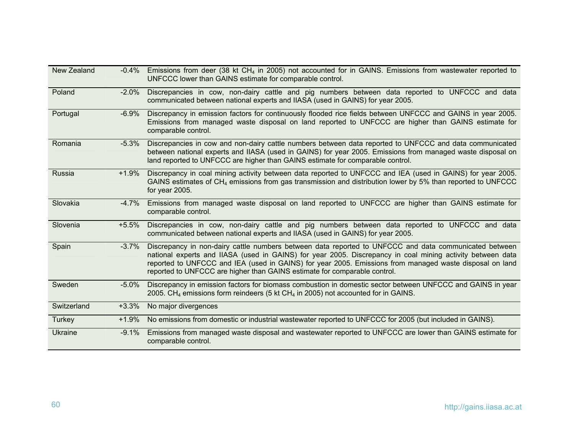| New Zealand    | $-0.4\%$ | Emissions from deer (38 kt CH <sub>4</sub> in 2005) not accounted for in GAINS. Emissions from wastewater reported to<br>UNFCCC lower than GAINS estimate for comparable control.                                                                                                                                                                                                                           |
|----------------|----------|-------------------------------------------------------------------------------------------------------------------------------------------------------------------------------------------------------------------------------------------------------------------------------------------------------------------------------------------------------------------------------------------------------------|
| Poland         | $-2.0\%$ | Discrepancies in cow, non-dairy cattle and pig numbers between data reported to UNFCCC and data<br>communicated between national experts and IIASA (used in GAINS) for year 2005.                                                                                                                                                                                                                           |
| Portugal       | $-6.9\%$ | Discrepancy in emission factors for continuously flooded rice fields between UNFCCC and GAINS in year 2005.<br>Emissions from managed waste disposal on land reported to UNFCCC are higher than GAINS estimate for<br>comparable control.                                                                                                                                                                   |
| Romania        | $-5.3\%$ | Discrepancies in cow and non-dairy cattle numbers between data reported to UNFCCC and data communicated<br>between national experts and IIASA (used in GAINS) for year 2005. Emissions from managed waste disposal on<br>land reported to UNFCCC are higher than GAINS estimate for comparable control.                                                                                                     |
| Russia         | $+1.9%$  | Discrepancy in coal mining activity between data reported to UNFCCC and IEA (used in GAINS) for year 2005.<br>GAINS estimates of CH <sub>4</sub> emissions from gas transmission and distribution lower by 5% than reported to UNFCCC<br>for year 2005.                                                                                                                                                     |
| Slovakia       | $-4.7\%$ | Emissions from managed waste disposal on land reported to UNFCCC are higher than GAINS estimate for<br>comparable control.                                                                                                                                                                                                                                                                                  |
| Slovenia       | +5.5%    | Discrepancies in cow, non-dairy cattle and pig numbers between data reported to UNFCCC and data<br>communicated between national experts and IIASA (used in GAINS) for year 2005.                                                                                                                                                                                                                           |
| Spain          | $-3.7\%$ | Discrepancy in non-dairy cattle numbers between data reported to UNFCCC and data communicated between<br>national experts and IIASA (used in GAINS) for year 2005. Discrepancy in coal mining activity between data<br>reported to UNFCCC and IEA (used in GAINS) for year 2005. Emissions from managed waste disposal on land<br>reported to UNFCCC are higher than GAINS estimate for comparable control. |
| Sweden         | $-5.0\%$ | Discrepancy in emission factors for biomass combustion in domestic sector between UNFCCC and GAINS in year<br>2005. CH <sub>4</sub> emissions form reindeers (5 kt CH <sub>4</sub> in 2005) not accounted for in GAINS.                                                                                                                                                                                     |
| Switzerland    | $+3.3%$  | No major divergences                                                                                                                                                                                                                                                                                                                                                                                        |
| Turkey         | +1.9%    | No emissions from domestic or industrial wastewater reported to UNFCCC for 2005 (but included in GAINS).                                                                                                                                                                                                                                                                                                    |
| <b>Ukraine</b> | $-9.1%$  | Emissions from managed waste disposal and wastewater reported to UNFCCC are lower than GAINS estimate for<br>comparable control.                                                                                                                                                                                                                                                                            |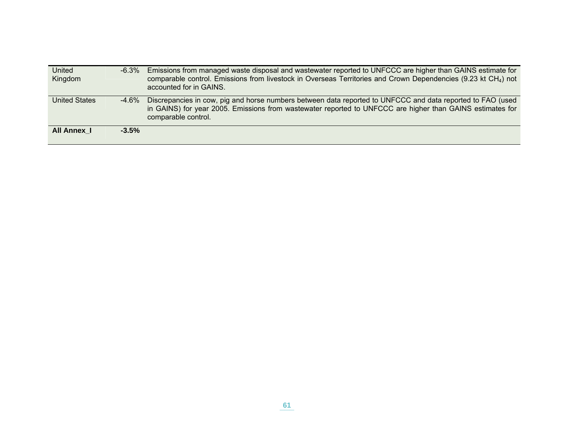| United<br>Kingdom    | -6.3%   | Emissions from managed waste disposal and wastewater reported to UNFCCC are higher than GAINS estimate for<br>comparable control. Emissions from livestock in Overseas Territories and Crown Dependencies (9.23 kt CH <sub>4</sub> ) not<br>accounted for in GAINS. |
|----------------------|---------|---------------------------------------------------------------------------------------------------------------------------------------------------------------------------------------------------------------------------------------------------------------------|
| <b>United States</b> | -4.6%   | Discrepancies in cow, pig and horse numbers between data reported to UNFCCC and data reported to FAO (used<br>in GAINS) for year 2005. Emissions from wastewater reported to UNFCCC are higher than GAINS estimates for<br>comparable control.                      |
| All Annex 1          | $-3.5%$ |                                                                                                                                                                                                                                                                     |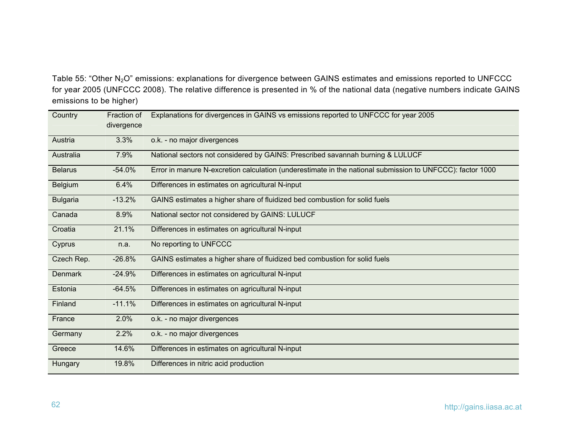Table 55: "Other N<sub>2</sub>O" emissions: explanations for divergence between GAINS estimates and emissions reported to UNFCCC for year 2005 (UNFCCC 2008). The relative difference is presented in % of the national data (negative numbers indicate GAINS emissions to be higher)

<span id="page-63-0"></span>

| Country         | Fraction of<br>divergence | Explanations for divergences in GAINS vs emissions reported to UNFCCC for year 2005                       |
|-----------------|---------------------------|-----------------------------------------------------------------------------------------------------------|
| Austria         | 3.3%                      | o.k. - no major divergences                                                                               |
| Australia       | 7.9%                      | National sectors not considered by GAINS: Prescribed savannah burning & LULUCF                            |
| <b>Belarus</b>  | $-54.0%$                  | Error in manure N-excretion calculation (underestimate in the national submission to UNFCCC): factor 1000 |
| <b>Belgium</b>  | 6.4%                      | Differences in estimates on agricultural N-input                                                          |
| <b>Bulgaria</b> | $-13.2%$                  | GAINS estimates a higher share of fluidized bed combustion for solid fuels                                |
| Canada          | 8.9%                      | National sector not considered by GAINS: LULUCF                                                           |
| Croatia         | 21.1%                     | Differences in estimates on agricultural N-input                                                          |
| Cyprus          | n.a.                      | No reporting to UNFCCC                                                                                    |
| Czech Rep.      | $-26.8%$                  | GAINS estimates a higher share of fluidized bed combustion for solid fuels                                |
| <b>Denmark</b>  | $-24.9%$                  | Differences in estimates on agricultural N-input                                                          |
| Estonia         | $-64.5%$                  | Differences in estimates on agricultural N-input                                                          |
| Finland         | $-11.1%$                  | Differences in estimates on agricultural N-input                                                          |
| France          | 2.0%                      | o.k. - no major divergences                                                                               |
| Germany         | 2.2%                      | o.k. - no major divergences                                                                               |
| Greece          | 14.6%                     | Differences in estimates on agricultural N-input                                                          |
| Hungary         | 19.8%                     | Differences in nitric acid production                                                                     |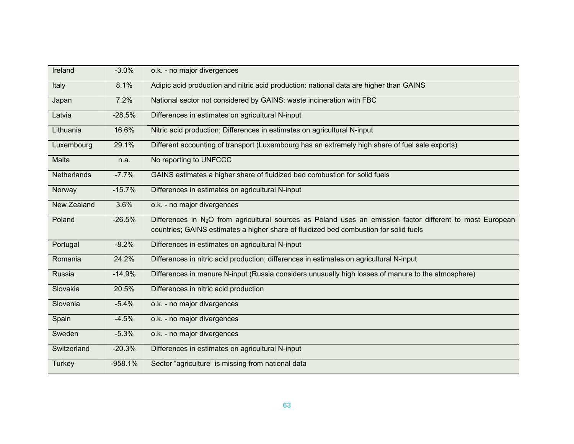| Ireland            | $-3.0%$   | o.k. - no major divergences                                                                                                                                                                                     |
|--------------------|-----------|-----------------------------------------------------------------------------------------------------------------------------------------------------------------------------------------------------------------|
| Italy              | 8.1%      | Adipic acid production and nitric acid production: national data are higher than GAINS                                                                                                                          |
| Japan              | 7.2%      | National sector not considered by GAINS: waste incineration with FBC                                                                                                                                            |
| Latvia             | $-28.5%$  | Differences in estimates on agricultural N-input                                                                                                                                                                |
| Lithuania          | 16.6%     | Nitric acid production; Differences in estimates on agricultural N-input                                                                                                                                        |
| Luxembourg         | 29.1%     | Different accounting of transport (Luxembourg has an extremely high share of fuel sale exports)                                                                                                                 |
| Malta              | n.a.      | No reporting to UNFCCC                                                                                                                                                                                          |
| <b>Netherlands</b> | $-7.7%$   | GAINS estimates a higher share of fluidized bed combustion for solid fuels                                                                                                                                      |
| Norway             | $-15.7%$  | Differences in estimates on agricultural N-input                                                                                                                                                                |
| New Zealand        | 3.6%      | o.k. - no major divergences                                                                                                                                                                                     |
| Poland             | $-26.5%$  | Differences in N <sub>2</sub> O from agricultural sources as Poland uses an emission factor different to most European<br>countries; GAINS estimates a higher share of fluidized bed combustion for solid fuels |
| Portugal           | $-8.2%$   | Differences in estimates on agricultural N-input                                                                                                                                                                |
| Romania            | 24.2%     | Differences in nitric acid production; differences in estimates on agricultural N-input                                                                                                                         |
| Russia             | $-14.9%$  | Differences in manure N-input (Russia considers unusually high losses of manure to the atmosphere)                                                                                                              |
| Slovakia           | 20.5%     | Differences in nitric acid production                                                                                                                                                                           |
| Slovenia           | $-5.4%$   | o.k. - no major divergences                                                                                                                                                                                     |
| Spain              | $-4.5%$   | o.k. - no major divergences                                                                                                                                                                                     |
| Sweden             | $-5.3%$   | o.k. - no major divergences                                                                                                                                                                                     |
| Switzerland        | $-20.3%$  | Differences in estimates on agricultural N-input                                                                                                                                                                |
| <b>Turkey</b>      | $-958.1%$ | Sector "agriculture" is missing from national data                                                                                                                                                              |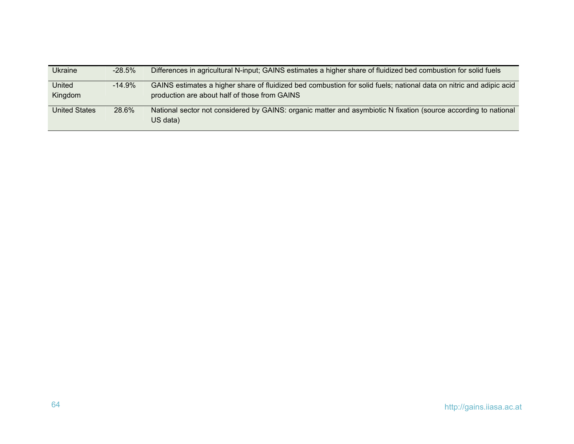| <b>Ukraine</b>       | $-28.5\%$ | Differences in agricultural N-input; GAINS estimates a higher share of fluidized bed combustion for solid fuels                                                      |
|----------------------|-----------|----------------------------------------------------------------------------------------------------------------------------------------------------------------------|
| United<br>Kingdom    | $-14.9%$  | GAINS estimates a higher share of fluidized bed combustion for solid fuels; national data on nitric and adipic acid<br>production are about half of those from GAINS |
| <b>United States</b> | 28.6%     | National sector not considered by GAINS: organic matter and asymbiotic N fixation (source according to national<br>US data)                                          |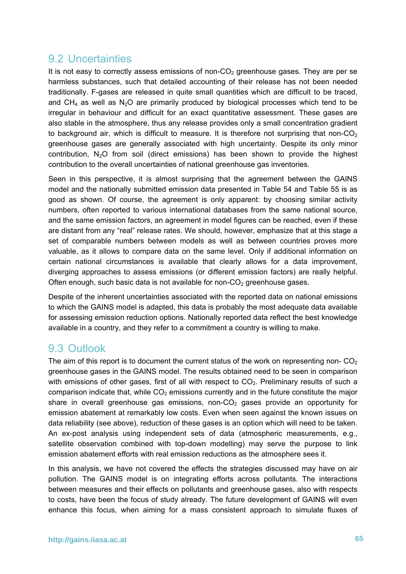### 9.2 Uncertainties

It is not easy to correctly assess emissions of non- $CO<sub>2</sub>$  greenhouse gases. They are per se harmless substances, such that detailed accounting of their release has not been needed traditionally. F-gases are released in quite small quantities which are difficult to be traced, and CH<sub>4</sub> as well as N<sub>2</sub>O are primarily produced by biological processes which tend to be irregular in behaviour and difficult for an exact quantitative assessment. These gases are also stable in the atmosphere, thus any release provides only a small concentration gradient to background air, which is difficult to measure. It is therefore not surprising that non- $CO<sub>2</sub>$ greenhouse gases are generally associated with high uncertainty. Despite its only minor contribution,  $N_2O$  from soil (direct emissions) has been shown to provide the highest contribution to the overall uncertainties of national greenhouse gas inventories.

Seen in this perspective, it is almost surprising that the agreement between the GAINS model and the nationally submitted emission data presented in [Table 54](#page-59-0) and [Table 55](#page-63-0) is as good as shown. Of course, the agreement is only apparent: by choosing similar activity numbers, often reported to various international databases from the same national source, and the same emission factors, an agreement in model figures can be reached, even if these are distant from any "real" release rates. We should, however, emphasize that at this stage a set of comparable numbers between models as well as between countries proves more valuable, as it allows to compare data on the same level. Only if additional information on certain national circumstances is available that clearly allows for a data improvement, diverging approaches to assess emissions (or different emission factors) are really helpful. Often enough, such basic data is not available for non- $CO<sub>2</sub>$  greenhouse gases.

Despite of the inherent uncertainties associated with the reported data on national emissions to which the GAINS model is adapted, this data is probably the most adequate data available for assessing emission reduction options. Nationally reported data reflect the best knowledge available in a country, and they refer to a commitment a country is willing to make.

### 9.3 Outlook

The aim of this report is to document the current status of the work on representing non- $CO<sub>2</sub>$ greenhouse gases in the GAINS model. The results obtained need to be seen in comparison with emissions of other gases, first of all with respect to  $CO<sub>2</sub>$ . Preliminary results of such a comparison indicate that, while  $CO<sub>2</sub>$  emissions currently and in the future constitute the major share in overall greenhouse gas emissions, non- $CO<sub>2</sub>$  gases provide an opportunity for emission abatement at remarkably low costs. Even when seen against the known issues on data reliability (see above), reduction of these gases is an option which will need to be taken. An ex-post analysis using independent sets of data (atmospheric measurements, e.g., satellite observation combined with top-down modelling) may serve the purpose to link emission abatement efforts with real emission reductions as the atmosphere sees it.

In this analysis, we have not covered the effects the strategies discussed may have on air pollution. The GAINS model is on integrating efforts across pollutants. The interactions between measures and their effects on pollutants and greenhouse gases, also with respects to costs, have been the focus of study already. The future development of GAINS will even enhance this focus, when aiming for a mass consistent approach to simulate fluxes of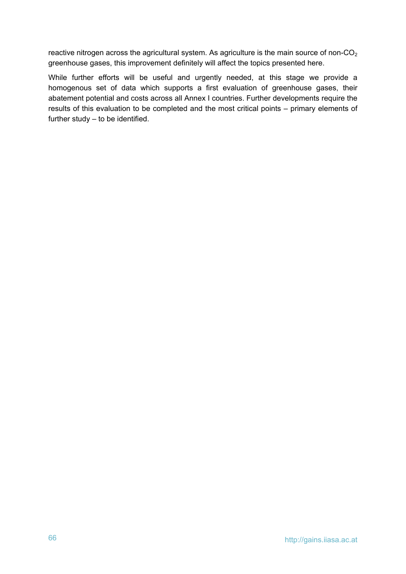reactive nitrogen across the agricultural system. As agriculture is the main source of non- $CO<sub>2</sub>$ greenhouse gases, this improvement definitely will affect the topics presented here.

While further efforts will be useful and urgently needed, at this stage we provide a homogenous set of data which supports a first evaluation of greenhouse gases, their abatement potential and costs across all Annex I countries. Further developments require the results of this evaluation to be completed and the most critical points – primary elements of further study – to be identified.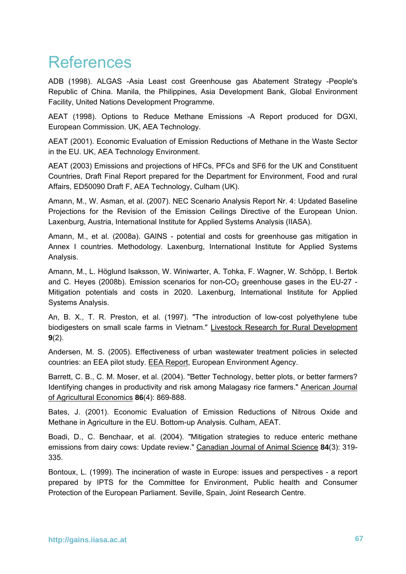# References

ADB (1998). ALGAS -Asia Least cost Greenhouse gas Abatement Strategy -People's Republic of China. Manila, the Philippines, Asia Development Bank, Global Environment Facility, United Nations Development Programme.

AEAT (1998). Options to Reduce Methane Emissions -A Report produced for DGXI, European Commission. UK, AEA Technology.

AEAT (2001). Economic Evaluation of Emission Reductions of Methane in the Waste Sector in the EU. UK, AEA Technology Environment.

AEAT (2003) Emissions and projections of HFCs, PFCs and SF6 for the UK and Constituent Countries, Draft Final Report prepared for the Department for Environment, Food and rural Affairs, ED50090 Draft F, AEA Technology, Culham (UK).

Amann, M., W. Asman, et al. (2007). NEC Scenario Analysis Report Nr. 4: Updated Baseline Projections for the Revision of the Emission Ceilings Directive of the European Union. Laxenburg, Austria, International Institute for Applied Systems Analysis (IIASA).

Amann, M., et al. (2008a). GAINS - potential and costs for greenhouse gas mitigation in Annex I countries. Methodology. Laxenburg, International Institute for Applied Systems Analysis.

Amann, M., L. Höglund Isaksson, W. Winiwarter, A. Tohka, F. Wagner, W. Schöpp, I. Bertok and C. Heyes (2008b). Emission scenarios for non-CO<sub>2</sub> greenhouse gases in the EU-27 -Mitigation potentials and costs in 2020. Laxenburg, International Institute for Applied Systems Analysis.

An, B. X., T. R. Preston, et al. (1997). "The introduction of low-cost polyethylene tube biodigesters on small scale farms in Vietnam." Livestock Research for Rural Development **9**(2).

Andersen, M. S. (2005). Effectiveness of urban wastewater treatment policies in selected countries: an EEA pilot study. EEA Report, European Environment Agency.

Barrett, C. B., C. M. Moser, et al. (2004). "Better Technology, better plots, or better farmers? Identifying changes in productivity and risk among Malagasy rice farmers." Anerican Journal of Agricultural Economics **86**(4): 869-888.

Bates, J. (2001). Economic Evaluation of Emission Reductions of Nitrous Oxide and Methane in Agriculture in the EU. Bottom-up Analysis. Culham, AEAT.

Boadi, D., C. Benchaar, et al. (2004). "Mitigation strategies to reduce enteric methane emissions from dairy cows: Update review." Canadian Journal of Animal Science **84**(3): 319- 335.

Bontoux, L. (1999). The incineration of waste in Europe: issues and perspectives - a report prepared by IPTS for the Committee for Environment, Public health and Consumer Protection of the European Parliament. Seville, Spain, Joint Research Centre.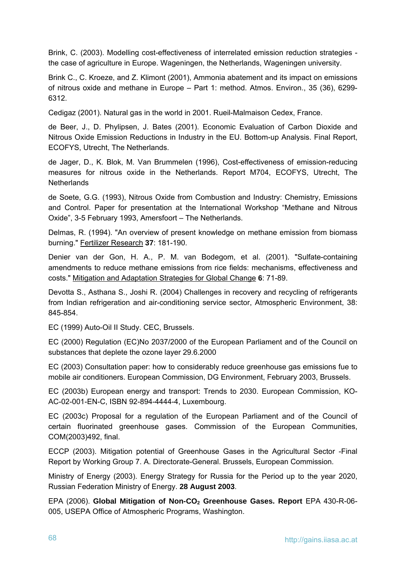Brink, C. (2003). Modelling cost-effectiveness of interrelated emission reduction strategies the case of agriculture in Europe. Wageningen, the Netherlands, Wageningen university.

Brink C., C. Kroeze, and Z. Klimont (2001), Ammonia abatement and its impact on emissions of nitrous oxide and methane in Europe – Part 1: method. Atmos. Environ., 35 (36), 6299- 6312.

Cedigaz (2001). Natural gas in the world in 2001. Rueil-Malmaison Cedex, France.

de Beer, J., D. Phylipsen, J. Bates (2001). Economic Evaluation of Carbon Dioxide and Nitrous Oxide Emission Reductions in Industry in the EU. Bottom-up Analysis. Final Report, ECOFYS, Utrecht, The Netherlands.

de Jager, D., K. Blok, M. Van Brummelen (1996), Cost-effectiveness of emission-reducing measures for nitrous oxide in the Netherlands. Report M704, ECOFYS, Utrecht, The **Netherlands** 

de Soete, G.G. (1993), Nitrous Oxide from Combustion and Industry: Chemistry, Emissions and Control. Paper for presentation at the International Workshop "Methane and Nitrous Oxide", 3-5 February 1993, Amersfoort – The Netherlands.

Delmas, R. (1994). "An overview of present knowledge on methane emission from biomass burning." Fertilizer Research **37**: 181-190.

Denier van der Gon, H. A., P. M. van Bodegom, et al. (2001). "Sulfate-containing amendments to reduce methane emissions from rice fields: mechanisms, effectiveness and costs." Mitigation and Adaptation Strategies for Global Change **6**: 71-89.

Devotta S., Asthana S., Joshi R. (2004) Challenges in recovery and recycling of refrigerants from Indian refrigeration and air-conditioning service sector, Atmospheric Environment, 38: 845-854.

EC (1999) Auto-Oil II Study. CEC, Brussels.

EC (2000) Regulation (EC)No 2037/2000 of the European Parliament and of the Council on substances that deplete the ozone layer 29.6.2000

EC (2003) Consultation paper: how to considerably reduce greenhouse gas emissions fue to mobile air conditioners. European Commission, DG Environment, February 2003, Brussels.

EC (2003b) European energy and transport: Trends to 2030. European Commission, KO-AC-02-001-EN-C, ISBN 92-894-4444-4, Luxembourg.

EC (2003c) Proposal for a regulation of the European Parliament and of the Council of certain fluorinated greenhouse gases. Commission of the European Communities, COM(2003)492, final.

ECCP (2003). Mitigation potential of Greenhouse Gases in the Agricultural Sector -Final Report by Working Group 7. A. Directorate-General. Brussels, European Commission.

Ministry of Energy (2003). Energy Strategy for Russia for the Period up to the year 2020, Russian Federation Ministry of Energy. **28 August 2003**.

EPA (2006). **Global Mitigation of Non-CO2 Greenhouse Gases. Report** EPA 430-R-06- 005, USEPA Office of Atmospheric Programs, Washington.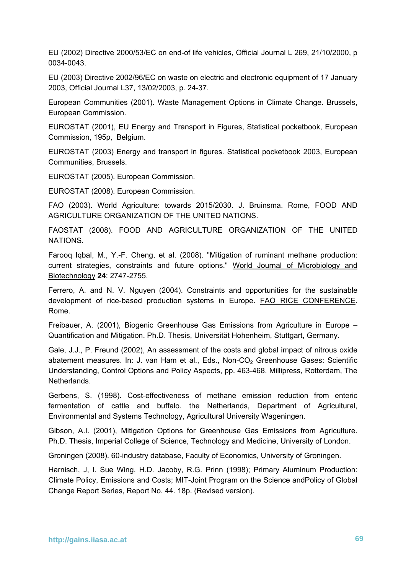EU (2002) Directive 2000/53/EC on end-of life vehicles, Official Journal L 269, 21/10/2000, p 0034-0043.

EU (2003) Directive 2002/96/EC on waste on electric and electronic equipment of 17 January 2003, Official Journal L37, 13/02/2003, p. 24-37.

European Communities (2001). Waste Management Options in Climate Change. Brussels, European Commission.

EUROSTAT (2001), EU Energy and Transport in Figures, Statistical pocketbook, European Commission, 195p, Belgium.

EUROSTAT (2003) Energy and transport in figures. Statistical pocketbook 2003, European Communities, Brussels.

EUROSTAT (2005). European Commission.

EUROSTAT (2008). European Commission.

FAO (2003). World Agriculture: towards 2015/2030. J. Bruinsma. Rome, FOOD AND AGRICULTURE ORGANIZATION OF THE UNITED NATIONS.

FAOSTAT (2008). FOOD AND AGRICULTURE ORGANIZATION OF THE UNITED NATIONS.

Farooq Iqbal, M., Y.-F. Cheng, et al. (2008). "Mitigation of ruminant methane production: current strategies, constraints and future options." World Journal of Microbiology and Biotechnology **24**: 2747-2755.

Ferrero, A. and N. V. Nguyen (2004). Constraints and opportunities for the sustainable development of rice-based production systems in Europe. FAO RICE CONFERENCE. Rome.

Freibauer, A. (2001), Biogenic Greenhouse Gas Emissions from Agriculture in Europe – Quantification and Mitigation. Ph.D. Thesis, Universität Hohenheim, Stuttgart, Germany.

Gale, J.J., P. Freund (2002), An assessment of the costs and global impact of nitrous oxide abatement measures. In: J. van Ham et al., Eds., Non-CO<sub>2</sub> Greenhouse Gases: Scientific Understanding, Control Options and Policy Aspects, pp. 463-468. Millipress, Rotterdam, The **Netherlands** 

Gerbens, S. (1998). Cost-effectiveness of methane emission reduction from enteric fermentation of cattle and buffalo. the Netherlands, Department of Agricultural, Environmental and Systems Technology, Agricultural University Wageningen.

Gibson, A.I. (2001), Mitigation Options for Greenhouse Gas Emissions from Agriculture. Ph.D. Thesis, Imperial College of Science, Technology and Medicine, University of London.

Groningen (2008). 60-industry database, Faculty of Economics, University of Groningen.

Harnisch, J, I. Sue Wing, H.D. Jacoby, R.G. Prinn (1998); Primary Aluminum Production: Climate Policy, Emissions and Costs; MIT-Joint Program on the Science andPolicy of Global Change Report Series, Report No. 44. 18p. (Revised version).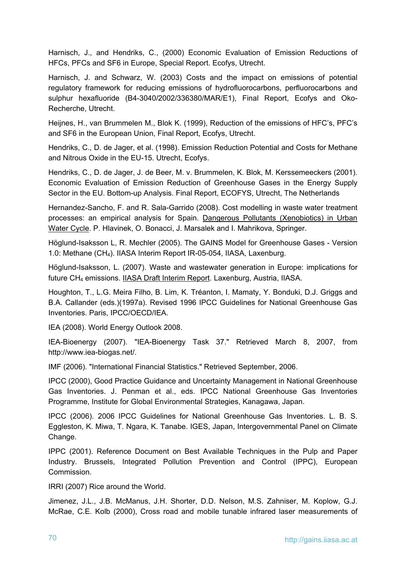Harnisch, J., and Hendriks, C., (2000) Economic Evaluation of Emission Reductions of HFCs, PFCs and SF6 in Europe, Special Report. Ecofys, Utrecht.

Harnisch, J. and Schwarz, W. (2003) Costs and the impact on emissions of potential regulatory framework for reducing emissions of hydrofluorocarbons, perfluorocarbons and sulphur hexafluoride (B4-3040/2002/336380/MAR/E1), Final Report, Ecofys and Oko-Recherche, Utrecht.

Heijnes, H., van Brummelen M., Blok K. (1999), Reduction of the emissions of HFC's, PFC's and SF6 in the European Union, Final Report, Ecofys, Utrecht.

Hendriks, C., D. de Jager, et al. (1998). Emission Reduction Potential and Costs for Methane and Nitrous Oxide in the EU-15. Utrecht, Ecofys.

Hendriks, C., D. de Jager, J. de Beer, M. v. Brummelen, K. Blok, M. Kerssemeeckers (2001). Economic Evaluation of Emission Reduction of Greenhouse Gases in the Energy Supply Sector in the EU. Bottom-up Analysis. Final Report, ECOFYS, Utrecht, The Netherlands

Hernandez-Sancho, F. and R. Sala-Garrido (2008). Cost modelling in waste water treatment processes: an empirical analysis for Spain. Dangerous Pollutants (Xenobiotics) in Urban Water Cycle. P. Hlavinek, O. Bonacci, J. Marsalek and I. Mahrikova, Springer.

Höglund-Isaksson L, R. Mechler (2005). The GAINS Model for Greenhouse Gases - Version 1.0: Methane (CH4). IIASA Interim Report IR-05-054, IIASA, Laxenburg.

Höglund-Isaksson, L. (2007). Waste and wastewater generation in Europe: implications for future CH<sub>4</sub> emissions. **IIASA Draft Interim Report.** Laxenburg, Austria, IIASA.

Houghton, T., L.G. Meira Filho, B. Lim, K. Tréanton, I. Mamaty, Y. Bonduki, D.J. Griggs and B.A. Callander (eds.)(1997a). Revised 1996 IPCC Guidelines for National Greenhouse Gas Inventories. Paris, IPCC/OECD/IEA.

IEA (2008). World Energy Outlook 2008.

IEA-Bioenergy (2007). "IEA-Bioenergy Task 37." Retrieved March 8, 2007, from http://www.iea-biogas.net/.

IMF (2006). "International Financial Statistics." Retrieved September, 2006.

IPCC (2000), Good Practice Guidance and Uncertainty Management in National Greenhouse Gas Inventories. J. Penman et al., eds. IPCC National Greenhouse Gas Inventories Programme, Institute for Global Environmental Strategies, Kanagawa, Japan.

IPCC (2006). 2006 IPCC Guidelines for National Greenhouse Gas Inventories. L. B. S. Eggleston, K. Miwa, T. Ngara, K. Tanabe. IGES, Japan, Intergovernmental Panel on Climate Change.

IPPC (2001). Reference Document on Best Available Techniques in the Pulp and Paper Industry. Brussels, Integrated Pollution Prevention and Control (IPPC), European Commission.

IRRI (2007) Rice around the World.

Jimenez, J.L., J.B. McManus, J.H. Shorter, D.D. Nelson, M.S. Zahniser, M. Koplow, G.J. McRae, C.E. Kolb (2000), Cross road and mobile tunable infrared laser measurements of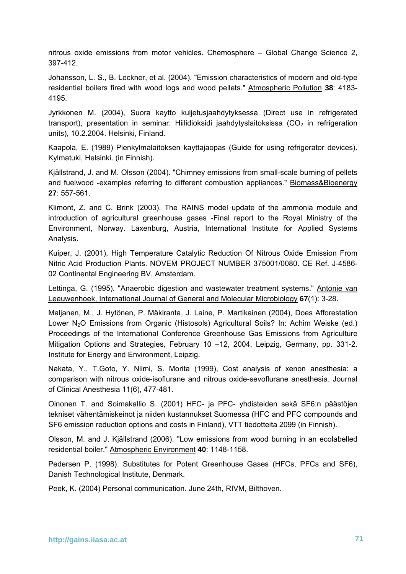nitrous oxide emissions from motor vehicles. Chemosphere – Global Change Science 2, 397-412.

Johansson, L. S., B. Leckner, et al. (2004). "Emission characteristics of modern and old-type residential boilers fired with wood logs and wood pellets." Atmospheric Pollution **38**: 4183- 4195.

Jyrkkonen M. (2004), Suora kaytto kuljetusjaahdytyksessa (Direct use in refrigerated transport), presentation in seminar: Hiilidioksidi jaahdytyslaitoksissa ( $CO<sub>2</sub>$  in refrigeration units), 10.2.2004. Helsinki, Finland.

Kaapola, E. (1989) Pienkylmalaitoksen kayttajaopas (Guide for using refrigerator devices). Kylmatuki, Helsinki. (in Finnish).

Kjällstrand, J. and M. Olsson (2004). "Chimney emissions from small-scale burning of pellets and fuelwood -examples referring to different combustion appliances." Biomass&Bioenergy **27**: 557-561.

Klimont, Z. and C. Brink (2003). The RAINS model update of the ammonia module and introduction of agricultural greenhouse gases -Final report to the Royal Ministry of the Environment, Norway. Laxenburg, Austria, International Institute for Applied Systems Analysis.

Kuiper, J. (2001), High Temperature Catalytic Reduction Of Nitrous Oxide Emission From Nitric Acid Production Plants. NOVEM PROJECT NUMBER 375001/0080. CE Ref. J-4586- 02 Continental Engineering BV, Amsterdam.

Lettinga, G. (1995). "Anaerobic digestion and wastewater treatment systems." Antonie van Leeuwenhoek, International Journal of General and Molecular Microbiology **67**(1): 3-28.

Maljanen, M., J. Hytönen, P. Mäkiranta, J. Laine, P. Martikainen (2004), Does Afforestation Lower N<sub>2</sub>O Emissions from Organic (Histosols) Agricultural Soils? In: Achim Weiske (ed.) Proceedings of the International Conference Greenhouse Gas Emissions from Agriculture Mitigation Options and Strategies, February 10 –12, 2004, Leipzig, Germany, pp. 331-2. Institute for Energy and Environment, Leipzig.

Nakata, Y., T.Goto, Y. Niimi, S. Morita (1999), Cost analysis of xenon anesthesia: a comparison with nitrous oxide-isoflurane and nitrous oxide-sevoflurane anesthesia. Journal of Clinical Anesthesia 11(6), 477-481.

Oinonen T. and Soimakallio S. (2001) HFC- ja PFC- yhdisteiden sekä SF6:n päästöjen tekniset vähentämiskeinot ja niiden kustannukset Suomessa (HFC and PFC compounds and SF6 emission reduction options and costs in Finland), VTT tiedotteita 2099 (in Finnish).

Olsson, M. and J. Kjällstrand (2006). "Low emissions from wood burning in an ecolabelled residential boiler." Atmospheric Environment **40**: 1148-1158.

Pedersen P. (1998). Substitutes for Potent Greenhouse Gases (HFCs, PFCs and SF6), Danish Technological Institute, Denmark.

Peek, K. (2004) Personal communication. June 24th, RIVM, Bilthoven.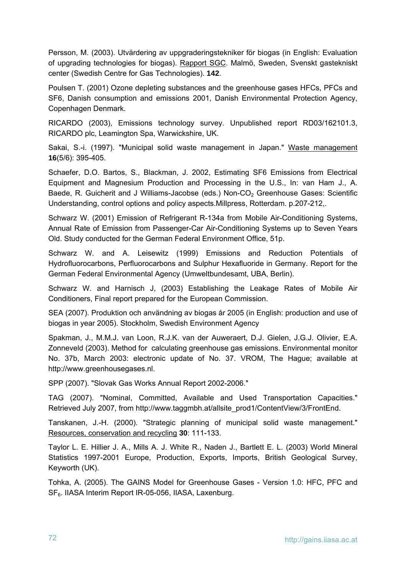Persson, M. (2003). Utvärdering av uppgraderingstekniker för biogas (in English: Evaluation of upgrading technologies for biogas). Rapport SGC. Malmö, Sweden, Svenskt gastekniskt center (Swedish Centre for Gas Technologies). **142**.

Poulsen T. (2001) Ozone depleting substances and the greenhouse gases HFCs, PFCs and SF6, Danish consumption and emissions 2001, Danish Environmental Protection Agency, Copenhagen Denmark.

RICARDO (2003), Emissions technology survey. Unpublished report RD03/162101.3, RICARDO plc, Leamington Spa, Warwickshire, UK.

Sakai, S.-i. (1997). "Municipal solid waste management in Japan." Waste management **16**(5/6): 395-405.

Schaefer, D.O. Bartos, S., Blackman, J. 2002, Estimating SF6 Emissions from Electrical Equipment and Magnesium Production and Processing in the U.S., In: van Ham J., A. Baede, R. Guicherit and J Williams-Jacobse (eds.) Non-CO<sub>2</sub> Greenhouse Gases: Scientific Understanding, control options and policy aspects.Millpress, Rotterdam. p.207-212,.

Schwarz W. (2001) Emission of Refrigerant R-134a from Mobile Air-Conditioning Systems, Annual Rate of Emission from Passenger-Car Air-Conditioning Systems up to Seven Years Old. Study conducted for the German Federal Environment Office, 51p.

Schwarz W. and A. Leisewitz (1999) Emissions and Reduction Potentials of Hydrofluorocarbons, Perfluorocarbons and Sulphur Hexafluoride in Germany. Report for the German Federal Environmental Agency (Umweltbundesamt, UBA, Berlin).

Schwarz W. and Harnisch J, (2003) Establishing the Leakage Rates of Mobile Air Conditioners, Final report prepared for the European Commission.

SEA (2007). Produktion och användning av biogas år 2005 (in English: production and use of biogas in year 2005). Stockholm, Swedish Environment Agency

Spakman, J., M.M.J. van Loon, R.J.K. van der Auweraert, D.J. Gielen, J.G.J. Olivier, E.A. Zonneveld (2003). Method for calculating greenhouse gas emissions. Environmental monitor No. 37b, March 2003: electronic update of No. 37. VROM, The Hague; available at http://www.greenhousegases.nl.

SPP (2007). "Slovak Gas Works Annual Report 2002-2006."

TAG (2007). "Nominal, Committed, Available and Used Transportation Capacities." Retrieved July 2007, from http://www.taggmbh.at/allsite\_prod1/ContentView/3/FrontEnd.

Tanskanen, J.-H. (2000). "Strategic planning of municipal solid waste management." Resources, conservation and recycling **30**: 111-133.

Taylor L. E. Hillier J. A., Mills A. J. White R., Naden J., Bartlett E. L. (2003) World Mineral Statistics 1997-2001 Europe, Production, Exports, Imports, British Geological Survey, Keyworth (UK).

Tohka, A. (2005). The GAINS Model for Greenhouse Gases - Version 1.0: HFC, PFC and SF<sub>6</sub>. IIASA Interim Report IR-05-056, IIASA, Laxenburg.